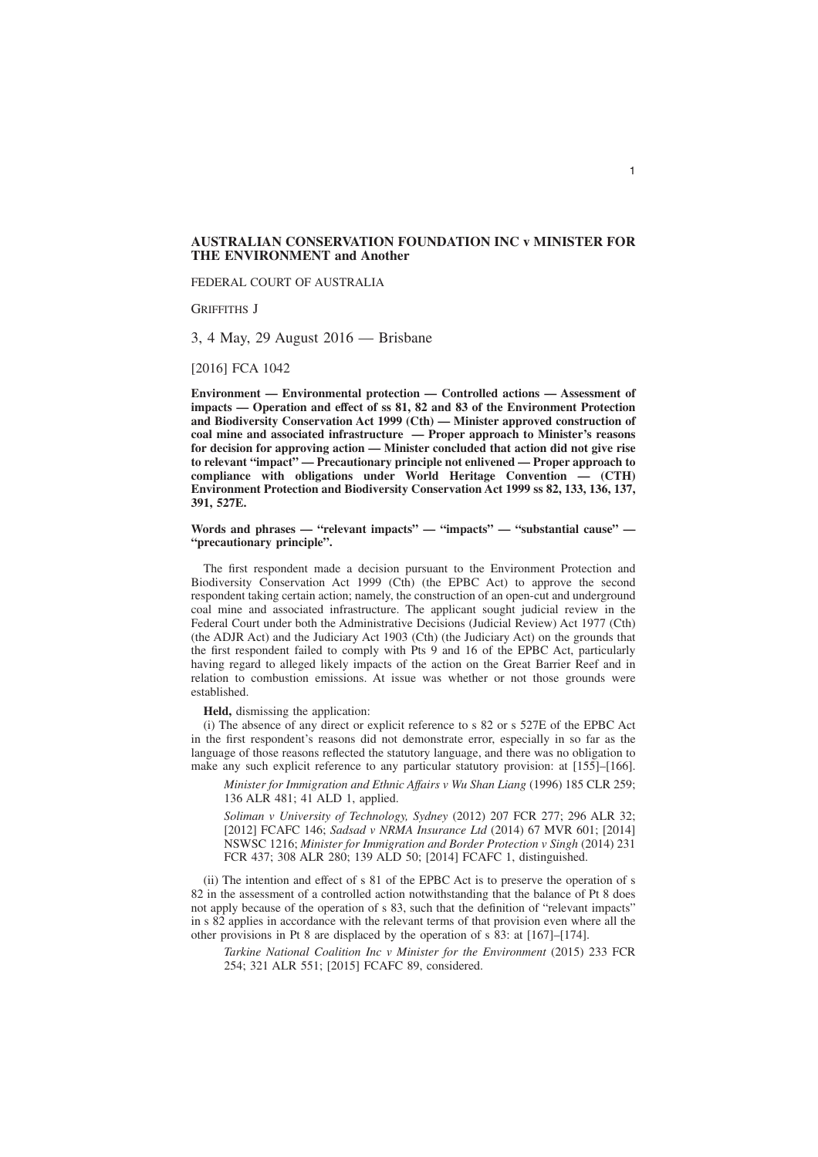## **AUSTRALIAN CONSERVATION FOUNDATION INC v MINISTER FOR THE ENVIRONMENT and Another**

FEDERAL COURT OF AUSTRALIA

GRIFFITHS J

3, 4 May, 29 August 2016 — Brisbane

[2016] FCA 1042

**Environment — Environmental protection — Controlled actions — Assessment of impacts — Operation and effect of ss 81, 82 and 83 of the Environment Protection and Biodiversity Conservation Act 1999 (Cth) — Minister approved construction of coal mine and associated infrastructure — Proper approach to Minister's reasons for decision for approving action — Minister concluded that action did not give rise to relevant "impact" — Precautionary principle not enlivened — Proper approach to compliance with obligations under World Heritage Convention — (CTH) Environment Protection and Biodiversity Conservation Act 1999 ss 82, 133, 136, 137, 391, 527E.**

**Words and phrases — "relevant impacts" — "impacts" — "substantial cause" — "precautionary principle".**

The first respondent made a decision pursuant to the Environment Protection and Biodiversity Conservation Act 1999 (Cth) (the EPBC Act) to approve the second respondent taking certain action; namely, the construction of an open-cut and underground coal mine and associated infrastructure. The applicant sought judicial review in the Federal Court under both the Administrative Decisions (Judicial Review) Act 1977 (Cth) (the ADJR Act) and the Judiciary Act 1903 (Cth) (the Judiciary Act) on the grounds that the first respondent failed to comply with Pts 9 and 16 of the EPBC Act, particularly having regard to alleged likely impacts of the action on the Great Barrier Reef and in relation to combustion emissions. At issue was whether or not those grounds were established.

**Held,** dismissing the application:

(i) The absence of any direct or explicit reference to s 82 or s 527E of the EPBC Act in the first respondent's reasons did not demonstrate error, especially in so far as the language of those reasons reflected the statutory language, and there was no obligation to make any such explicit reference to any particular statutory provision: at [155]–[166].

*Minister for Immigration and Ethnic Affairs v Wu Shan Liang* (1996) 185 CLR 259; 136 ALR 481; 41 ALD 1, applied.

*Soliman v University of Technology, Sydney* (2012) 207 FCR 277; 296 ALR 32; [2012] FCAFC 146; *Sadsad v NRMA Insurance Ltd* (2014) 67 MVR 601; [2014] NSWSC 1216; *Minister for Immigration and Border Protection v Singh* (2014) 231 FCR 437; 308 ALR 280; 139 ALD 50; [2014] FCAFC 1, distinguished.

(ii) The intention and effect of s 81 of the EPBC Act is to preserve the operation of s 82 in the assessment of a controlled action notwithstanding that the balance of Pt 8 does not apply because of the operation of s 83, such that the definition of "relevant impacts" in s 82 applies in accordance with the relevant terms of that provision even where all the other provisions in Pt 8 are displaced by the operation of s 83: at [167]–[174].

*Tarkine National Coalition Inc v Minister for the Environment* (2015) 233 FCR 254; 321 ALR 551; [2015] FCAFC 89, considered.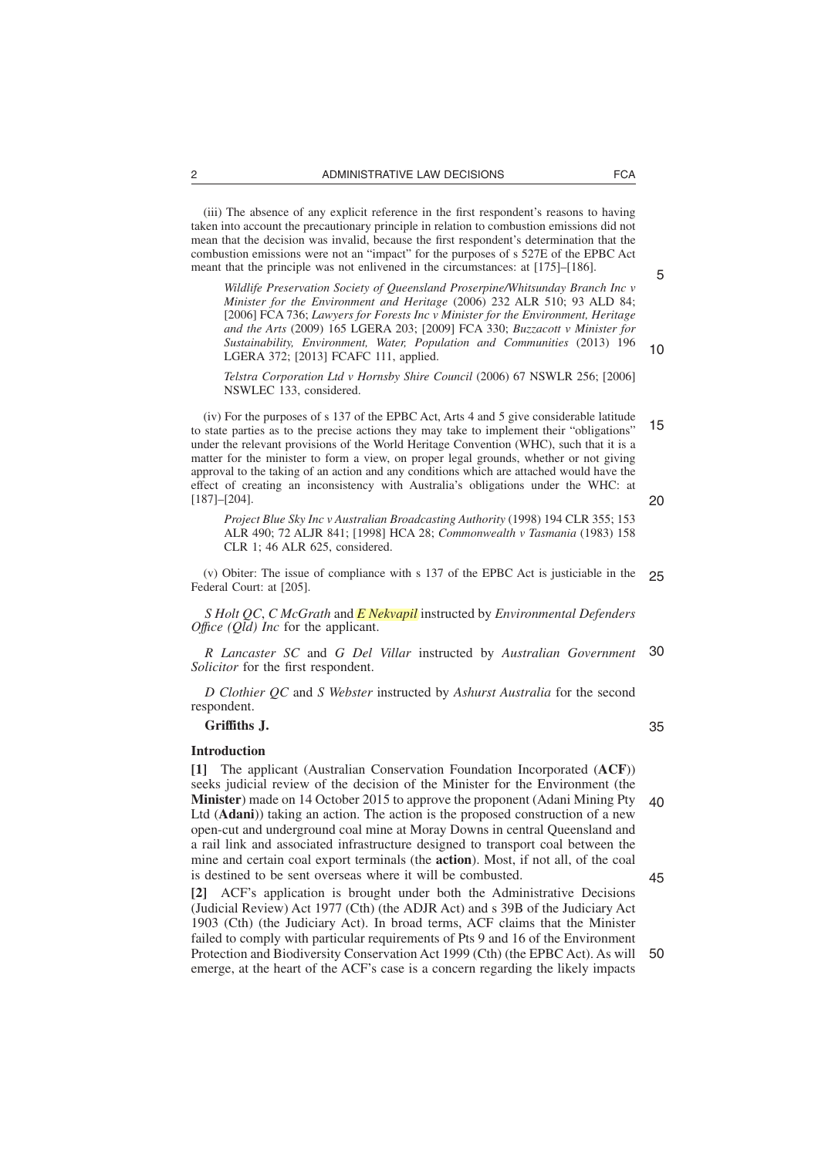(iii) The absence of any explicit reference in the first respondent's reasons to having taken into account the precautionary principle in relation to combustion emissions did not mean that the decision was invalid, because the first respondent's determination that the combustion emissions were not an "impact" for the purposes of s 527E of the EPBC Act meant that the principle was not enlivened in the circumstances: at [175]–[186].

*Wildlife Preservation Society of Queensland Proserpine/Whitsunday Branch Inc v Minister for the Environment and Heritage* (2006) 232 ALR 510; 93 ALD 84; [2006] FCA 736; *Lawyers for Forests Inc v Minister for the Environment, Heritage and the Arts* (2009) 165 LGERA 203; [2009] FCA 330; *Buzzacott v Minister for Sustainability, Environment, Water, Population and Communities* (2013) 196 LGERA 372; [2013] FCAFC 111, applied.

*Telstra Corporation Ltd v Hornsby Shire Council* (2006) 67 NSWLR 256; [2006] NSWLEC 133, considered.

(iv) For the purposes of s 137 of the EPBC Act, Arts 4 and 5 give considerable latitude to state parties as to the precise actions they may take to implement their "obligations" under the relevant provisions of the World Heritage Convention (WHC), such that it is a matter for the minister to form a view, on proper legal grounds, whether or not giving approval to the taking of an action and any conditions which are attached would have the effect of creating an inconsistency with Australia's obligations under the WHC: at [187]–[204]. 15 20

*Project Blue Sky Inc v Australian Broadcasting Authority* (1998) 194 CLR 355; 153 ALR 490; 72 ALJR 841; [1998] HCA 28; *Commonwealth v Tasmania* (1983) 158 CLR 1; 46 ALR 625, considered.

(v) Obiter: The issue of compliance with s 137 of the EPBC Act is justiciable in the Federal Court: at [205]. 25

*S Holt QC*, *C McGrath* and *E Nekvapil* instructed by *Environmental Defenders Office (Qld) Inc* for the applicant.

*R Lancaster SC* and *G Del Villar* instructed by *Australian Government Solicitor* for the first respondent. 30

*D Clothier QC* and *S Webster* instructed by *Ashurst Australia* for the second respondent.

### **Griffiths J.**

#### **Introduction**

**[1]** The applicant (Australian Conservation Foundation Incorporated (**ACF**)) seeks judicial review of the decision of the Minister for the Environment (the **Minister**) made on 14 October 2015 to approve the proponent (Adani Mining Pty Ltd (**Adani**)) taking an action. The action is the proposed construction of a new open-cut and underground coal mine at Moray Downs in central Queensland and a rail link and associated infrastructure designed to transport coal between the mine and certain coal export terminals (the **action**). Most, if not all, of the coal is destined to be sent overseas where it will be combusted.  $40$ 

**[2]** ACF's application is brought under both the Administrative Decisions (Judicial Review) Act 1977 (Cth) (the ADJR Act) and s 39B of the Judiciary Act 1903 (Cth) (the Judiciary Act). In broad terms, ACF claims that the Minister failed to comply with particular requirements of Pts 9 and 16 of the Environment Protection and Biodiversity Conservation Act 1999 (Cth) (the EPBC Act). As will emerge, at the heart of the ACF's case is a concern regarding the likely impacts 50

35

45

5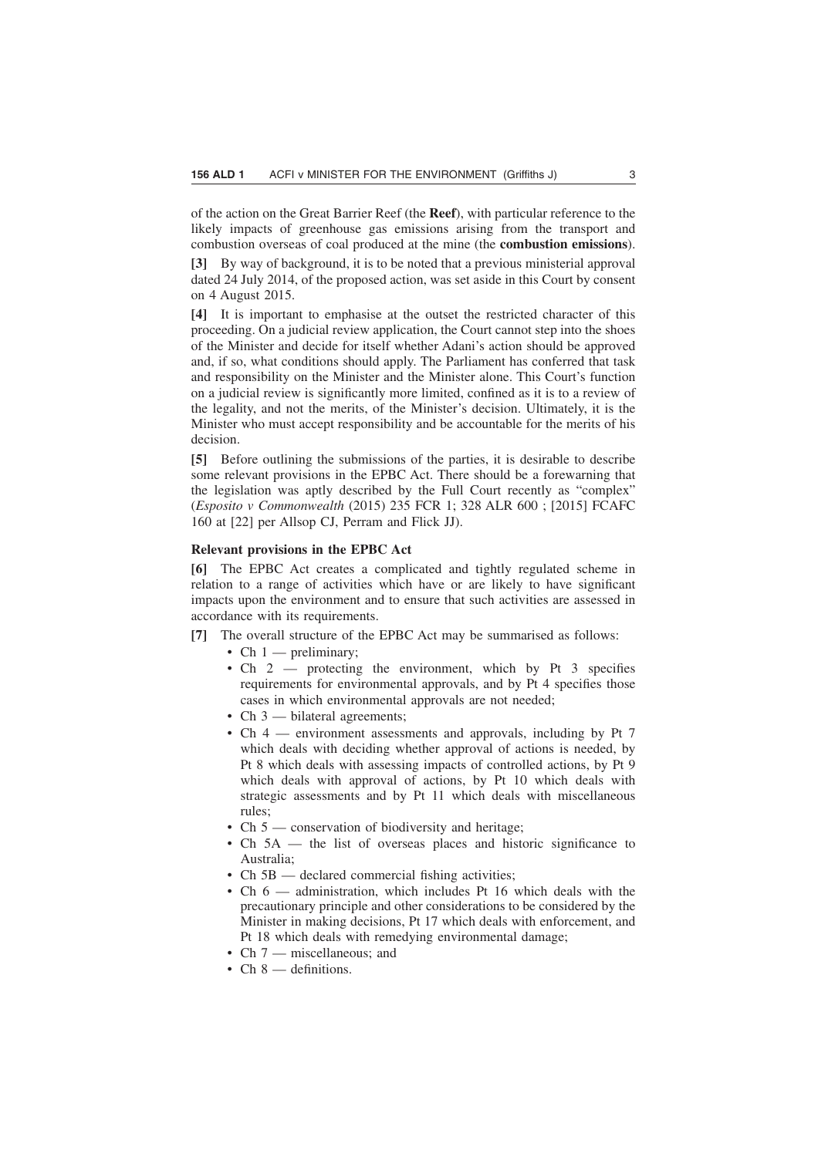of the action on the Great Barrier Reef (the **Reef**), with particular reference to the likely impacts of greenhouse gas emissions arising from the transport and combustion overseas of coal produced at the mine (the **combustion emissions**).

**[3]** By way of background, it is to be noted that a previous ministerial approval dated 24 July 2014, of the proposed action, was set aside in this Court by consent on 4 August 2015.

**[4]** It is important to emphasise at the outset the restricted character of this proceeding. On a judicial review application, the Court cannot step into the shoes of the Minister and decide for itself whether Adani's action should be approved and, if so, what conditions should apply. The Parliament has conferred that task and responsibility on the Minister and the Minister alone. This Court's function on a judicial review is significantly more limited, confined as it is to a review of the legality, and not the merits, of the Minister's decision. Ultimately, it is the Minister who must accept responsibility and be accountable for the merits of his decision.

**[5]** Before outlining the submissions of the parties, it is desirable to describe some relevant provisions in the EPBC Act. There should be a forewarning that the legislation was aptly described by the Full Court recently as "complex" (*Esposito v Commonwealth* (2015) 235 FCR 1; 328 ALR 600 ; [2015] FCAFC 160 at [22] per Allsop CJ, Perram and Flick JJ).

# **Relevant provisions in the EPBC Act**

**[6]** The EPBC Act creates a complicated and tightly regulated scheme in relation to a range of activities which have or are likely to have significant impacts upon the environment and to ensure that such activities are assessed in accordance with its requirements.

- **[7]** The overall structure of the EPBC Act may be summarised as follows:
	- Ch  $1$  preliminary;
	- Ch 2 protecting the environment, which by Pt 3 specifies requirements for environmental approvals, and by Pt 4 specifies those cases in which environmental approvals are not needed;
	- Ch 3 bilateral agreements;
	- Ch 4 environment assessments and approvals, including by Pt 7 which deals with deciding whether approval of actions is needed, by Pt 8 which deals with assessing impacts of controlled actions, by Pt 9 which deals with approval of actions, by Pt 10 which deals with strategic assessments and by Pt 11 which deals with miscellaneous rules;
	- Ch 5 conservation of biodiversity and heritage;
	- Ch 5A the list of overseas places and historic significance to Australia;
	- Ch 5B declared commercial fishing activities;
	- Ch 6 administration, which includes Pt 16 which deals with the precautionary principle and other considerations to be considered by the Minister in making decisions, Pt 17 which deals with enforcement, and Pt 18 which deals with remedying environmental damage;
	- Ch 7 miscellaneous; and
	- Ch 8 definitions.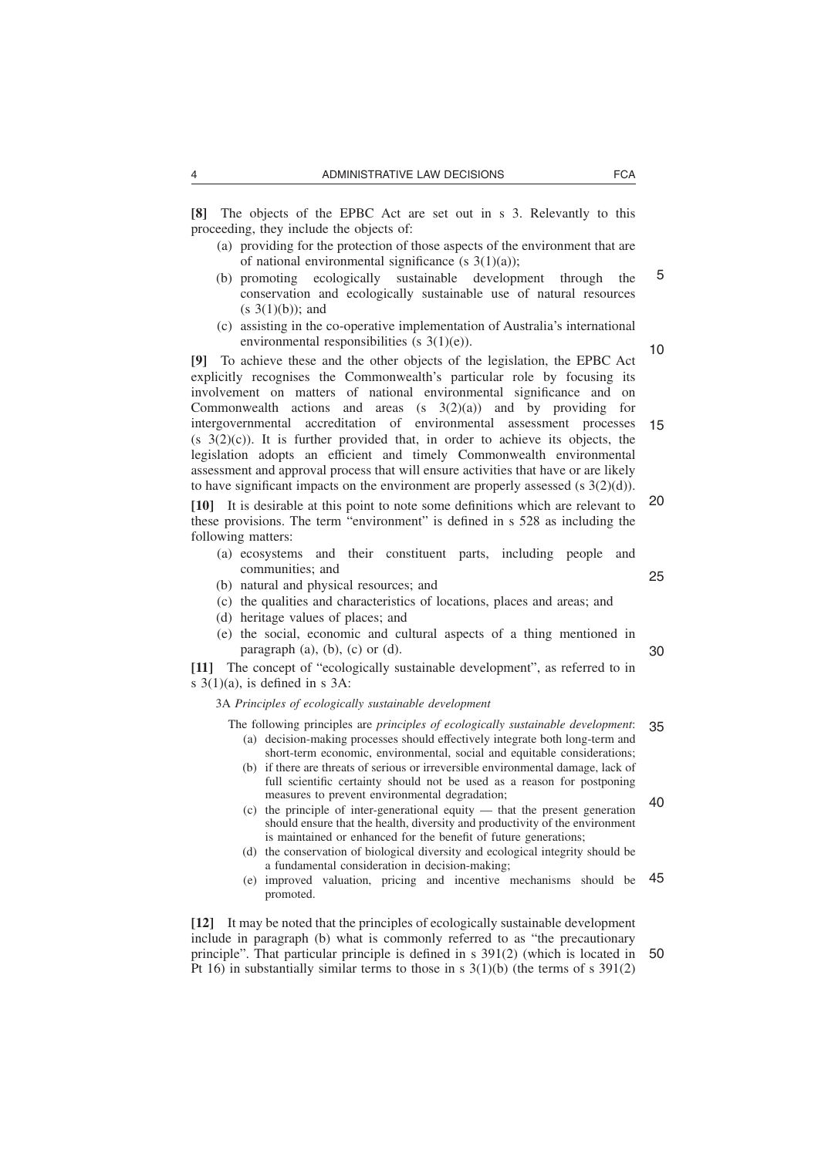**[8]** The objects of the EPBC Act are set out in s 3. Relevantly to this proceeding, they include the objects of:

- (a) providing for the protection of those aspects of the environment that are of national environmental significance (s  $3(1)(a)$ );
- (b) promoting ecologically sustainable development through the conservation and ecologically sustainable use of natural resources  $(s \ 3(1)(b))$ ; and 5
- (c) assisting in the co-operative implementation of Australia's international environmental responsibilities (s 3(1)(e)).

**[9]** To achieve these and the other objects of the legislation, the EPBC Act explicitly recognises the Commonwealth's particular role by focusing its involvement on matters of national environmental significance and on Commonwealth actions and areas  $(s \t3(2)(a))$  and by providing for intergovernmental accreditation of environmental assessment processes  $(s, 3(2)(c))$ . It is further provided that, in order to achieve its objects, the legislation adopts an efficient and timely Commonwealth environmental assessment and approval process that will ensure activities that have or are likely to have significant impacts on the environment are properly assessed (s  $3(2)(d)$ ). 10 15

**[10]** It is desirable at this point to note some definitions which are relevant to these provisions. The term "environment" is defined in s 528 as including the following matters: 20

- (a) ecosystems and their constituent parts, including people and communities; and
- (b) natural and physical resources; and
- (c) the qualities and characteristics of locations, places and areas; and
- (d) heritage values of places; and
- (e) the social, economic and cultural aspects of a thing mentioned in paragraph  $(a)$ ,  $(b)$ ,  $(c)$  or  $(d)$ .

**[11]** The concept of "ecologically sustainable development", as referred to in s 3(1)(a), is defined in s 3A:

3A *Principles of ecologically sustainable development*

- The following principles are *principles of ecologically sustainable development*: (a) decision-making processes should effectively integrate both long-term and short-term economic, environmental, social and equitable considerations; 35
	- (b) if there are threats of serious or irreversible environmental damage, lack of full scientific certainty should not be used as a reason for postponing measures to prevent environmental degradation;
	- (c) the principle of inter-generational equity that the present generation should ensure that the health, diversity and productivity of the environment is maintained or enhanced for the benefit of future generations; 40
	- (d) the conservation of biological diversity and ecological integrity should be a fundamental consideration in decision-making;
	- (e) improved valuation, pricing and incentive mechanisms should be promoted. 45

**[12]** It may be noted that the principles of ecologically sustainable development include in paragraph (b) what is commonly referred to as "the precautionary principle". That particular principle is defined in s 391(2) (which is located in Pt 16) in substantially similar terms to those in s  $3(1)(b)$  (the terms of s  $391(2)$ 50

25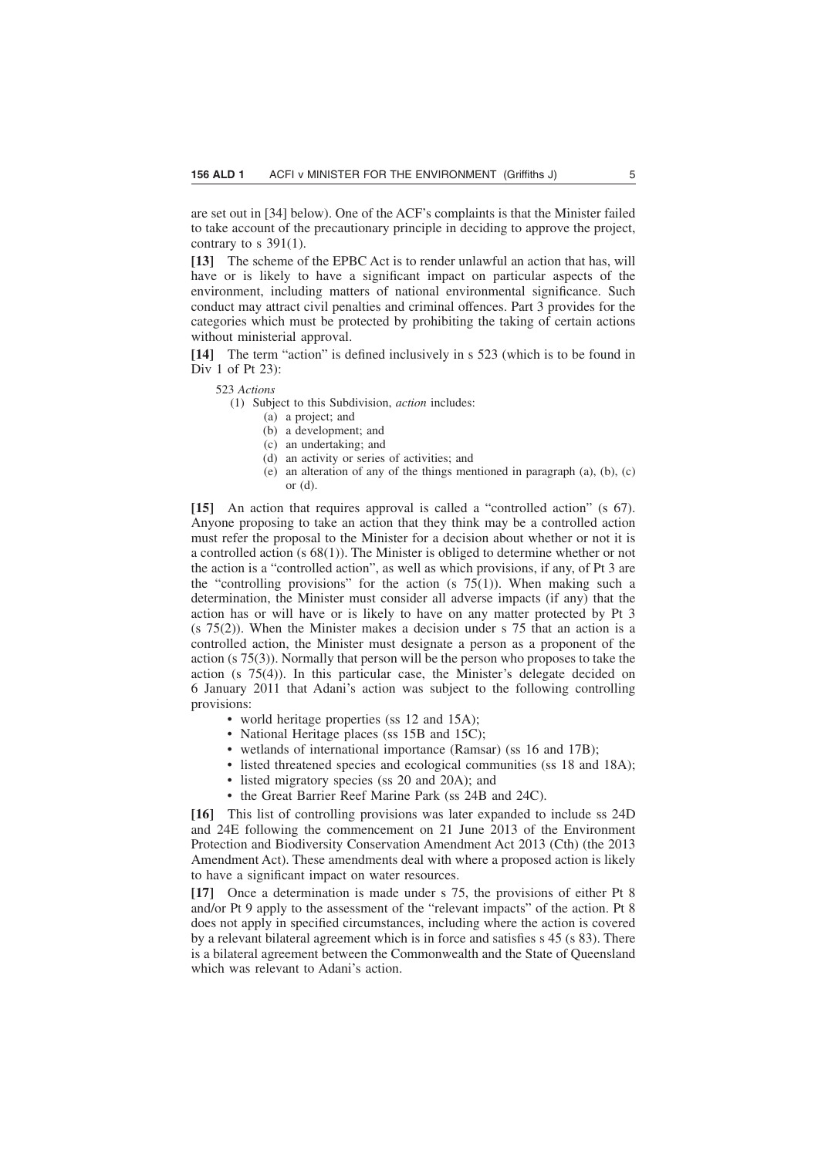are set out in [34] below). One of the ACF's complaints is that the Minister failed to take account of the precautionary principle in deciding to approve the project, contrary to  $s$  391(1).

**[13]** The scheme of the EPBC Act is to render unlawful an action that has, will have or is likely to have a significant impact on particular aspects of the environment, including matters of national environmental significance. Such conduct may attract civil penalties and criminal offences. Part 3 provides for the categories which must be protected by prohibiting the taking of certain actions without ministerial approval.

**[14]** The term "action" is defined inclusively in s 523 (which is to be found in Div 1 of Pt 23):

523 *Actions*

(1) Subject to this Subdivision, *action* includes:

- (a) a project; and
- (b) a development; and
- (c) an undertaking; and
- (d) an activity or series of activities; and
- (e) an alteration of any of the things mentioned in paragraph (a), (b), (c) or (d).

**[15]** An action that requires approval is called a "controlled action" (s 67). Anyone proposing to take an action that they think may be a controlled action must refer the proposal to the Minister for a decision about whether or not it is a controlled action (s 68(1)). The Minister is obliged to determine whether or not the action is a "controlled action", as well as which provisions, if any, of Pt 3 are the "controlling provisions" for the action (s  $75(1)$ ). When making such a determination, the Minister must consider all adverse impacts (if any) that the action has or will have or is likely to have on any matter protected by Pt 3  $(s$  75(2)). When the Minister makes a decision under s 75 that an action is a controlled action, the Minister must designate a person as a proponent of the action (s 75(3)). Normally that person will be the person who proposes to take the action (s 75(4)). In this particular case, the Minister's delegate decided on 6 January 2011 that Adani's action was subject to the following controlling provisions:

- world heritage properties (ss 12 and 15A);
- National Heritage places (ss 15B and 15C);
- wetlands of international importance (Ramsar) (ss 16 and 17B);
- listed threatened species and ecological communities (ss 18 and 18A);
- listed migratory species (ss 20 and 20A); and
- the Great Barrier Reef Marine Park (ss 24B and 24C).

**[16]** This list of controlling provisions was later expanded to include ss 24D and 24E following the commencement on 21 June 2013 of the Environment Protection and Biodiversity Conservation Amendment Act 2013 (Cth) (the 2013 Amendment Act). These amendments deal with where a proposed action is likely to have a significant impact on water resources.

**[17]** Once a determination is made under s 75, the provisions of either Pt 8 and/or Pt 9 apply to the assessment of the "relevant impacts" of the action. Pt 8 does not apply in specified circumstances, including where the action is covered by a relevant bilateral agreement which is in force and satisfies s 45 (s 83). There is a bilateral agreement between the Commonwealth and the State of Queensland which was relevant to Adani's action.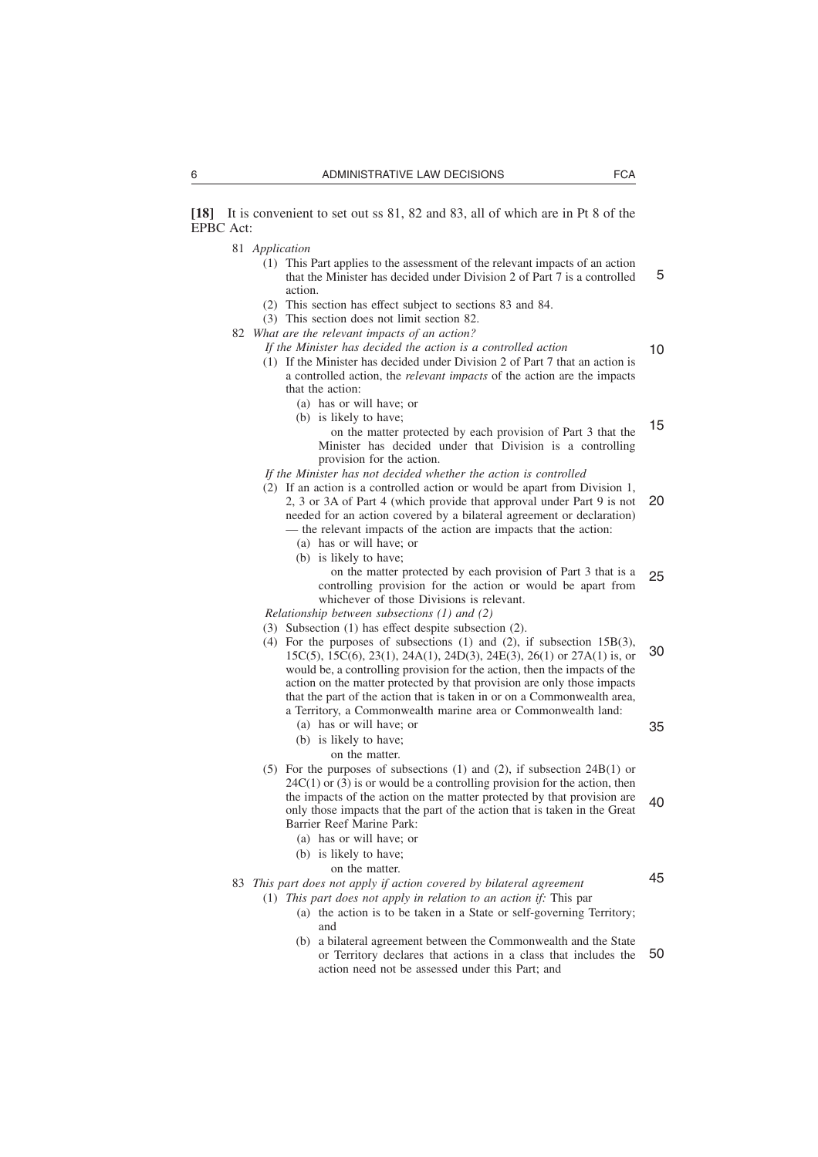**[18]** It is convenient to set out ss 81, 82 and 83, all of which are in Pt 8 of the EPBC Act:

- 81 *Application*
	- (1) This Part applies to the assessment of the relevant impacts of an action that the Minister has decided under Division 2 of Part 7 is a controlled action. 5
	- (2) This section has effect subject to sections 83 and 84.
	- (3) This section does not limit section 82.
- 82 *What are the relevant impacts of an action?*
	- *If the Minister has decided the action is a controlled action*

10

- (1) If the Minister has decided under Division 2 of Part 7 that an action is a controlled action, the *relevant impacts* of the action are the impacts that the action:
	- (a) has or will have; or
	- (b) is likely to have;
		- on the matter protected by each provision of Part 3 that the Minister has decided under that Division is a controlling provision for the action. 15
- *If the Minister has not decided whether the action is controlled*
- (2) If an action is a controlled action or would be apart from Division 1, 2, 3 or 3A of Part 4 (which provide that approval under Part 9 is not needed for an action covered by a bilateral agreement or declaration) — the relevant impacts of the action are impacts that the action: 20
	-
	- (a) has or will have; or (b) is likely to have;
		- on the matter protected by each provision of Part 3 that is a controlling provision for the action or would be apart from

whichever of those Divisions is relevant.

*Relationship between subsections (1) and (2)*

- (3) Subsection (1) has effect despite subsection (2).
- (4) For the purposes of subsections (1) and (2), if subsection  $15B(3)$ , 15C(5), 15C(6), 23(1), 24A(1), 24D(3), 24E(3), 26(1) or 27A(1) is, or would be, a controlling provision for the action, then the impacts of the action on the matter protected by that provision are only those impacts that the part of the action that is taken in or on a Commonwealth area, a Territory, a Commonwealth marine area or Commonwealth land: 30
	- (a) has or will have; or

35

25

- (b) is likely to have;
- on the matter.
- (5) For the purposes of subsections (1) and (2), if subsection 24B(1) or  $24C(1)$  or  $(3)$  is or would be a controlling provision for the action, then the impacts of the action on the matter protected by that provision are only those impacts that the part of the action that is taken in the Great Barrier Reef Marine Park: 40

(a) has or will have; or

- (b) is likely to have;
	- on the matter.

83 *This part does not apply if action covered by bilateral agreement*

- (1) *This part does not apply in relation to an action if:* This par
	- (a) the action is to be taken in a State or self-governing Territory; and
	- (b) a bilateral agreement between the Commonwealth and the State or Territory declares that actions in a class that includes the action need not be assessed under this Part; and 50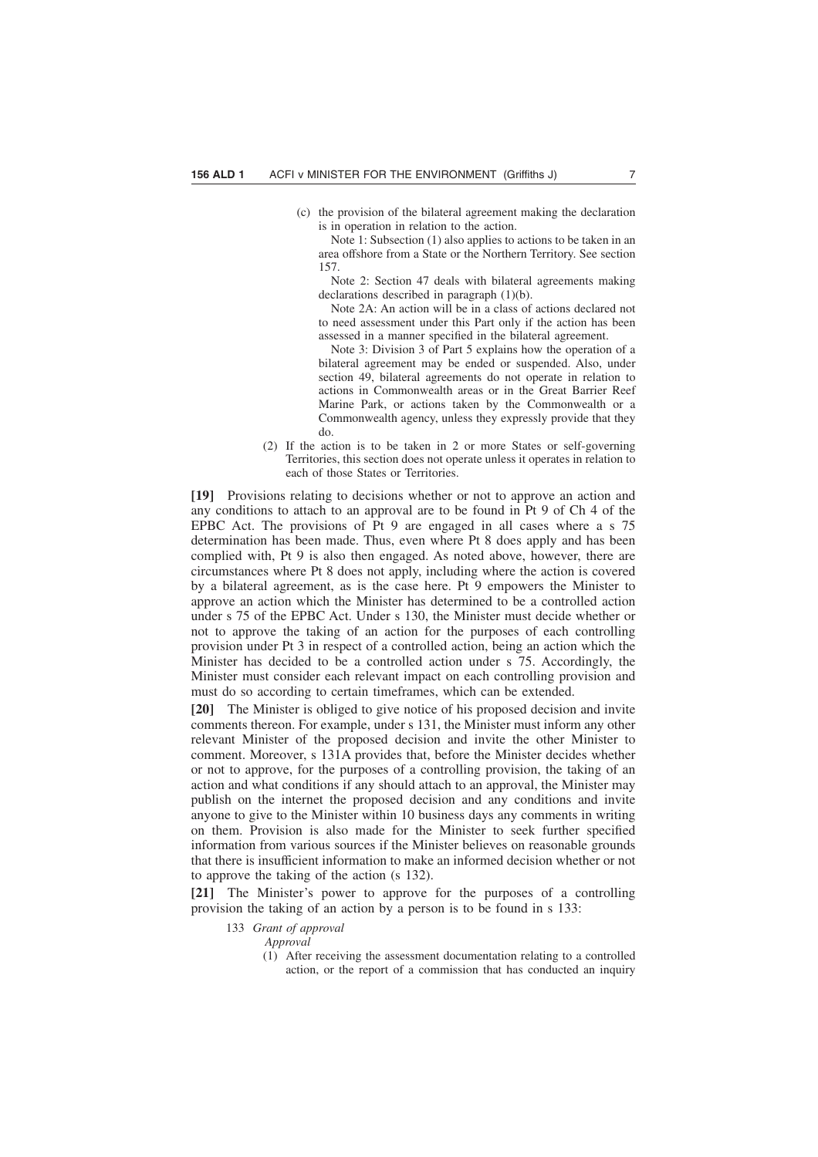(c) the provision of the bilateral agreement making the declaration is in operation in relation to the action.

Note 1: Subsection (1) also applies to actions to be taken in an area offshore from a State or the Northern Territory. See section 157.

Note 2: Section 47 deals with bilateral agreements making declarations described in paragraph (1)(b).

Note 2A: An action will be in a class of actions declared not to need assessment under this Part only if the action has been assessed in a manner specified in the bilateral agreement.

Note 3: Division 3 of Part 5 explains how the operation of a bilateral agreement may be ended or suspended. Also, under section 49, bilateral agreements do not operate in relation to actions in Commonwealth areas or in the Great Barrier Reef Marine Park, or actions taken by the Commonwealth or a Commonwealth agency, unless they expressly provide that they do.

(2) If the action is to be taken in 2 or more States or self-governing Territories, this section does not operate unless it operates in relation to each of those States or Territories.

**[19]** Provisions relating to decisions whether or not to approve an action and any conditions to attach to an approval are to be found in Pt 9 of Ch 4 of the EPBC Act. The provisions of Pt 9 are engaged in all cases where a s 75 determination has been made. Thus, even where Pt 8 does apply and has been complied with, Pt 9 is also then engaged. As noted above, however, there are circumstances where Pt 8 does not apply, including where the action is covered by a bilateral agreement, as is the case here. Pt 9 empowers the Minister to approve an action which the Minister has determined to be a controlled action under s 75 of the EPBC Act. Under s 130, the Minister must decide whether or not to approve the taking of an action for the purposes of each controlling provision under Pt 3 in respect of a controlled action, being an action which the Minister has decided to be a controlled action under s 75. Accordingly, the Minister must consider each relevant impact on each controlling provision and must do so according to certain timeframes, which can be extended.

**[20]** The Minister is obliged to give notice of his proposed decision and invite comments thereon. For example, under s 131, the Minister must inform any other relevant Minister of the proposed decision and invite the other Minister to comment. Moreover, s 131A provides that, before the Minister decides whether or not to approve, for the purposes of a controlling provision, the taking of an action and what conditions if any should attach to an approval, the Minister may publish on the internet the proposed decision and any conditions and invite anyone to give to the Minister within 10 business days any comments in writing on them. Provision is also made for the Minister to seek further specified information from various sources if the Minister believes on reasonable grounds that there is insufficient information to make an informed decision whether or not to approve the taking of the action (s 132).

**[21]** The Minister's power to approve for the purposes of a controlling provision the taking of an action by a person is to be found in s 133:

- 133 *Grant of approval*
	- *Approval*
		- (1) After receiving the assessment documentation relating to a controlled action, or the report of a commission that has conducted an inquiry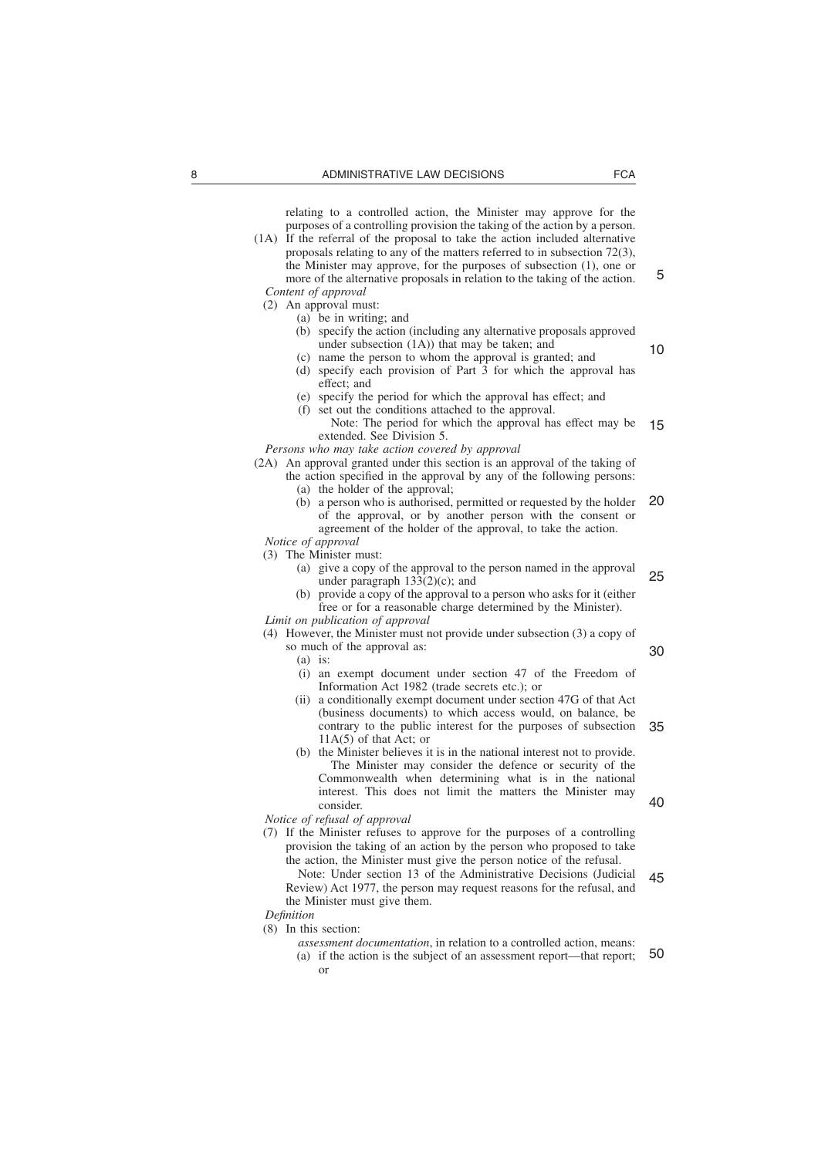relating to a controlled action, the Minister may approve for the purposes of a controlling provision the taking of the action by a person.

- (1A) If the referral of the proposal to take the action included alternative proposals relating to any of the matters referred to in subsection 72(3), the Minister may approve, for the purposes of subsection (1), one or more of the alternative proposals in relation to the taking of the action. *Content of approval*
	- (2) An approval must:
		- (a) be in writing; and
		- (b) specify the action (including any alternative proposals approved under subsection (1A)) that may be taken; and
		- (c) name the person to whom the approval is granted; and (d) specify each provision of Part 3 for which the approval has
		- effect; and
		- (e) specify the period for which the approval has effect; and (f) set out the conditions attached to the approval.

Note: The period for which the approval has effect may be extended. See Division 5. 15

*Persons who may take action covered by approval*

(2A) An approval granted under this section is an approval of the taking of

- the action specified in the approval by any of the following persons:
	- (a) the holder of the approval;
	- (b) a person who is authorised, permitted or requested by the holder of the approval, or by another person with the consent or agreement of the holder of the approval, to take the action. 20

*Notice of approval*

- (3) The Minister must:
	- (a) give a copy of the approval to the person named in the approval under paragraph 133(2)(c); and 25
	- (b) provide a copy of the approval to a person who asks for it (either free or for a reasonable charge determined by the Minister).
- *Limit on publication of approval*

(4) However, the Minister must not provide under subsection (3) a copy of

so much of the approval as: (a) is:

30

- (i) an exempt document under section 47 of the Freedom of Information Act 1982 (trade secrets etc.); or
- (ii) a conditionally exempt document under section 47G of that Act (business documents) to which access would, on balance, be contrary to the public interest for the purposes of subsection 11A(5) of that Act; or 35
- (b) the Minister believes it is in the national interest not to provide. The Minister may consider the defence or security of the Commonwealth when determining what is in the national interest. This does not limit the matters the Minister may consider. 40

*Notice of refusal of approval*

- (7) If the Minister refuses to approve for the purposes of a controlling provision the taking of an action by the person who proposed to take the action, the Minister must give the person notice of the refusal.
	- Note: Under section 13 of the Administrative Decisions (Judicial Review) Act 1977, the person may request reasons for the refusal, and the Minister must give them. 45
- *Definition*
- (8) In this section:
	- *assessment documentation*, in relation to a controlled action, means: (a) if the action is the subject of an assessment report—that report; or 50

5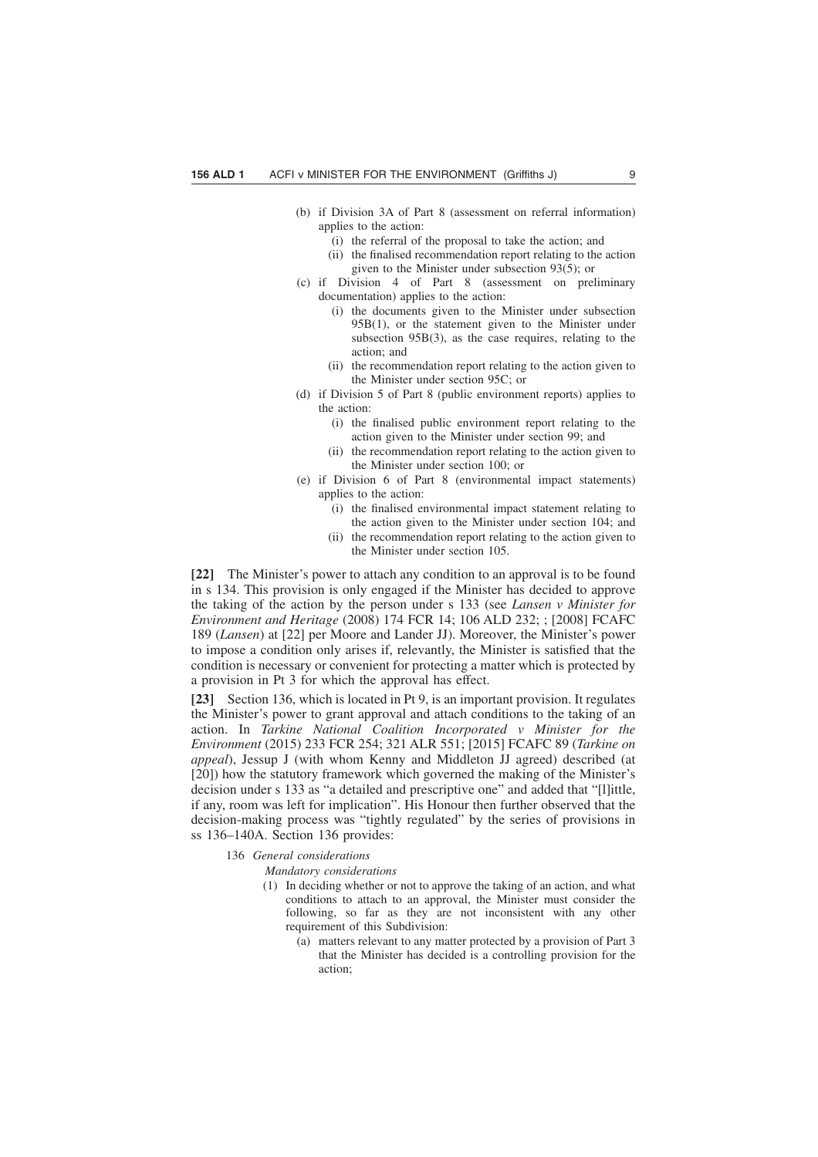- (b) if Division 3A of Part 8 (assessment on referral information) applies to the action:
	- (i) the referral of the proposal to take the action; and
	- (ii) the finalised recommendation report relating to the action given to the Minister under subsection 93(5); or
- (c) if Division 4 of Part 8 (assessment on preliminary documentation) applies to the action:
	- (i) the documents given to the Minister under subsection 95B(1), or the statement given to the Minister under subsection 95B(3), as the case requires, relating to the action; and
	- (ii) the recommendation report relating to the action given to the Minister under section 95C; or
- (d) if Division 5 of Part 8 (public environment reports) applies to the action:
	- (i) the finalised public environment report relating to the action given to the Minister under section 99; and
	- (ii) the recommendation report relating to the action given to the Minister under section 100; or
- (e) if Division 6 of Part 8 (environmental impact statements) applies to the action:
	- (i) the finalised environmental impact statement relating to the action given to the Minister under section 104; and
	- (ii) the recommendation report relating to the action given to the Minister under section 105.

**[22]** The Minister's power to attach any condition to an approval is to be found in s 134. This provision is only engaged if the Minister has decided to approve the taking of the action by the person under s 133 (see *Lansen v Minister for Environment and Heritage* (2008) 174 FCR 14; 106 ALD 232; ; [2008] FCAFC 189 (*Lansen*) at [22] per Moore and Lander JJ). Moreover, the Minister's power to impose a condition only arises if, relevantly, the Minister is satisfied that the condition is necessary or convenient for protecting a matter which is protected by a provision in Pt 3 for which the approval has effect.

**[23]** Section 136, which is located in Pt 9, is an important provision. It regulates the Minister's power to grant approval and attach conditions to the taking of an action. In *Tarkine National Coalition Incorporated v Minister for the Environment* (2015) 233 FCR 254; 321 ALR 551; [2015] FCAFC 89 (*Tarkine on appeal*), Jessup J (with whom Kenny and Middleton JJ agreed) described (at [20]) how the statutory framework which governed the making of the Minister's decision under s 133 as "a detailed and prescriptive one" and added that "[l]ittle, if any, room was left for implication". His Honour then further observed that the decision-making process was "tightly regulated" by the series of provisions in ss 136–140A. Section 136 provides:

136 *General considerations*

*Mandatory considerations*

- (1) In deciding whether or not to approve the taking of an action, and what conditions to attach to an approval, the Minister must consider the following, so far as they are not inconsistent with any other requirement of this Subdivision:
	- (a) matters relevant to any matter protected by a provision of Part 3 that the Minister has decided is a controlling provision for the action;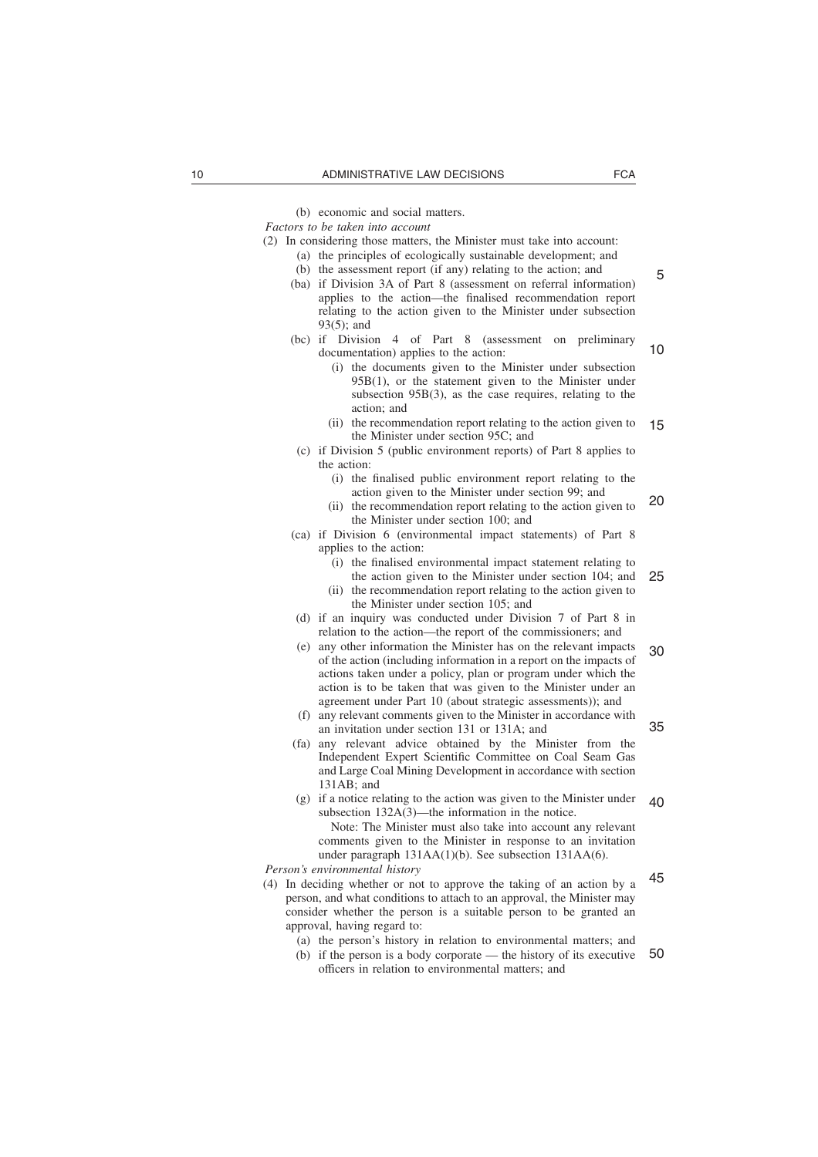(b) economic and social matters.

*Factors to be taken into account*

- (2) In considering those matters, the Minister must take into account: (a) the principles of ecologically sustainable development; and
	- (b) the assessment report (if any) relating to the action; and
	- (ba) if Division 3A of Part 8 (assessment on referral information) applies to the action—the finalised recommendation report relating to the action given to the Minister under subsection 93(5); and
	- (bc) if Division 4 of Part 8 (assessment on preliminary documentation) applies to the action: 10
		- (i) the documents given to the Minister under subsection 95B(1), or the statement given to the Minister under subsection 95B(3), as the case requires, relating to the action; and
		- (ii) the recommendation report relating to the action given to the Minister under section 95C; and 15
	- (c) if Division 5 (public environment reports) of Part 8 applies to the action:
		- (i) the finalised public environment report relating to the action given to the Minister under section 99; and
		- (ii) the recommendation report relating to the action given to the Minister under section 100; and 20
	- (ca) if Division 6 (environmental impact statements) of Part 8 applies to the action:
		- (i) the finalised environmental impact statement relating to the action given to the Minister under section 104; and 25
		- (ii) the recommendation report relating to the action given to the Minister under section 105; and
	- (d) if an inquiry was conducted under Division 7 of Part 8 in relation to the action—the report of the commissioners; and
	- (e) any other information the Minister has on the relevant impacts of the action (including information in a report on the impacts of actions taken under a policy, plan or program under which the action is to be taken that was given to the Minister under an agreement under Part 10 (about strategic assessments)); and 30
	- (f) any relevant comments given to the Minister in accordance with an invitation under section 131 or 131A; and
	- (fa) any relevant advice obtained by the Minister from the Independent Expert Scientific Committee on Coal Seam Gas and Large Coal Mining Development in accordance with section 131AB; and
	- (g) if a notice relating to the action was given to the Minister under subsection 132A(3)—the information in the notice. Note: The Minister must also take into account any relevant comments given to the Minister in response to an invitation  $40$ 
		- under paragraph 131AA(1)(b). See subsection 131AA(6).

*Person's environmental history*

- (4) In deciding whether or not to approve the taking of an action by a person, and what conditions to attach to an approval, the Minister may consider whether the person is a suitable person to be granted an approval, having regard to:
	- (a) the person's history in relation to environmental matters; and
	- (b) if the person is a body corporate the history of its executive officers in relation to environmental matters; and 50

5

45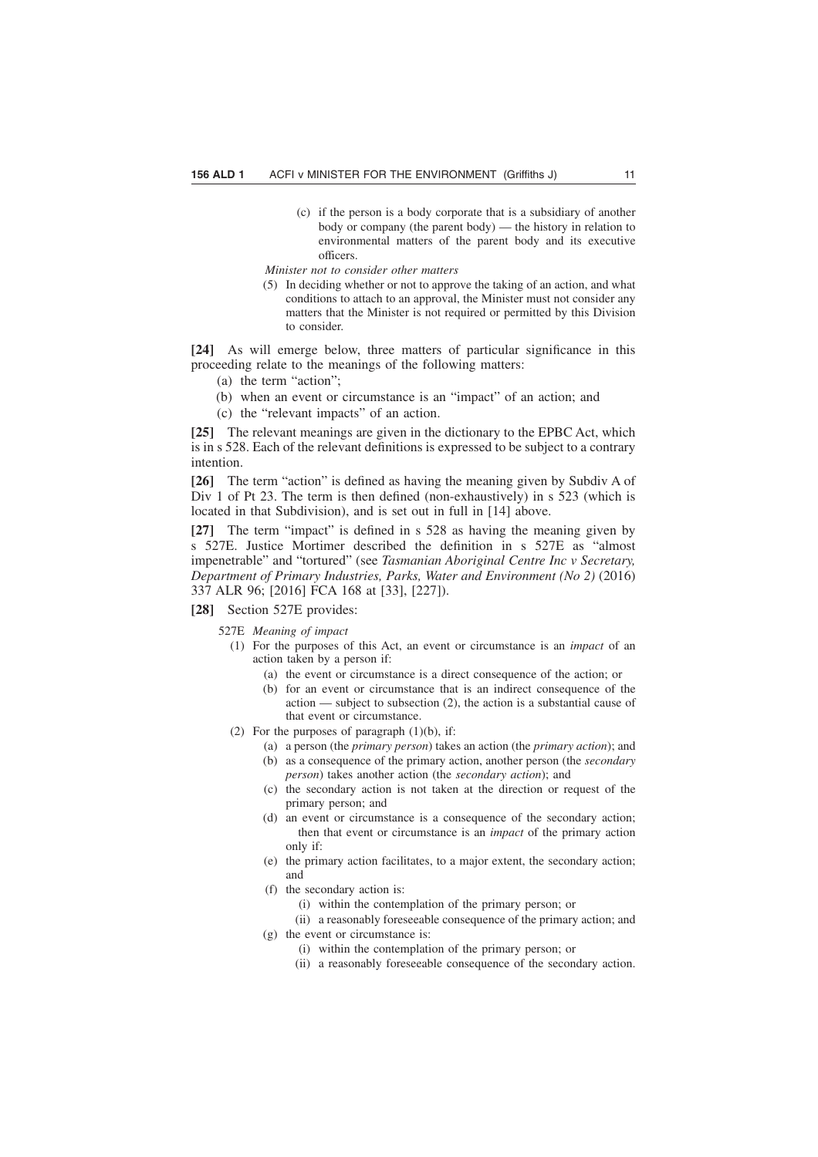(c) if the person is a body corporate that is a subsidiary of another body or company (the parent body) — the history in relation to environmental matters of the parent body and its executive officers.

*Minister not to consider other matters*

(5) In deciding whether or not to approve the taking of an action, and what conditions to attach to an approval, the Minister must not consider any matters that the Minister is not required or permitted by this Division to consider.

**[24]** As will emerge below, three matters of particular significance in this proceeding relate to the meanings of the following matters:

- (a) the term "action";
- (b) when an event or circumstance is an "impact" of an action; and
- (c) the "relevant impacts" of an action.

**[25]** The relevant meanings are given in the dictionary to the EPBC Act, which is in s 528. Each of the relevant definitions is expressed to be subject to a contrary intention.

**[26]** The term "action" is defined as having the meaning given by Subdiv A of Div 1 of Pt 23. The term is then defined (non-exhaustively) in s 523 (which is located in that Subdivision), and is set out in full in [14] above.

**[27]** The term "impact" is defined in s 528 as having the meaning given by s 527E. Justice Mortimer described the definition in s 527E as "almost impenetrable" and "tortured" (see *Tasmanian Aboriginal Centre Inc v Secretary, Department of Primary Industries, Parks, Water and Environment (No 2)* (2016) 337 ALR 96; [2016] FCA 168 at [33], [227]).

- **[28]** Section 527E provides:
	- 527E *Meaning of impact*
		- (1) For the purposes of this Act, an event or circumstance is an *impact* of an action taken by a person if:
			- (a) the event or circumstance is a direct consequence of the action; or
			- (b) for an event or circumstance that is an indirect consequence of the action — subject to subsection (2), the action is a substantial cause of that event or circumstance.
		- (2) For the purposes of paragraph  $(1)(b)$ , if:
			- (a) a person (the *primary person*) takes an action (the *primary action*); and
			- (b) as a consequence of the primary action, another person (the *secondary person*) takes another action (the *secondary action*); and
			- (c) the secondary action is not taken at the direction or request of the primary person; and
			- (d) an event or circumstance is a consequence of the secondary action; then that event or circumstance is an *impact* of the primary action only if:
			- (e) the primary action facilitates, to a major extent, the secondary action; and
			- (f) the secondary action is:
				- (i) within the contemplation of the primary person; or
			- (ii) a reasonably foreseeable consequence of the primary action; and (g) the event or circumstance is:
				- (i) within the contemplation of the primary person; or
				- (ii) a reasonably foreseeable consequence of the secondary action.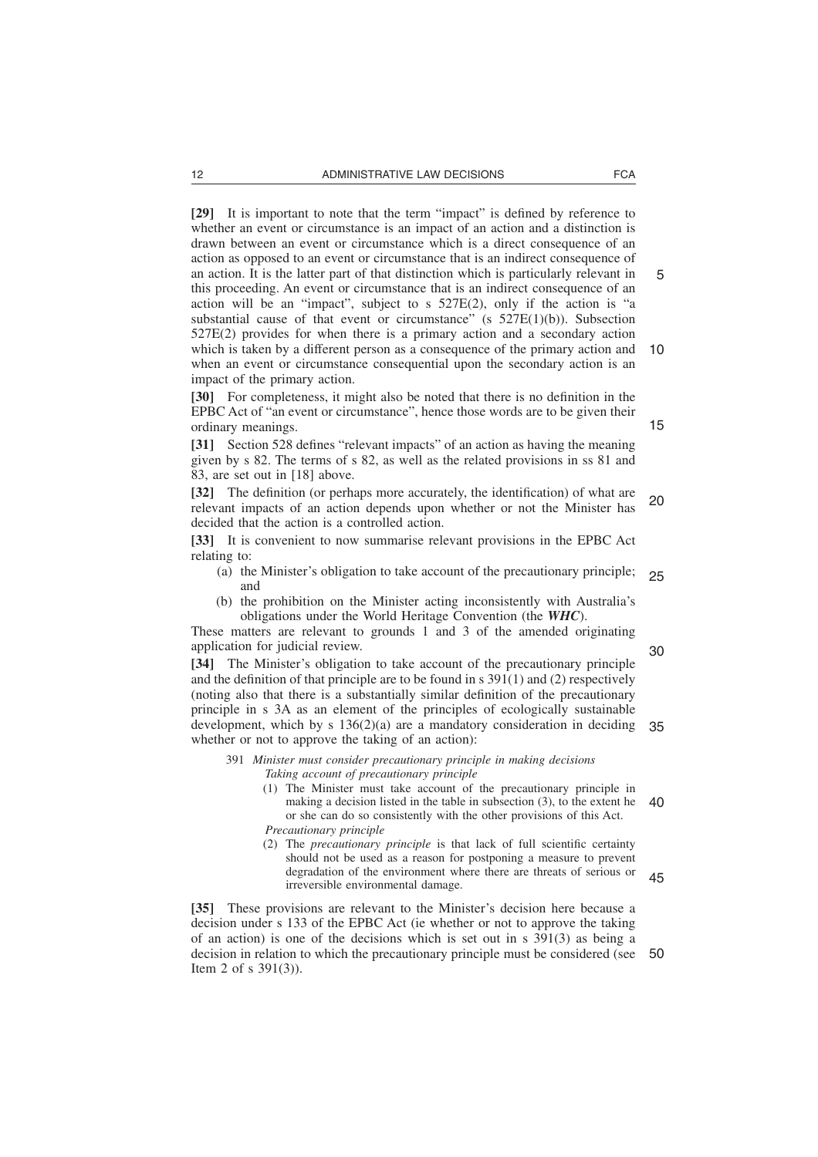**[29]** It is important to note that the term "impact" is defined by reference to whether an event or circumstance is an impact of an action and a distinction is drawn between an event or circumstance which is a direct consequence of an action as opposed to an event or circumstance that is an indirect consequence of an action. It is the latter part of that distinction which is particularly relevant in this proceeding. An event or circumstance that is an indirect consequence of an action will be an "impact", subject to s  $527E(2)$ , only if the action is "a substantial cause of that event or circumstance" (s  $527E(1)(b)$ ). Subsection 527E(2) provides for when there is a primary action and a secondary action which is taken by a different person as a consequence of the primary action and when an event or circumstance consequential upon the secondary action is an impact of the primary action. 5 10

**[30]** For completeness, it might also be noted that there is no definition in the EPBC Act of "an event or circumstance", hence those words are to be given their ordinary meanings.

**[31]** Section 528 defines "relevant impacts" of an action as having the meaning given by s 82. The terms of s 82, as well as the related provisions in ss 81 and 83, are set out in [18] above.

**[32]** The definition (or perhaps more accurately, the identification) of what are relevant impacts of an action depends upon whether or not the Minister has decided that the action is a controlled action. 20

**[33]** It is convenient to now summarise relevant provisions in the EPBC Act relating to:

- (a) the Minister's obligation to take account of the precautionary principle; and 25
- (b) the prohibition on the Minister acting inconsistently with Australia's obligations under the World Heritage Convention (the *WHC*).

These matters are relevant to grounds 1 and 3 of the amended originating application for judicial review.

**[34]** The Minister's obligation to take account of the precautionary principle and the definition of that principle are to be found in s 391(1) and (2) respectively (noting also that there is a substantially similar definition of the precautionary principle in s 3A as an element of the principles of ecologically sustainable development, which by s 136(2)(a) are a mandatory consideration in deciding 35 whether or not to approve the taking of an action): 30

- 391 *Minister must consider precautionary principle in making decisions Taking account of precautionary principle*
	- (1) The Minister must take account of the precautionary principle in making a decision listed in the table in subsection (3), to the extent he or she can do so consistently with the other provisions of this Act. *Precautionary principle* 40
	- (2) The *precautionary principle* is that lack of full scientific certainty should not be used as a reason for postponing a measure to prevent degradation of the environment where there are threats of serious or irreversible environmental damage. 45

**[35]** These provisions are relevant to the Minister's decision here because a decision under s 133 of the EPBC Act (ie whether or not to approve the taking of an action) is one of the decisions which is set out in s 391(3) as being a decision in relation to which the precautionary principle must be considered (see Item 2 of s 391(3)). 50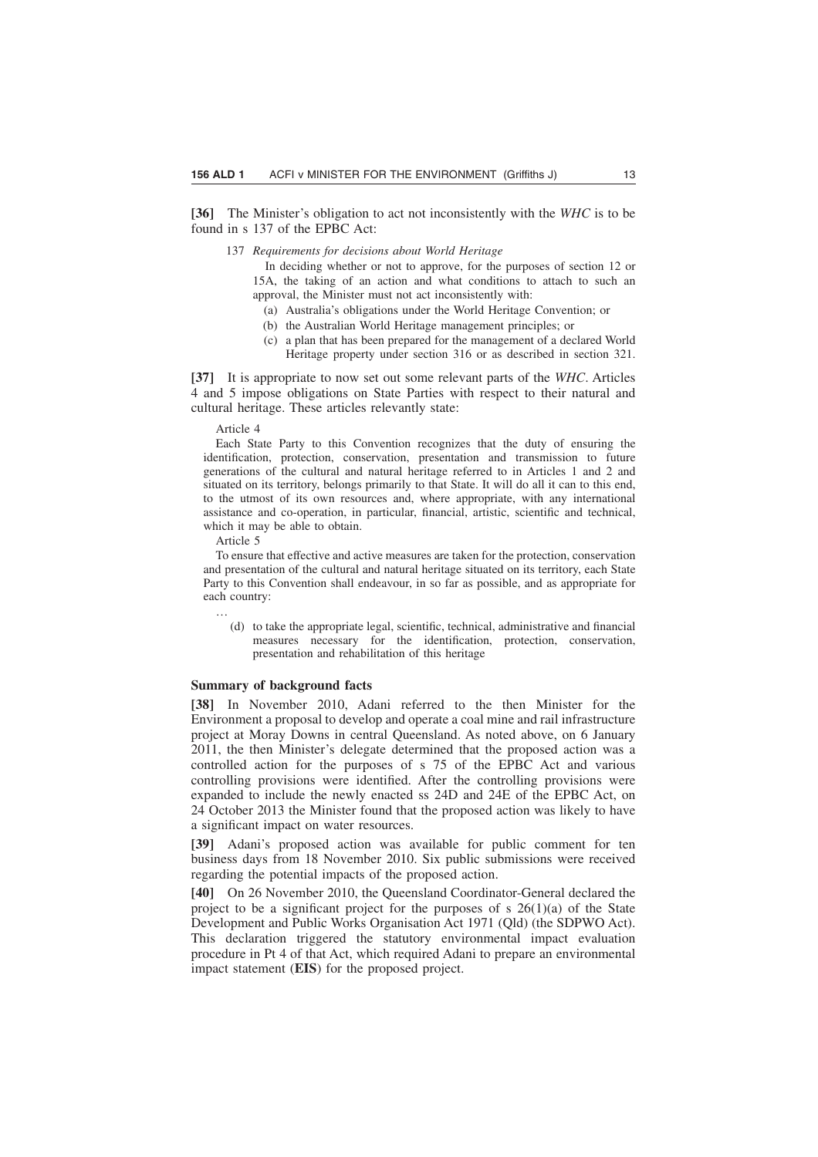**[36]** The Minister's obligation to act not inconsistently with the *WHC* is to be found in s 137 of the EPBC Act:

137 *Requirements for decisions about World Heritage*

In deciding whether or not to approve, for the purposes of section 12 or 15A, the taking of an action and what conditions to attach to such an approval, the Minister must not act inconsistently with:

- (a) Australia's obligations under the World Heritage Convention; or
- (b) the Australian World Heritage management principles; or
- (c) a plan that has been prepared for the management of a declared World Heritage property under section 316 or as described in section 321.

**[37]** It is appropriate to now set out some relevant parts of the *WHC*. Articles 4 and 5 impose obligations on State Parties with respect to their natural and cultural heritage. These articles relevantly state:

Article 4

Each State Party to this Convention recognizes that the duty of ensuring the identification, protection, conservation, presentation and transmission to future generations of the cultural and natural heritage referred to in Articles 1 and 2 and situated on its territory, belongs primarily to that State. It will do all it can to this end, to the utmost of its own resources and, where appropriate, with any international assistance and co-operation, in particular, financial, artistic, scientific and technical, which it may be able to obtain.

Article 5

…

To ensure that effective and active measures are taken for the protection, conservation and presentation of the cultural and natural heritage situated on its territory, each State Party to this Convention shall endeavour, in so far as possible, and as appropriate for each country:

(d) to take the appropriate legal, scientific, technical, administrative and financial measures necessary for the identification, protection, conservation, presentation and rehabilitation of this heritage

#### **Summary of background facts**

**[38]** In November 2010, Adani referred to the then Minister for the Environment a proposal to develop and operate a coal mine and rail infrastructure project at Moray Downs in central Queensland. As noted above, on 6 January 2011, the then Minister's delegate determined that the proposed action was a controlled action for the purposes of s 75 of the EPBC Act and various controlling provisions were identified. After the controlling provisions were expanded to include the newly enacted ss 24D and 24E of the EPBC Act, on 24 October 2013 the Minister found that the proposed action was likely to have a significant impact on water resources.

**[39]** Adani's proposed action was available for public comment for ten business days from 18 November 2010. Six public submissions were received regarding the potential impacts of the proposed action.

**[40]** On 26 November 2010, the Queensland Coordinator-General declared the project to be a significant project for the purposes of s  $26(1)(a)$  of the State Development and Public Works Organisation Act 1971 (Qld) (the SDPWO Act). This declaration triggered the statutory environmental impact evaluation procedure in Pt 4 of that Act, which required Adani to prepare an environmental impact statement (**EIS**) for the proposed project.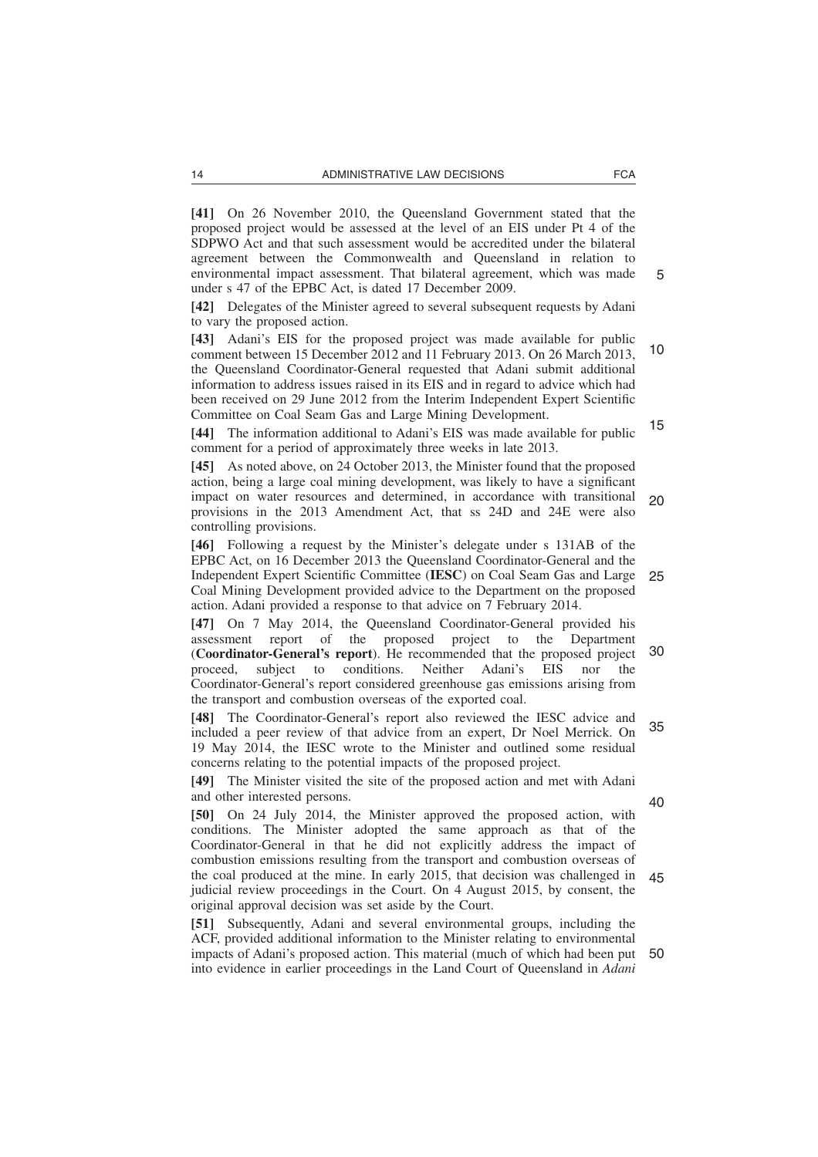**[41]** On 26 November 2010, the Queensland Government stated that the proposed project would be assessed at the level of an EIS under Pt 4 of the SDPWO Act and that such assessment would be accredited under the bilateral agreement between the Commonwealth and Queensland in relation to environmental impact assessment. That bilateral agreement, which was made under s 47 of the EPBC Act, is dated 17 December 2009.

**[42]** Delegates of the Minister agreed to several subsequent requests by Adani to vary the proposed action.

**[43]** Adani's EIS for the proposed project was made available for public comment between 15 December 2012 and 11 February 2013. On 26 March 2013, the Queensland Coordinator-General requested that Adani submit additional information to address issues raised in its EIS and in regard to advice which had been received on 29 June 2012 from the Interim Independent Expert Scientific Committee on Coal Seam Gas and Large Mining Development. 10 15

**[44]** The information additional to Adani's EIS was made available for public comment for a period of approximately three weeks in late 2013.

**[45]** As noted above, on 24 October 2013, the Minister found that the proposed action, being a large coal mining development, was likely to have a significant impact on water resources and determined, in accordance with transitional provisions in the 2013 Amendment Act, that ss 24D and 24E were also controlling provisions. 20

**[46]** Following a request by the Minister's delegate under s 131AB of the EPBC Act, on 16 December 2013 the Queensland Coordinator-General and the Independent Expert Scientific Committee (**IESC**) on Coal Seam Gas and Large Coal Mining Development provided advice to the Department on the proposed action. Adani provided a response to that advice on 7 February 2014. 25

**[47]** On 7 May 2014, the Queensland Coordinator-General provided his assessment report of the proposed project to the Department (**Coordinator-General's report**). He recommended that the proposed project proceed, subject to conditions. Neither Adani's EIS nor the Coordinator-General's report considered greenhouse gas emissions arising from the transport and combustion overseas of the exported coal. 30

**[48]** The Coordinator-General's report also reviewed the IESC advice and included a peer review of that advice from an expert, Dr Noel Merrick. On 19 May 2014, the IESC wrote to the Minister and outlined some residual concerns relating to the potential impacts of the proposed project. 35

**[49]** The Minister visited the site of the proposed action and met with Adani and other interested persons.

40

**[50]** On 24 July 2014, the Minister approved the proposed action, with conditions. The Minister adopted the same approach as that of the Coordinator-General in that he did not explicitly address the impact of combustion emissions resulting from the transport and combustion overseas of the coal produced at the mine. In early 2015, that decision was challenged in judicial review proceedings in the Court. On 4 August 2015, by consent, the original approval decision was set aside by the Court. 45

**[51]** Subsequently, Adani and several environmental groups, including the ACF, provided additional information to the Minister relating to environmental impacts of Adani's proposed action. This material (much of which had been put 50into evidence in earlier proceedings in the Land Court of Queensland in *Adani*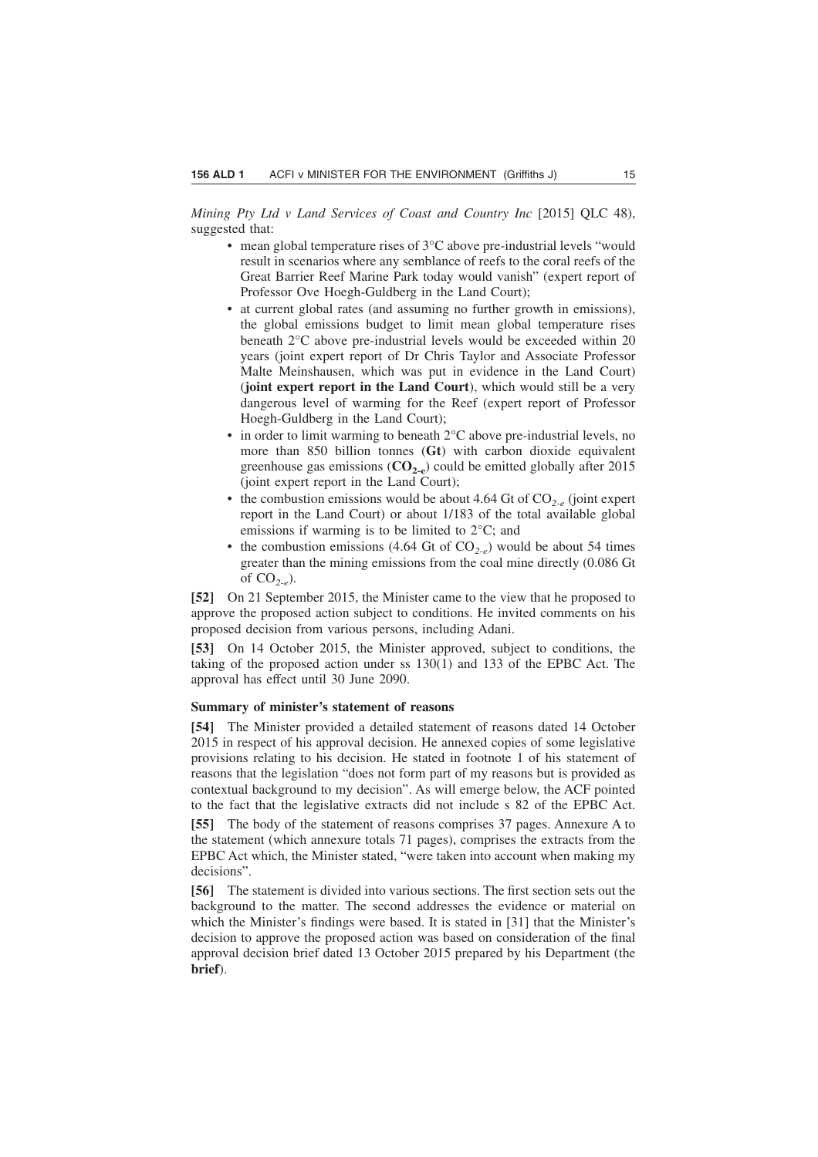*Mining Pty Ltd v Land Services of Coast and Country Inc* [2015] QLC 48), suggested that:

- mean global temperature rises of 3°C above pre-industrial levels "would result in scenarios where any semblance of reefs to the coral reefs of the Great Barrier Reef Marine Park today would vanish" (expert report of Professor Ove Hoegh-Guldberg in the Land Court);
- at current global rates (and assuming no further growth in emissions), the global emissions budget to limit mean global temperature rises beneath 2°C above pre-industrial levels would be exceeded within 20 years (joint expert report of Dr Chris Taylor and Associate Professor Malte Meinshausen, which was put in evidence in the Land Court) (**joint expert report in the Land Court**), which would still be a very dangerous level of warming for the Reef (expert report of Professor Hoegh-Guldberg in the Land Court);
- in order to limit warming to beneath  $2^{\circ}$ C above pre-industrial levels, no more than 850 billion tonnes (**Gt**) with carbon dioxide equivalent greenhouse gas emissions  $(CO_{2,\rho})$  could be emitted globally after 2015 (joint expert report in the Land Court);
- the combustion emissions would be about 4.64 Gt of CO*2-e* (joint expert report in the Land Court) or about 1/183 of the total available global emissions if warming is to be limited to 2°C; and
- the combustion emissions (4.64 Gt of  $CO_{2-e}$ ) would be about 54 times greater than the mining emissions from the coal mine directly (0.086 Gt of CO*2-e*).

**[52]** On 21 September 2015, the Minister came to the view that he proposed to approve the proposed action subject to conditions. He invited comments on his proposed decision from various persons, including Adani.

**[53]** On 14 October 2015, the Minister approved, subject to conditions, the taking of the proposed action under ss 130(1) and 133 of the EPBC Act. The approval has effect until 30 June 2090.

# **Summary of minister's statement of reasons**

**[54]** The Minister provided a detailed statement of reasons dated 14 October 2015 in respect of his approval decision. He annexed copies of some legislative provisions relating to his decision. He stated in footnote 1 of his statement of reasons that the legislation "does not form part of my reasons but is provided as contextual background to my decision". As will emerge below, the ACF pointed to the fact that the legislative extracts did not include s 82 of the EPBC Act.

**[55]** The body of the statement of reasons comprises 37 pages. Annexure A to the statement (which annexure totals 71 pages), comprises the extracts from the EPBC Act which, the Minister stated, "were taken into account when making my decisions".

**[56]** The statement is divided into various sections. The first section sets out the background to the matter. The second addresses the evidence or material on which the Minister's findings were based. It is stated in [31] that the Minister's decision to approve the proposed action was based on consideration of the final approval decision brief dated 13 October 2015 prepared by his Department (the **brief**).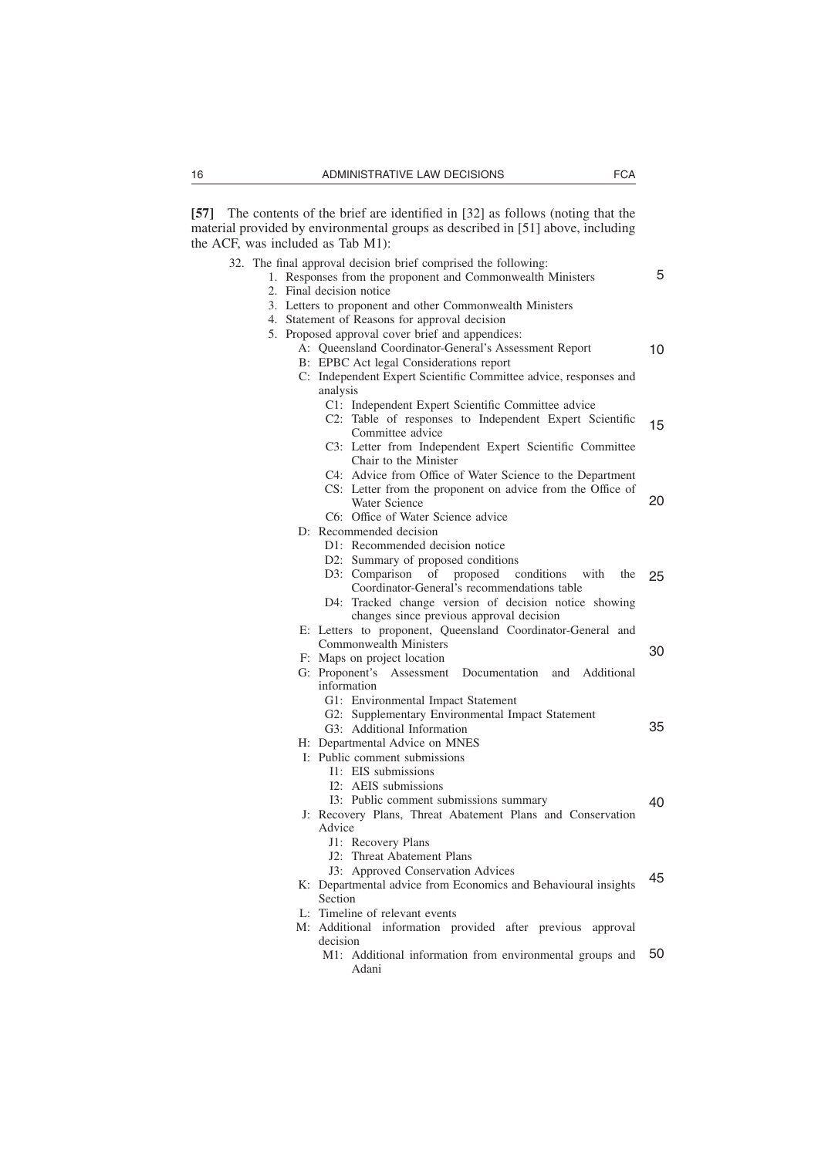**[57]** The contents of the brief are identified in [32] as follows (noting that the material provided by environmental groups as described in [51] above, including the ACF, was included as Tab M1):

- 32. The final approval decision brief comprised the following:
	- 1. Responses from the proponent and Commonwealth Ministers 2. Final decision notice
		- 3. Letters to proponent and other Commonwealth Ministers
		- 4. Statement of Reasons for approval decision
		- 5. Proposed approval cover brief and appendices:
			- A: Queensland Coordinator-General's Assessment Report B: EPBC Act legal Considerations report 10
			-
			- C: Independent Expert Scientific Committee advice, responses and analysis
				- C1: Independent Expert Scientific Committee advice
				- C2: Table of responses to Independent Expert Scientific Committee advice 15
				- C3: Letter from Independent Expert Scientific Committee Chair to the Minister
				- C4: Advice from Office of Water Science to the Department
				- CS: Letter from the proponent on advice from the Office of Water Science 20
				- C6: Office of Water Science advice
			- D: Recommended decision
				- D1: Recommended decision notice
				- D2: Summary of proposed conditions
				- D3: Comparison of proposed conditions with the Coordinator-General's recommendations table D4: Tracked change version of decision notice showing changes since previous approval decision 25
			- E: Letters to proponent, Queensland Coordinator-General and Commonwealth Ministers 30
			- F: Maps on project location G: Proponent's Assessment Documentation and Additional
				- information G1: Environmental Impact Statement
				- G2: Supplementary Environmental Impact Statement
				- G3: Additional Information 35
			- H: Departmental Advice on MNES
			- I: Public comment submissions
				- I1: EIS submissions
				- I2: AEIS submissions
				- I3: Public comment submissions summary 40
			- J: Recovery Plans, Threat Abatement Plans and Conservation Advice
				- J1: Recovery Plans
				- J2: Threat Abatement Plans
				- J3: Approved Conservation Advices
			- K: Departmental advice from Economics and Behavioural insights Section 45
			- L: Timeline of relevant events
			- M: Additional information provided after previous approval decision
				- M1: Additional information from environmental groups and Adani 50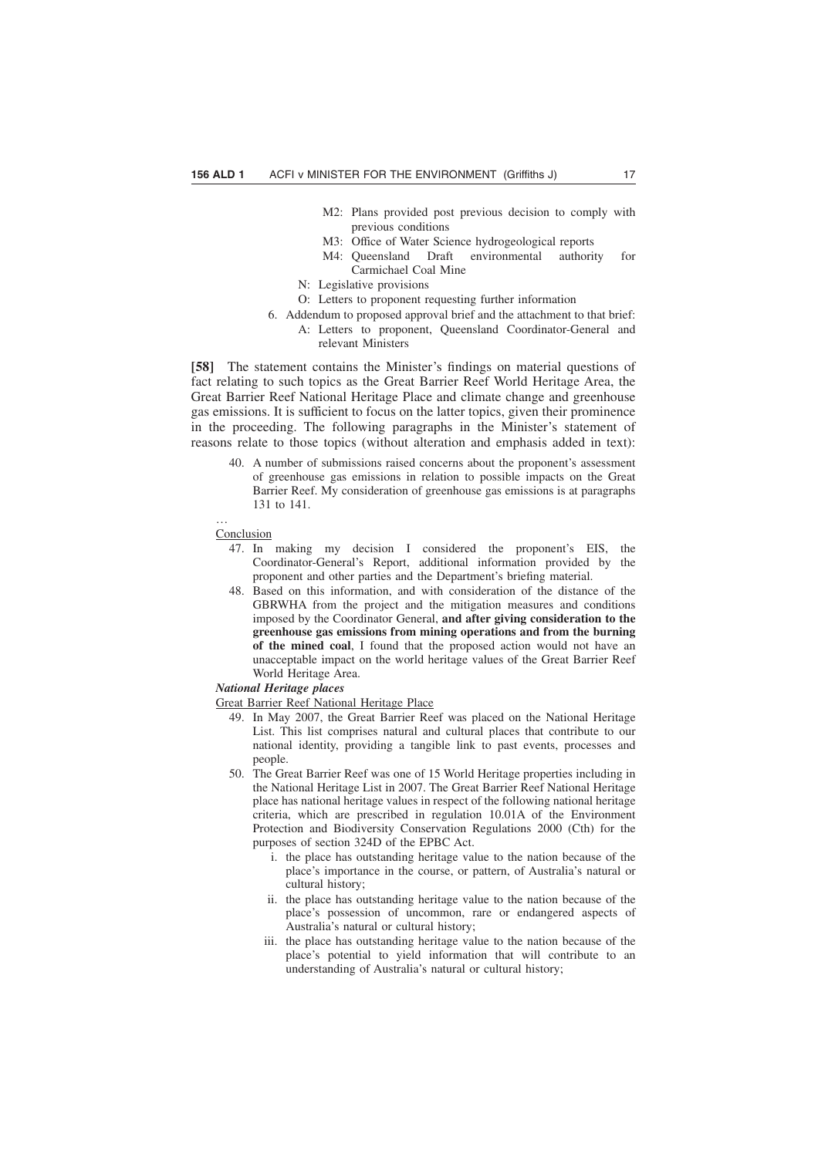- M2: Plans provided post previous decision to comply with previous conditions
- M3: Office of Water Science hydrogeological reports
- M4: Queensland Draft environmental authority for Carmichael Coal Mine
- N: Legislative provisions
- O: Letters to proponent requesting further information
- 6. Addendum to proposed approval brief and the attachment to that brief: A: Letters to proponent, Queensland Coordinator-General and relevant Ministers

**[58]** The statement contains the Minister's findings on material questions of fact relating to such topics as the Great Barrier Reef World Heritage Area, the Great Barrier Reef National Heritage Place and climate change and greenhouse gas emissions. It is sufficient to focus on the latter topics, given their prominence in the proceeding. The following paragraphs in the Minister's statement of reasons relate to those topics (without alteration and emphasis added in text):

40. A number of submissions raised concerns about the proponent's assessment of greenhouse gas emissions in relation to possible impacts on the Great Barrier Reef. My consideration of greenhouse gas emissions is at paragraphs 131 to 141.

**Conclusion** 

…

- 47. In making my decision I considered the proponent's EIS, the Coordinator-General's Report, additional information provided by the proponent and other parties and the Department's briefing material.
- 48. Based on this information, and with consideration of the distance of the GBRWHA from the project and the mitigation measures and conditions imposed by the Coordinator General, **and after giving consideration to the greenhouse gas emissions from mining operations and from the burning of the mined coal**, I found that the proposed action would not have an unacceptable impact on the world heritage values of the Great Barrier Reef World Heritage Area.

#### *National Heritage places*

Great Barrier Reef National Heritage Place

- 49. In May 2007, the Great Barrier Reef was placed on the National Heritage List. This list comprises natural and cultural places that contribute to our national identity, providing a tangible link to past events, processes and people.
- 50. The Great Barrier Reef was one of 15 World Heritage properties including in the National Heritage List in 2007. The Great Barrier Reef National Heritage place has national heritage values in respect of the following national heritage criteria, which are prescribed in regulation 10.01A of the Environment Protection and Biodiversity Conservation Regulations 2000 (Cth) for the purposes of section 324D of the EPBC Act.
	- i. the place has outstanding heritage value to the nation because of the place's importance in the course, or pattern, of Australia's natural or cultural history;
	- ii. the place has outstanding heritage value to the nation because of the place's possession of uncommon, rare or endangered aspects of Australia's natural or cultural history;
	- iii. the place has outstanding heritage value to the nation because of the place's potential to yield information that will contribute to an understanding of Australia's natural or cultural history;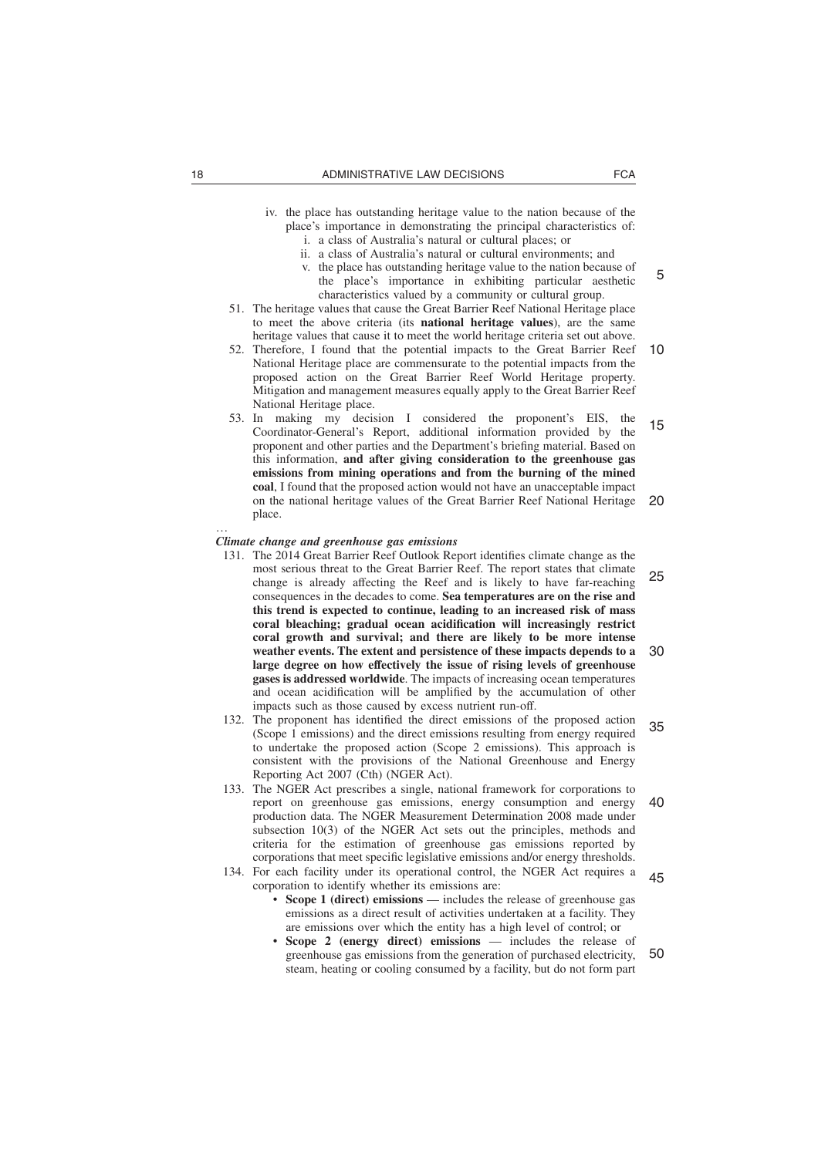- iv. the place has outstanding heritage value to the nation because of the place's importance in demonstrating the principal characteristics of:
	- i. a class of Australia's natural or cultural places; or
	- ii. a class of Australia's natural or cultural environments; and
	- v. the place has outstanding heritage value to the nation because of the place's importance in exhibiting particular aesthetic characteristics valued by a community or cultural group.
- 51. The heritage values that cause the Great Barrier Reef National Heritage place to meet the above criteria (its **national heritage values**), are the same heritage values that cause it to meet the world heritage criteria set out above.
- 52. Therefore, I found that the potential impacts to the Great Barrier Reef National Heritage place are commensurate to the potential impacts from the proposed action on the Great Barrier Reef World Heritage property. Mitigation and management measures equally apply to the Great Barrier Reef National Heritage place. 10
- 53. In making my decision I considered the proponent's EIS, the Coordinator-General's Report, additional information provided by the proponent and other parties and the Department's briefing material. Based on this information, **and after giving consideration to the greenhouse gas emissions from mining operations and from the burning of the mined coal**, I found that the proposed action would not have an unacceptable impact on the national heritage values of the Great Barrier Reef National Heritage place. 15 20

#### *Climate change and greenhouse gas emissions*

- 131. The 2014 Great Barrier Reef Outlook Report identifies climate change as the most serious threat to the Great Barrier Reef. The report states that climate change is already affecting the Reef and is likely to have far-reaching consequences in the decades to come. **Sea temperatures are on the rise and this trend is expected to continue, leading to an increased risk of mass coral bleaching; gradual ocean acidification will increasingly restrict coral growth and survival; and there are likely to be more intense weather events. The extent and persistence of these impacts depends to a large degree on how effectively the issue of rising levels of greenhouse gases is addressed worldwide**. The impacts of increasing ocean temperatures and ocean acidification will be amplified by the accumulation of other impacts such as those caused by excess nutrient run-off. 25 30
- 132. The proponent has identified the direct emissions of the proposed action (Scope 1 emissions) and the direct emissions resulting from energy required to undertake the proposed action (Scope 2 emissions). This approach is consistent with the provisions of the National Greenhouse and Energy Reporting Act 2007 (Cth) (NGER Act). 35
- 133. The NGER Act prescribes a single, national framework for corporations to report on greenhouse gas emissions, energy consumption and energy production data. The NGER Measurement Determination 2008 made under subsection 10(3) of the NGER Act sets out the principles, methods and criteria for the estimation of greenhouse gas emissions reported by corporations that meet specific legislative emissions and/or energy thresholds. 40
- 134. For each facility under its operational control, the NGER Act requires a corporation to identify whether its emissions are:
	- **Scope 1 (direct) emissions** includes the release of greenhouse gas emissions as a direct result of activities undertaken at a facility. They are emissions over which the entity has a high level of control; or
	- **Scope 2 (energy direct) emissions** includes the release of greenhouse gas emissions from the generation of purchased electricity, steam, heating or cooling consumed by a facility, but do not form part 50

…

5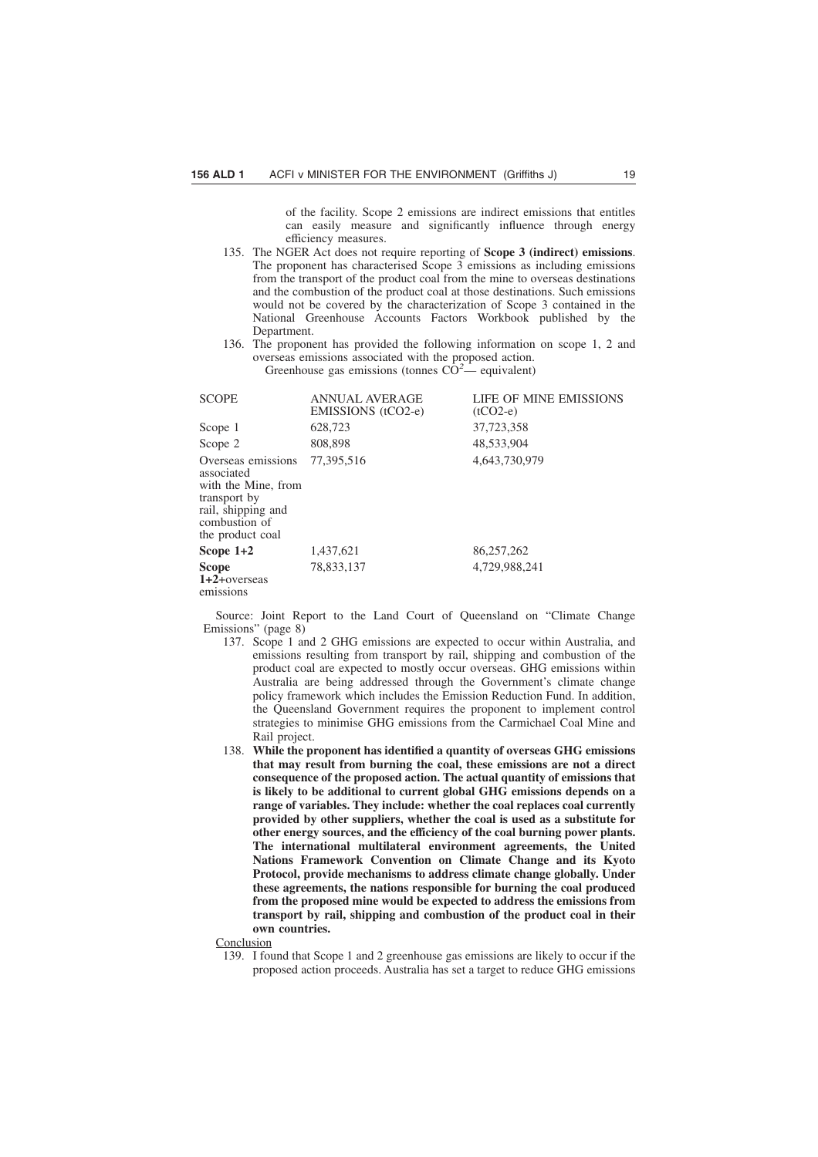of the facility. Scope 2 emissions are indirect emissions that entitles can easily measure and significantly influence through energy efficiency measures.

- 135. The NGER Act does not require reporting of **Scope 3 (indirect) emissions**. The proponent has characterised Scope  $\overline{3}$  emissions as including emissions from the transport of the product coal from the mine to overseas destinations and the combustion of the product coal at those destinations. Such emissions would not be covered by the characterization of Scope 3 contained in the National Greenhouse Accounts Factors Workbook published by the Department.
- 136. The proponent has provided the following information on scope 1, 2 and overseas emissions associated with the proposed action. Greenhouse gas emissions (tonnes  $C\dot{O}^2$  equivalent)

| <b>SCOPE</b>                                                                                                                       | <b>ANNUAL AVERAGE</b><br>EMISSIONS (tCO2-e) | LIFE OF MINE EMISSIONS<br>$(tCO2-e)$ |
|------------------------------------------------------------------------------------------------------------------------------------|---------------------------------------------|--------------------------------------|
| Scope 1                                                                                                                            | 628,723                                     | 37,723,358                           |
| Scope 2                                                                                                                            | 808,898                                     | 48,533,904                           |
| Overseas emissions<br>associated<br>with the Mine, from<br>transport by<br>rail, shipping and<br>combustion of<br>the product coal | 77.395.516                                  | 4,643,730,979                        |
| Scope $1+2$                                                                                                                        | 1,437,621                                   | 86,257,262                           |
| <b>Scope</b><br>$1+2+overse$<br>emissions                                                                                          | 78.833.137                                  | 4.729.988.241                        |

Source: Joint Report to the Land Court of Queensland on "Climate Change Emissions" (page 8)

- 137. Scope 1 and 2 GHG emissions are expected to occur within Australia, and emissions resulting from transport by rail, shipping and combustion of the product coal are expected to mostly occur overseas. GHG emissions within Australia are being addressed through the Government's climate change policy framework which includes the Emission Reduction Fund. In addition, the Queensland Government requires the proponent to implement control strategies to minimise GHG emissions from the Carmichael Coal Mine and Rail project.
- 138. **While the proponent has identified a quantity of overseas GHG emissions that may result from burning the coal, these emissions are not a direct consequence of the proposed action. The actual quantity of emissions that is likely to be additional to current global GHG emissions depends on a range of variables. They include: whether the coal replaces coal currently provided by other suppliers, whether the coal is used as a substitute for other energy sources, and the efficiency of the coal burning power plants. The international multilateral environment agreements, the United Nations Framework Convention on Climate Change and its Kyoto Protocol, provide mechanisms to address climate change globally. Under these agreements, the nations responsible for burning the coal produced from the proposed mine would be expected to address the emissions from transport by rail, shipping and combustion of the product coal in their own countries.**

#### **Conclusion**

139. I found that Scope 1 and 2 greenhouse gas emissions are likely to occur if the proposed action proceeds. Australia has set a target to reduce GHG emissions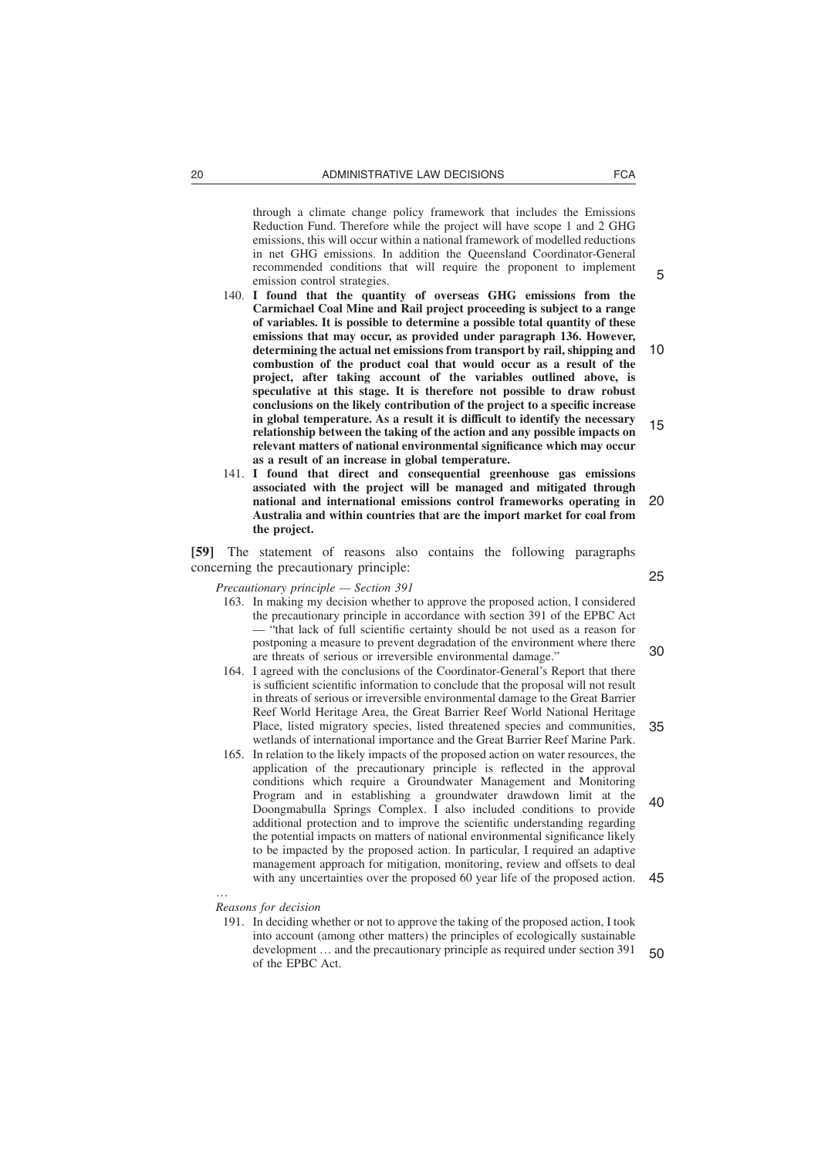through a climate change policy framework that includes the Emissions Reduction Fund. Therefore while the project will have scope 1 and 2 GHG emissions, this will occur within a national framework of modelled reductions in net GHG emissions. In addition the Queensland Coordinator-General recommended conditions that will require the proponent to implement emission control strategies.

- 140. **I found that the quantity of overseas GHG emissions from the Carmichael Coal Mine and Rail project proceeding is subject to a range of variables. It is possible to determine a possible total quantity of these emissions that may occur, as provided under paragraph 136. However, determining the actual net emissions from transport by rail, shipping and combustion of the product coal that would occur as a result of the project, after taking account of the variables outlined above, is speculative at this stage. It is therefore not possible to draw robust conclusions on the likely contribution of the project to a specific increase in global temperature. As a result it is difficult to identify the necessary relationship between the taking of the action and any possible impacts on relevant matters of national environmental significance which may occur as a result of an increase in global temperature.** 10 15
- 141. **I found that direct and consequential greenhouse gas emissions associated with the project will be managed and mitigated through national and international emissions control frameworks operating in Australia and within countries that are the import market for coal from the project.** 20

**[59]** The statement of reasons also contains the following paragraphs concerning the precautionary principle:

*Precautionary principle — Section 391*

- 163. In making my decision whether to approve the proposed action, I considered the precautionary principle in accordance with section 391 of the EPBC Act — "that lack of full scientific certainty should be not used as a reason for postponing a measure to prevent degradation of the environment where there are threats of serious or irreversible environmental damage."
- 164. I agreed with the conclusions of the Coordinator-General's Report that there is sufficient scientific information to conclude that the proposal will not result in threats of serious or irreversible environmental damage to the Great Barrier Reef World Heritage Area, the Great Barrier Reef World National Heritage Place, listed migratory species, listed threatened species and communities, wetlands of international importance and the Great Barrier Reef Marine Park. 35
- 165. In relation to the likely impacts of the proposed action on water resources, the application of the precautionary principle is reflected in the approval conditions which require a Groundwater Management and Monitoring Program and in establishing a groundwater drawdown limit at the Doongmabulla Springs Complex. I also included conditions to provide additional protection and to improve the scientific understanding regarding the potential impacts on matters of national environmental significance likely to be impacted by the proposed action. In particular, I required an adaptive management approach for mitigation, monitoring, review and offsets to deal with any uncertainties over the proposed 60 year life of the proposed action. 40 45
- *Reasons for decision*

…

191. In deciding whether or not to approve the taking of the proposed action, I took into account (among other matters) the principles of ecologically sustainable development … and the precautionary principle as required under section 391 of the EPBC Act. 50

5

25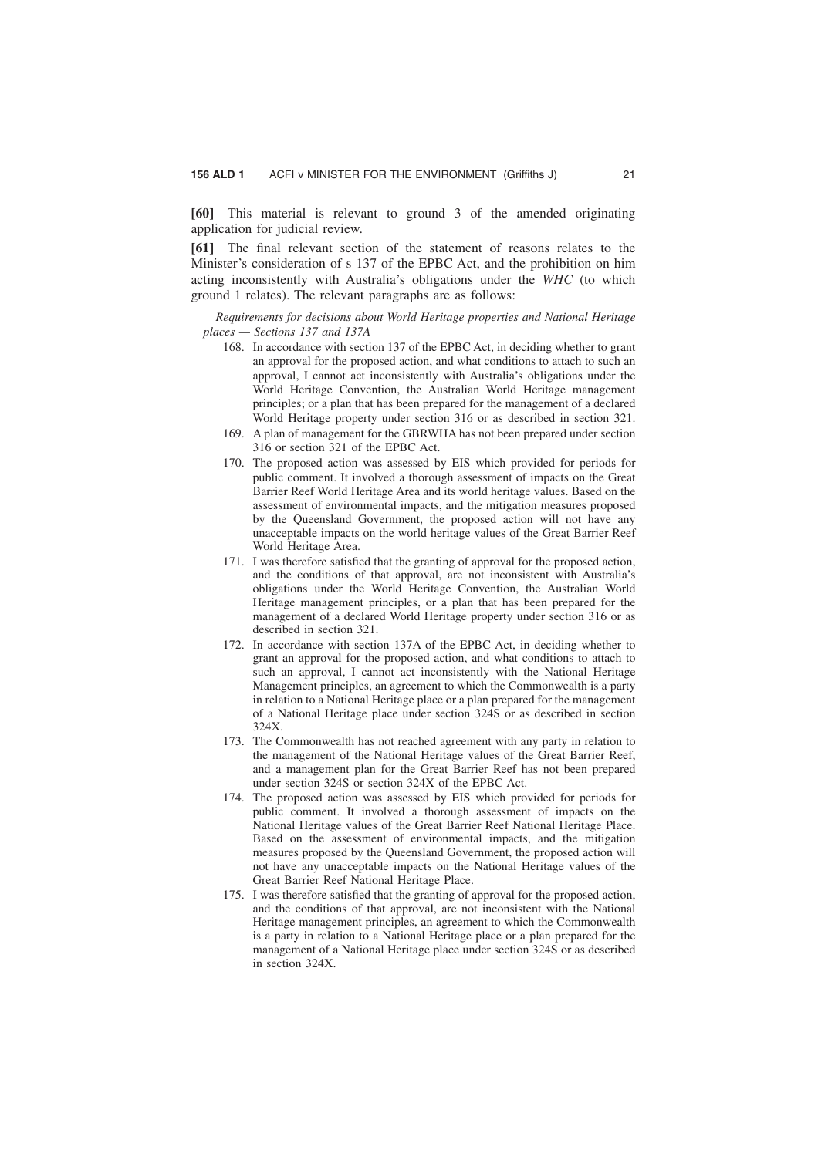**[60]** This material is relevant to ground 3 of the amended originating application for judicial review.

**[61]** The final relevant section of the statement of reasons relates to the Minister's consideration of s 137 of the EPBC Act, and the prohibition on him acting inconsistently with Australia's obligations under the *WHC* (to which ground 1 relates). The relevant paragraphs are as follows:

*Requirements for decisions about World Heritage properties and National Heritage places — Sections 137 and 137A*

- 168. In accordance with section 137 of the EPBC Act, in deciding whether to grant an approval for the proposed action, and what conditions to attach to such an approval, I cannot act inconsistently with Australia's obligations under the World Heritage Convention, the Australian World Heritage management principles; or a plan that has been prepared for the management of a declared World Heritage property under section 316 or as described in section 321.
- 169. A plan of management for the GBRWHA has not been prepared under section 316 or section 321 of the EPBC Act.
- 170. The proposed action was assessed by EIS which provided for periods for public comment. It involved a thorough assessment of impacts on the Great Barrier Reef World Heritage Area and its world heritage values. Based on the assessment of environmental impacts, and the mitigation measures proposed by the Queensland Government, the proposed action will not have any unacceptable impacts on the world heritage values of the Great Barrier Reef World Heritage Area.
- 171. I was therefore satisfied that the granting of approval for the proposed action, and the conditions of that approval, are not inconsistent with Australia's obligations under the World Heritage Convention, the Australian World Heritage management principles, or a plan that has been prepared for the management of a declared World Heritage property under section 316 or as described in section 321.
- 172. In accordance with section 137A of the EPBC Act, in deciding whether to grant an approval for the proposed action, and what conditions to attach to such an approval, I cannot act inconsistently with the National Heritage Management principles, an agreement to which the Commonwealth is a party in relation to a National Heritage place or a plan prepared for the management of a National Heritage place under section 324S or as described in section 324X.
- 173. The Commonwealth has not reached agreement with any party in relation to the management of the National Heritage values of the Great Barrier Reef, and a management plan for the Great Barrier Reef has not been prepared under section 324S or section 324X of the EPBC Act.
- 174. The proposed action was assessed by EIS which provided for periods for public comment. It involved a thorough assessment of impacts on the National Heritage values of the Great Barrier Reef National Heritage Place. Based on the assessment of environmental impacts, and the mitigation measures proposed by the Queensland Government, the proposed action will not have any unacceptable impacts on the National Heritage values of the Great Barrier Reef National Heritage Place.
- 175. I was therefore satisfied that the granting of approval for the proposed action, and the conditions of that approval, are not inconsistent with the National Heritage management principles, an agreement to which the Commonwealth is a party in relation to a National Heritage place or a plan prepared for the management of a National Heritage place under section 324S or as described in section 324X.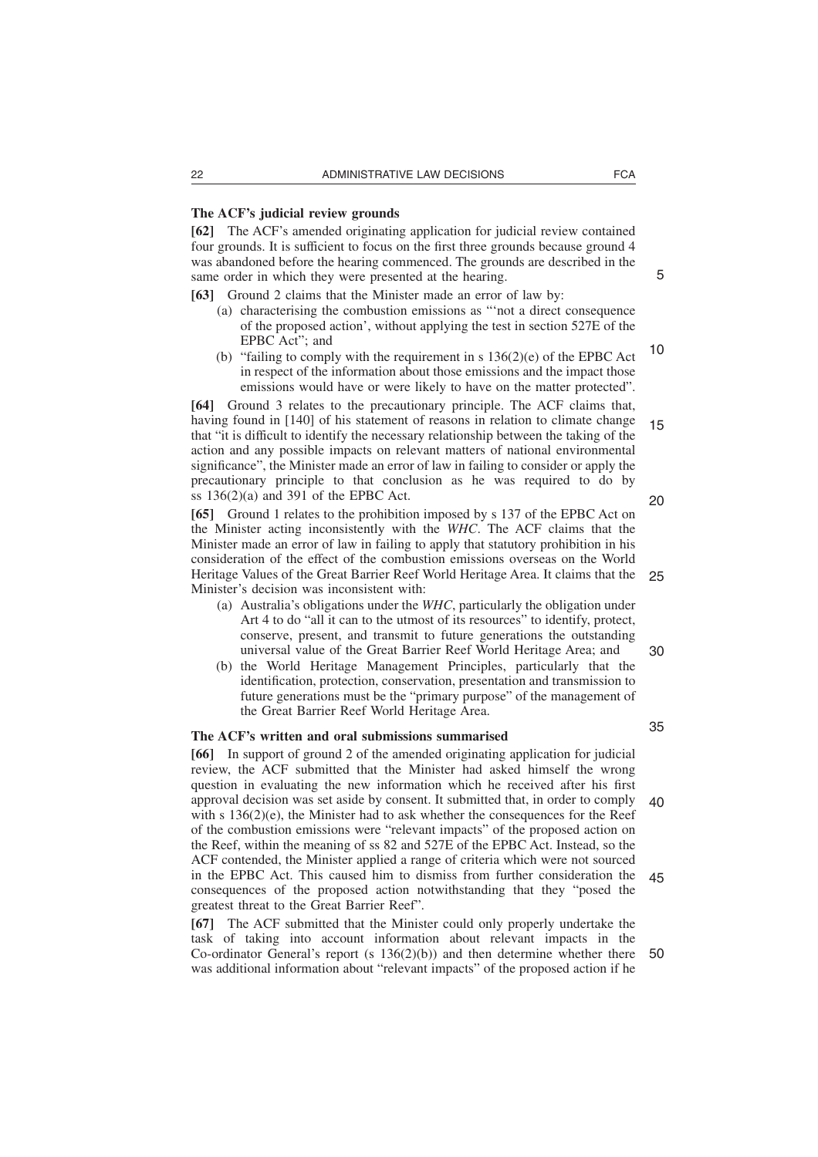#### **The ACF's judicial review grounds**

**[62]** The ACF's amended originating application for judicial review contained four grounds. It is sufficient to focus on the first three grounds because ground 4 was abandoned before the hearing commenced. The grounds are described in the same order in which they were presented at the hearing.

**[63]** Ground 2 claims that the Minister made an error of law by:

- (a) characterising the combustion emissions as "'not a direct consequence of the proposed action', without applying the test in section 527E of the EPBC Act"; and
- (b) "failing to comply with the requirement in s 136(2)(e) of the EPBC Act in respect of the information about those emissions and the impact those emissions would have or were likely to have on the matter protected". 10

**[64]** Ground 3 relates to the precautionary principle. The ACF claims that, having found in [140] of his statement of reasons in relation to climate change that "it is difficult to identify the necessary relationship between the taking of the action and any possible impacts on relevant matters of national environmental significance", the Minister made an error of law in failing to consider or apply the precautionary principle to that conclusion as he was required to do by ss  $136(2)(a)$  and  $391$  of the EPBC Act. 15 20

**[65]** Ground 1 relates to the prohibition imposed by s 137 of the EPBC Act on the Minister acting inconsistently with the *WHC*. The ACF claims that the Minister made an error of law in failing to apply that statutory prohibition in his consideration of the effect of the combustion emissions overseas on the World Heritage Values of the Great Barrier Reef World Heritage Area. It claims that the 25 Minister's decision was inconsistent with:

- (a) Australia's obligations under the *WHC*, particularly the obligation under Art 4 to do "all it can to the utmost of its resources" to identify, protect, conserve, present, and transmit to future generations the outstanding universal value of the Great Barrier Reef World Heritage Area; and
- (b) the World Heritage Management Principles, particularly that the identification, protection, conservation, presentation and transmission to future generations must be the "primary purpose" of the management of the Great Barrier Reef World Heritage Area.

# **The ACF's written and oral submissions summarised**

**[66]** In support of ground 2 of the amended originating application for judicial review, the ACF submitted that the Minister had asked himself the wrong question in evaluating the new information which he received after his first approval decision was set aside by consent. It submitted that, in order to comply with s  $136(2)(e)$ , the Minister had to ask whether the consequences for the Reef of the combustion emissions were "relevant impacts" of the proposed action on the Reef, within the meaning of ss 82 and 527E of the EPBC Act. Instead, so the ACF contended, the Minister applied a range of criteria which were not sourced in the EPBC Act. This caused him to dismiss from further consideration the consequences of the proposed action notwithstanding that they "posed the greatest threat to the Great Barrier Reef".  $40$ 45

**[67]** The ACF submitted that the Minister could only properly undertake the task of taking into account information about relevant impacts in the Co-ordinator General's report (s 136(2)(b)) and then determine whether there was additional information about "relevant impacts" of the proposed action if he 50

5

30

- 
-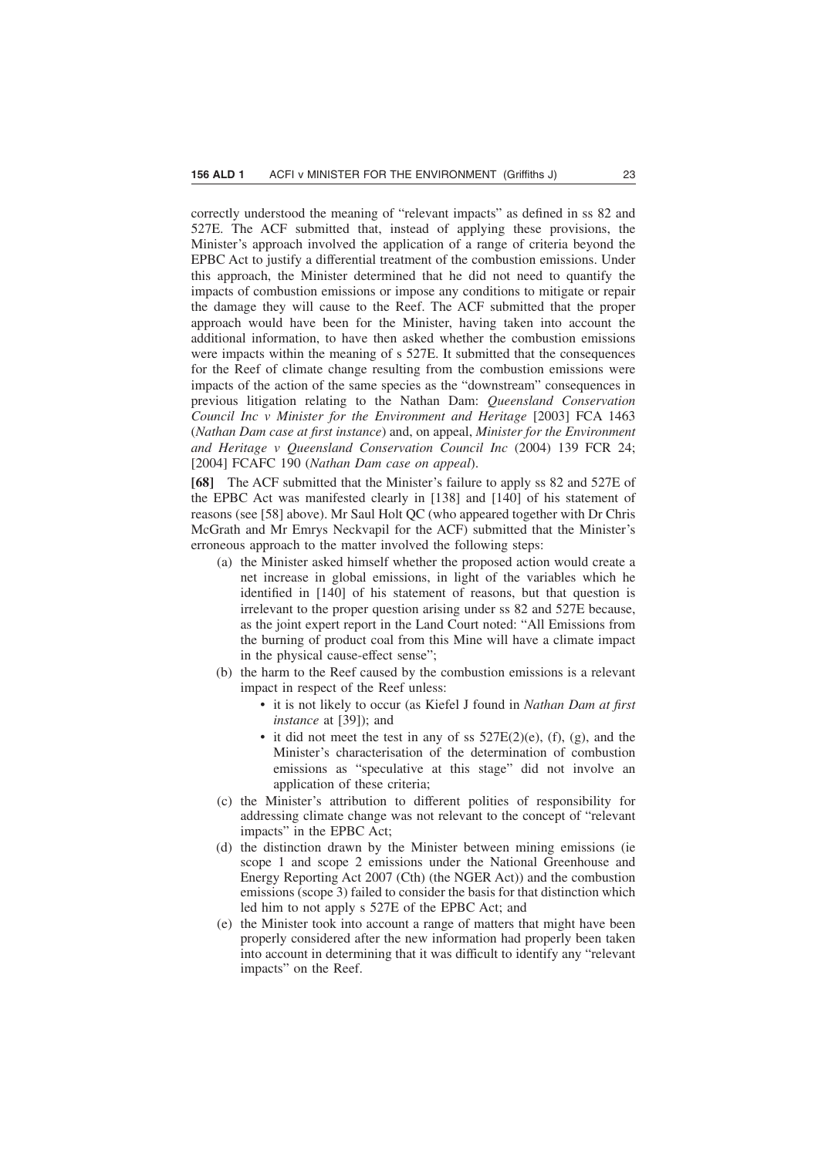correctly understood the meaning of "relevant impacts" as defined in ss 82 and 527E. The ACF submitted that, instead of applying these provisions, the Minister's approach involved the application of a range of criteria beyond the EPBC Act to justify a differential treatment of the combustion emissions. Under this approach, the Minister determined that he did not need to quantify the impacts of combustion emissions or impose any conditions to mitigate or repair the damage they will cause to the Reef. The ACF submitted that the proper approach would have been for the Minister, having taken into account the additional information, to have then asked whether the combustion emissions were impacts within the meaning of s 527E. It submitted that the consequences for the Reef of climate change resulting from the combustion emissions were impacts of the action of the same species as the "downstream" consequences in previous litigation relating to the Nathan Dam: *Queensland Conservation Council Inc v Minister for the Environment and Heritage* [2003] FCA 1463 (*Nathan Dam case at first instance*) and, on appeal, *Minister for the Environment and Heritage v Queensland Conservation Council Inc* (2004) 139 FCR 24; [2004] FCAFC 190 (*Nathan Dam case on appeal*).

**[68]** The ACF submitted that the Minister's failure to apply ss 82 and 527E of the EPBC Act was manifested clearly in [138] and [140] of his statement of reasons (see [58] above). Mr Saul Holt QC (who appeared together with Dr Chris McGrath and Mr Emrys Neckvapil for the ACF) submitted that the Minister's erroneous approach to the matter involved the following steps:

- (a) the Minister asked himself whether the proposed action would create a net increase in global emissions, in light of the variables which he identified in [140] of his statement of reasons, but that question is irrelevant to the proper question arising under ss 82 and 527E because, as the joint expert report in the Land Court noted: "All Emissions from the burning of product coal from this Mine will have a climate impact in the physical cause-effect sense";
- (b) the harm to the Reef caused by the combustion emissions is a relevant impact in respect of the Reef unless:
	- it is not likely to occur (as Kiefel J found in *Nathan Dam at first instance* at [39]); and
	- it did not meet the test in any of ss  $527E(2)(e)$ , (f), (g), and the Minister's characterisation of the determination of combustion emissions as "speculative at this stage" did not involve an application of these criteria;
- (c) the Minister's attribution to different polities of responsibility for addressing climate change was not relevant to the concept of "relevant impacts" in the EPBC Act;
- (d) the distinction drawn by the Minister between mining emissions (ie scope 1 and scope 2 emissions under the National Greenhouse and Energy Reporting Act 2007 (Cth) (the NGER Act)) and the combustion emissions (scope 3) failed to consider the basis for that distinction which led him to not apply s 527E of the EPBC Act; and
- (e) the Minister took into account a range of matters that might have been properly considered after the new information had properly been taken into account in determining that it was difficult to identify any "relevant impacts" on the Reef.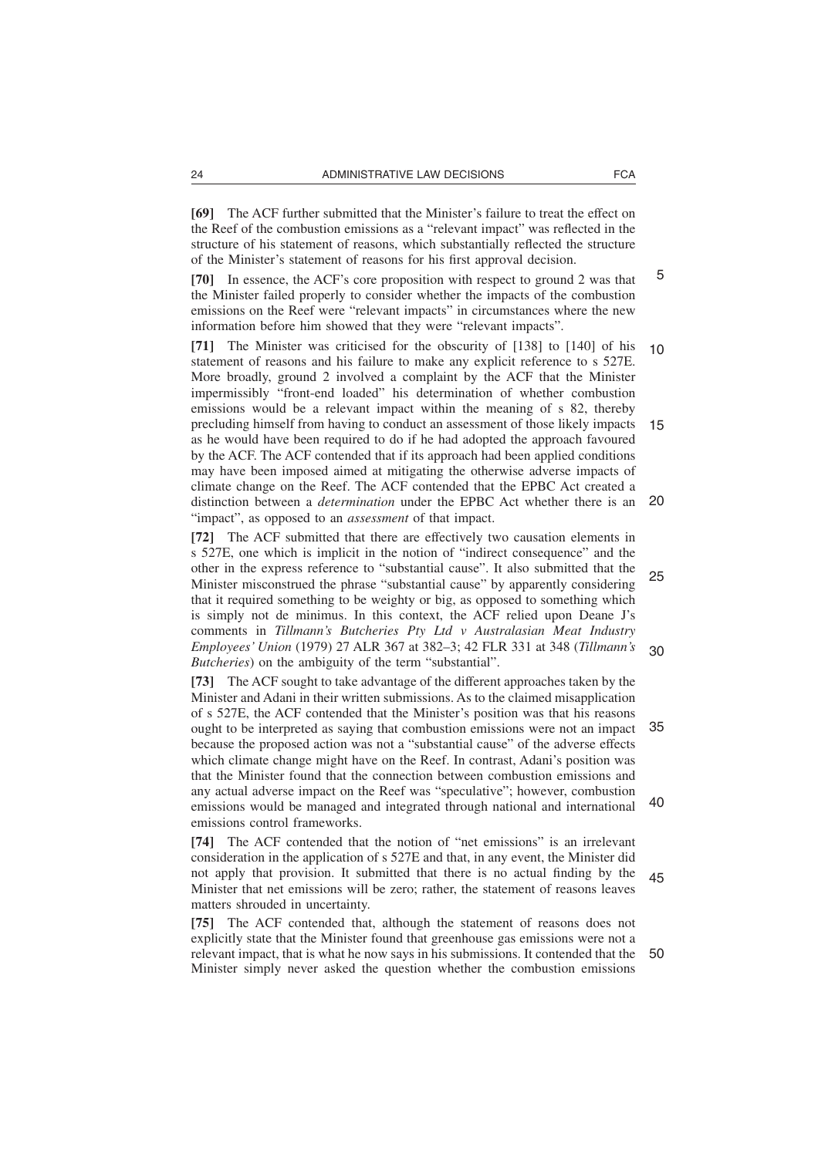**[69]** The ACF further submitted that the Minister's failure to treat the effect on the Reef of the combustion emissions as a "relevant impact" was reflected in the structure of his statement of reasons, which substantially reflected the structure of the Minister's statement of reasons for his first approval decision.

**[70]** In essence, the ACF's core proposition with respect to ground 2 was that the Minister failed properly to consider whether the impacts of the combustion emissions on the Reef were "relevant impacts" in circumstances where the new information before him showed that they were "relevant impacts".

**[71]** The Minister was criticised for the obscurity of [138] to [140] of his statement of reasons and his failure to make any explicit reference to s 527E. More broadly, ground 2 involved a complaint by the ACF that the Minister impermissibly "front-end loaded" his determination of whether combustion emissions would be a relevant impact within the meaning of s 82, thereby precluding himself from having to conduct an assessment of those likely impacts as he would have been required to do if he had adopted the approach favoured by the ACF. The ACF contended that if its approach had been applied conditions may have been imposed aimed at mitigating the otherwise adverse impacts of climate change on the Reef. The ACF contended that the EPBC Act created a distinction between a *determination* under the EPBC Act whether there is an "impact", as opposed to an *assessment* of that impact. 10 15 20

**[72]** The ACF submitted that there are effectively two causation elements in s 527E, one which is implicit in the notion of "indirect consequence" and the other in the express reference to "substantial cause". It also submitted that the Minister misconstrued the phrase "substantial cause" by apparently considering that it required something to be weighty or big, as opposed to something which is simply not de minimus. In this context, the ACF relied upon Deane J's comments in *Tillmann's Butcheries Pty Ltd v Australasian Meat Industry Employees' Union* (1979) 27 ALR 367 at 382–3; 42 FLR 331 at 348 (*Tillmann's Butcheries*) on the ambiguity of the term "substantial". 25 30

**[73]** The ACF sought to take advantage of the different approaches taken by the Minister and Adani in their written submissions. As to the claimed misapplication of s 527E, the ACF contended that the Minister's position was that his reasons ought to be interpreted as saying that combustion emissions were not an impact 35 because the proposed action was not a "substantial cause" of the adverse effects which climate change might have on the Reef. In contrast, Adani's position was that the Minister found that the connection between combustion emissions and any actual adverse impact on the Reef was "speculative"; however, combustion emissions would be managed and integrated through national and international emissions control frameworks. 40

**[74]** The ACF contended that the notion of "net emissions" is an irrelevant consideration in the application of s 527E and that, in any event, the Minister did not apply that provision. It submitted that there is no actual finding by the Minister that net emissions will be zero; rather, the statement of reasons leaves matters shrouded in uncertainty. 45

**[75]** The ACF contended that, although the statement of reasons does not explicitly state that the Minister found that greenhouse gas emissions were not a relevant impact, that is what he now says in his submissions. It contended that the Minister simply never asked the question whether the combustion emissions 50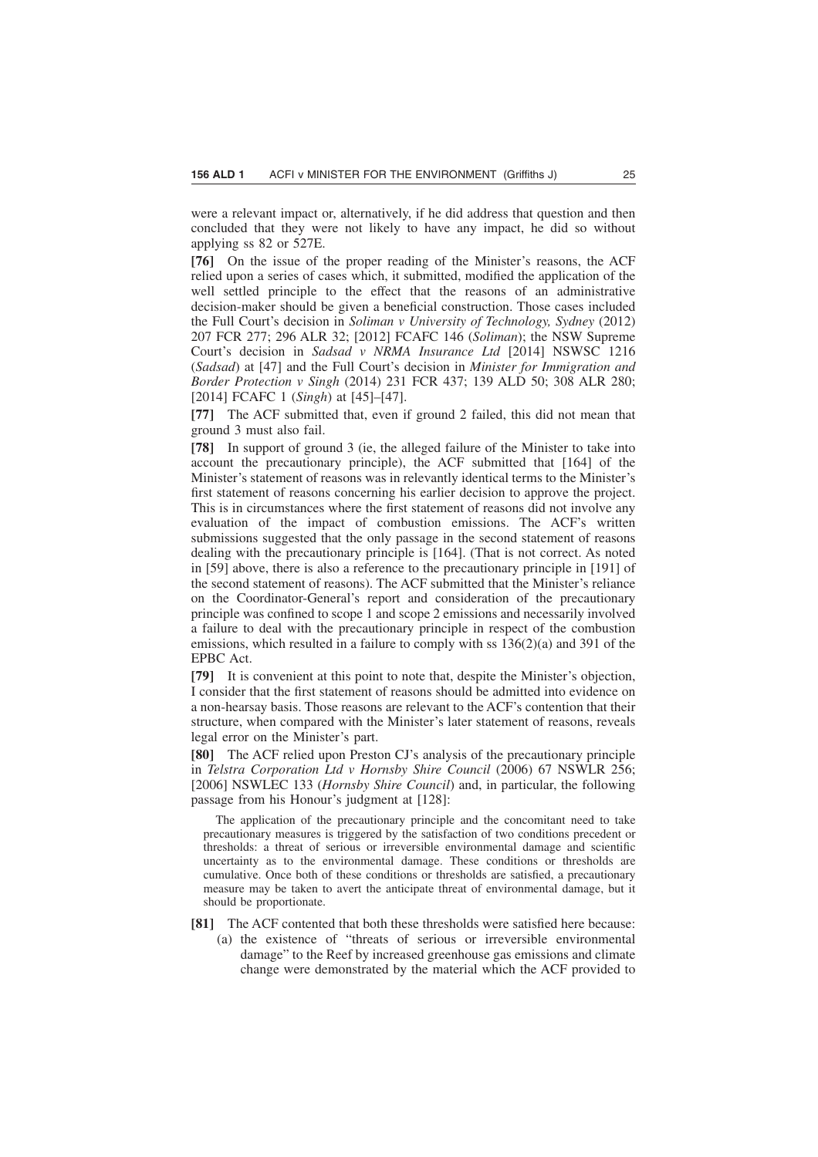were a relevant impact or, alternatively, if he did address that question and then concluded that they were not likely to have any impact, he did so without applying ss 82 or 527E.

**[76]** On the issue of the proper reading of the Minister's reasons, the ACF relied upon a series of cases which, it submitted, modified the application of the well settled principle to the effect that the reasons of an administrative decision-maker should be given a beneficial construction. Those cases included the Full Court's decision in *Soliman v University of Technology, Sydney* (2012) 207 FCR 277; 296 ALR 32; [2012] FCAFC 146 (*Soliman*); the NSW Supreme Court's decision in *Sadsad v NRMA Insurance Ltd* [2014] NSWSC 1216 (*Sadsad*) at [47] and the Full Court's decision in *Minister for Immigration and Border Protection v Singh* (2014) 231 FCR 437; 139 ALD 50; 308 ALR 280; [2014] FCAFC 1 (*Singh*) at [45]–[47].

**[77]** The ACF submitted that, even if ground 2 failed, this did not mean that ground 3 must also fail.

**[78]** In support of ground 3 (ie, the alleged failure of the Minister to take into account the precautionary principle), the ACF submitted that [164] of the Minister's statement of reasons was in relevantly identical terms to the Minister's first statement of reasons concerning his earlier decision to approve the project. This is in circumstances where the first statement of reasons did not involve any evaluation of the impact of combustion emissions. The ACF's written submissions suggested that the only passage in the second statement of reasons dealing with the precautionary principle is [164]. (That is not correct. As noted in [59] above, there is also a reference to the precautionary principle in [191] of the second statement of reasons). The ACF submitted that the Minister's reliance on the Coordinator-General's report and consideration of the precautionary principle was confined to scope 1 and scope 2 emissions and necessarily involved a failure to deal with the precautionary principle in respect of the combustion emissions, which resulted in a failure to comply with ss  $136(2)(a)$  and 391 of the EPBC Act.

**[79]** It is convenient at this point to note that, despite the Minister's objection, I consider that the first statement of reasons should be admitted into evidence on a non-hearsay basis. Those reasons are relevant to the ACF's contention that their structure, when compared with the Minister's later statement of reasons, reveals legal error on the Minister's part.

**[80]** The ACF relied upon Preston CJ's analysis of the precautionary principle in *Telstra Corporation Ltd v Hornsby Shire Council* (2006) 67 NSWLR 256; [2006] NSWLEC 133 (*Hornsby Shire Council*) and, in particular, the following passage from his Honour's judgment at [128]:

The application of the precautionary principle and the concomitant need to take precautionary measures is triggered by the satisfaction of two conditions precedent or thresholds: a threat of serious or irreversible environmental damage and scientific uncertainty as to the environmental damage. These conditions or thresholds are cumulative. Once both of these conditions or thresholds are satisfied, a precautionary measure may be taken to avert the anticipate threat of environmental damage, but it should be proportionate.

- **[81]** The ACF contented that both these thresholds were satisfied here because:
	- (a) the existence of "threats of serious or irreversible environmental damage" to the Reef by increased greenhouse gas emissions and climate change were demonstrated by the material which the ACF provided to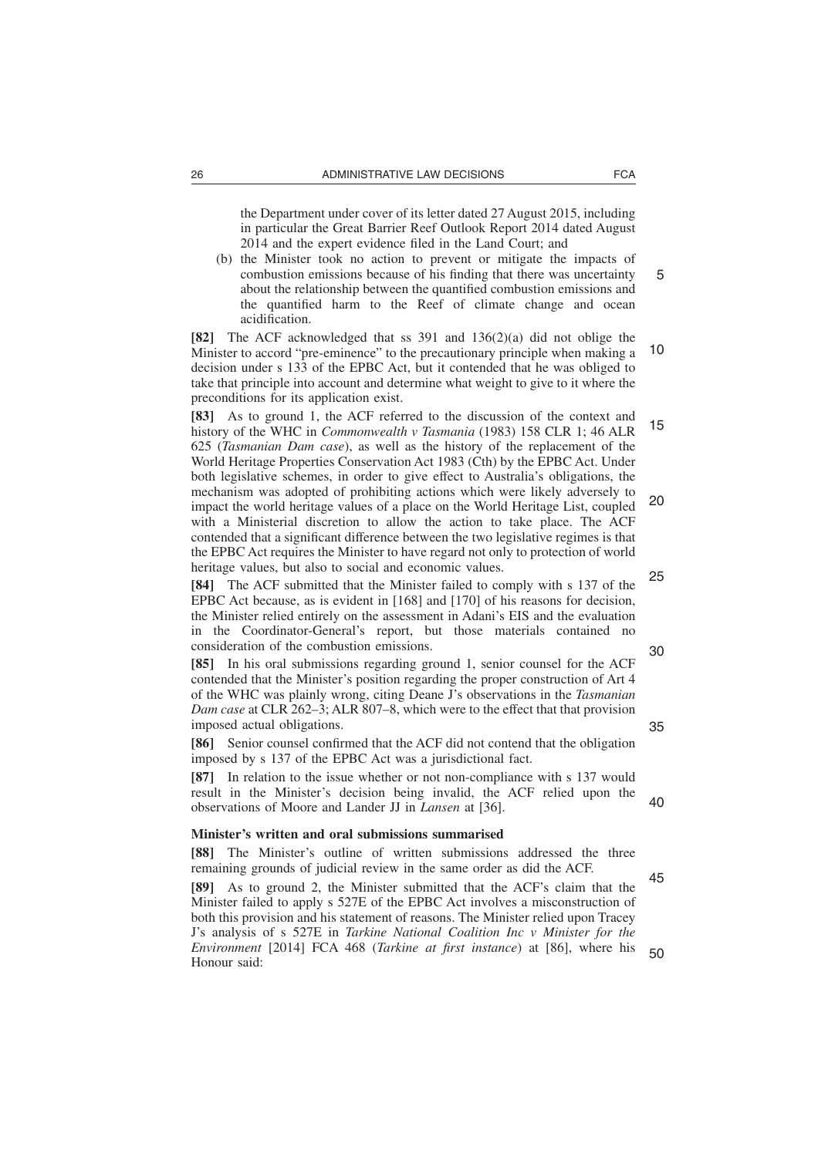the Department under cover of its letter dated 27 August 2015, including in particular the Great Barrier Reef Outlook Report 2014 dated August 2014 and the expert evidence filed in the Land Court; and

(b) the Minister took no action to prevent or mitigate the impacts of combustion emissions because of his finding that there was uncertainty about the relationship between the quantified combustion emissions and the quantified harm to the Reef of climate change and ocean acidification.

**[82]** The ACF acknowledged that ss 391 and 136(2)(a) did not oblige the Minister to accord "pre-eminence" to the precautionary principle when making a decision under s 133 of the EPBC Act, but it contended that he was obliged to take that principle into account and determine what weight to give to it where the preconditions for its application exist. 10

**[83]** As to ground 1, the ACF referred to the discussion of the context and history of the WHC in *Commonwealth v Tasmania* (1983) 158 CLR 1; 46 ALR 625 (*Tasmanian Dam case*), as well as the history of the replacement of the World Heritage Properties Conservation Act 1983 (Cth) by the EPBC Act. Under both legislative schemes, in order to give effect to Australia's obligations, the mechanism was adopted of prohibiting actions which were likely adversely to impact the world heritage values of a place on the World Heritage List, coupled with a Ministerial discretion to allow the action to take place. The ACF contended that a significant difference between the two legislative regimes is that the EPBC Act requires the Minister to have regard not only to protection of world heritage values, but also to social and economic values. 15 20

**[84]** The ACF submitted that the Minister failed to comply with s 137 of the EPBC Act because, as is evident in [168] and [170] of his reasons for decision, the Minister relied entirely on the assessment in Adani's EIS and the evaluation in the Coordinator-General's report, but those materials contained no consideration of the combustion emissions.

**[85]** In his oral submissions regarding ground 1, senior counsel for the ACF contended that the Minister's position regarding the proper construction of Art 4 of the WHC was plainly wrong, citing Deane J's observations in the *Tasmanian Dam case* at CLR 262–3; ALR 807–8, which were to the effect that that provision imposed actual obligations.

**[86]** Senior counsel confirmed that the ACF did not contend that the obligation imposed by s 137 of the EPBC Act was a jurisdictional fact.

**[87]** In relation to the issue whether or not non-compliance with s 137 would result in the Minister's decision being invalid, the ACF relied upon the observations of Moore and Lander JJ in *Lansen* at [36]. 40

#### **Minister's written and oral submissions summarised**

**[88]** The Minister's outline of written submissions addressed the three remaining grounds of judicial review in the same order as did the ACF.

**[89]** As to ground 2, the Minister submitted that the ACF's claim that the Minister failed to apply s 527E of the EPBC Act involves a misconstruction of both this provision and his statement of reasons. The Minister relied upon Tracey J's analysis of s 527E in *Tarkine National Coalition Inc v Minister for the Environment* [2014] FCA 468 (*Tarkine at first instance*) at [86], where his Honour said: 45 50

5

25

30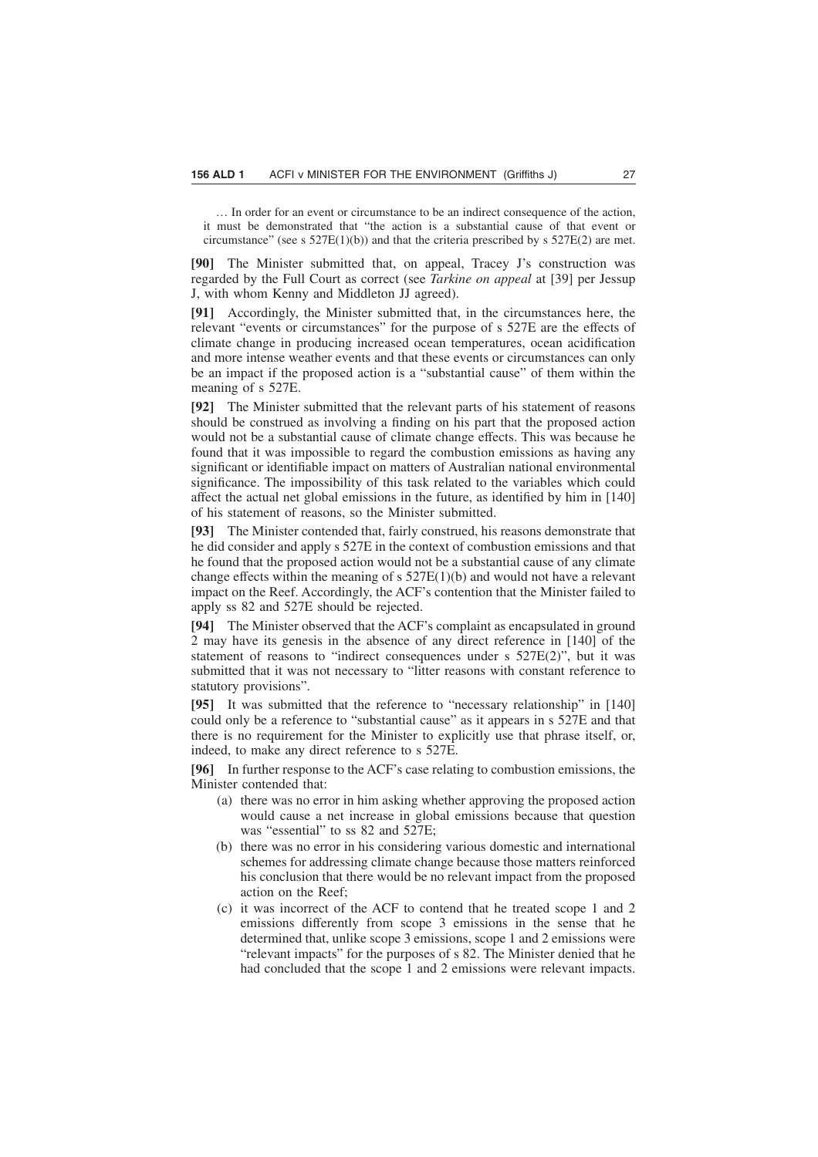… In order for an event or circumstance to be an indirect consequence of the action, it must be demonstrated that "the action is a substantial cause of that event or circumstance" (see s 527E(1)(b)) and that the criteria prescribed by s 527E(2) are met.

**[90]** The Minister submitted that, on appeal, Tracey J's construction was regarded by the Full Court as correct (see *Tarkine on appeal* at [39] per Jessup J, with whom Kenny and Middleton JJ agreed).

**[91]** Accordingly, the Minister submitted that, in the circumstances here, the relevant "events or circumstances" for the purpose of s 527E are the effects of climate change in producing increased ocean temperatures, ocean acidification and more intense weather events and that these events or circumstances can only be an impact if the proposed action is a "substantial cause" of them within the meaning of s 527E.

**[92]** The Minister submitted that the relevant parts of his statement of reasons should be construed as involving a finding on his part that the proposed action would not be a substantial cause of climate change effects. This was because he found that it was impossible to regard the combustion emissions as having any significant or identifiable impact on matters of Australian national environmental significance. The impossibility of this task related to the variables which could affect the actual net global emissions in the future, as identified by him in [140] of his statement of reasons, so the Minister submitted.

**[93]** The Minister contended that, fairly construed, his reasons demonstrate that he did consider and apply s 527E in the context of combustion emissions and that he found that the proposed action would not be a substantial cause of any climate change effects within the meaning of s 527E(1)(b) and would not have a relevant impact on the Reef. Accordingly, the ACF's contention that the Minister failed to apply ss 82 and 527E should be rejected.

**[94]** The Minister observed that the ACF's complaint as encapsulated in ground 2 may have its genesis in the absence of any direct reference in [140] of the statement of reasons to "indirect consequences under s 527E(2)", but it was submitted that it was not necessary to "litter reasons with constant reference to statutory provisions".

**[95]** It was submitted that the reference to "necessary relationship" in [140] could only be a reference to "substantial cause" as it appears in s 527E and that there is no requirement for the Minister to explicitly use that phrase itself, or, indeed, to make any direct reference to s 527E.

**[96]** In further response to the ACF's case relating to combustion emissions, the Minister contended that:

- (a) there was no error in him asking whether approving the proposed action would cause a net increase in global emissions because that question was "essential" to ss 82 and 527E;
- (b) there was no error in his considering various domestic and international schemes for addressing climate change because those matters reinforced his conclusion that there would be no relevant impact from the proposed action on the Reef<sup>.</sup>
- (c) it was incorrect of the ACF to contend that he treated scope 1 and 2 emissions differently from scope 3 emissions in the sense that he determined that, unlike scope 3 emissions, scope 1 and 2 emissions were "relevant impacts" for the purposes of s 82. The Minister denied that he had concluded that the scope 1 and 2 emissions were relevant impacts.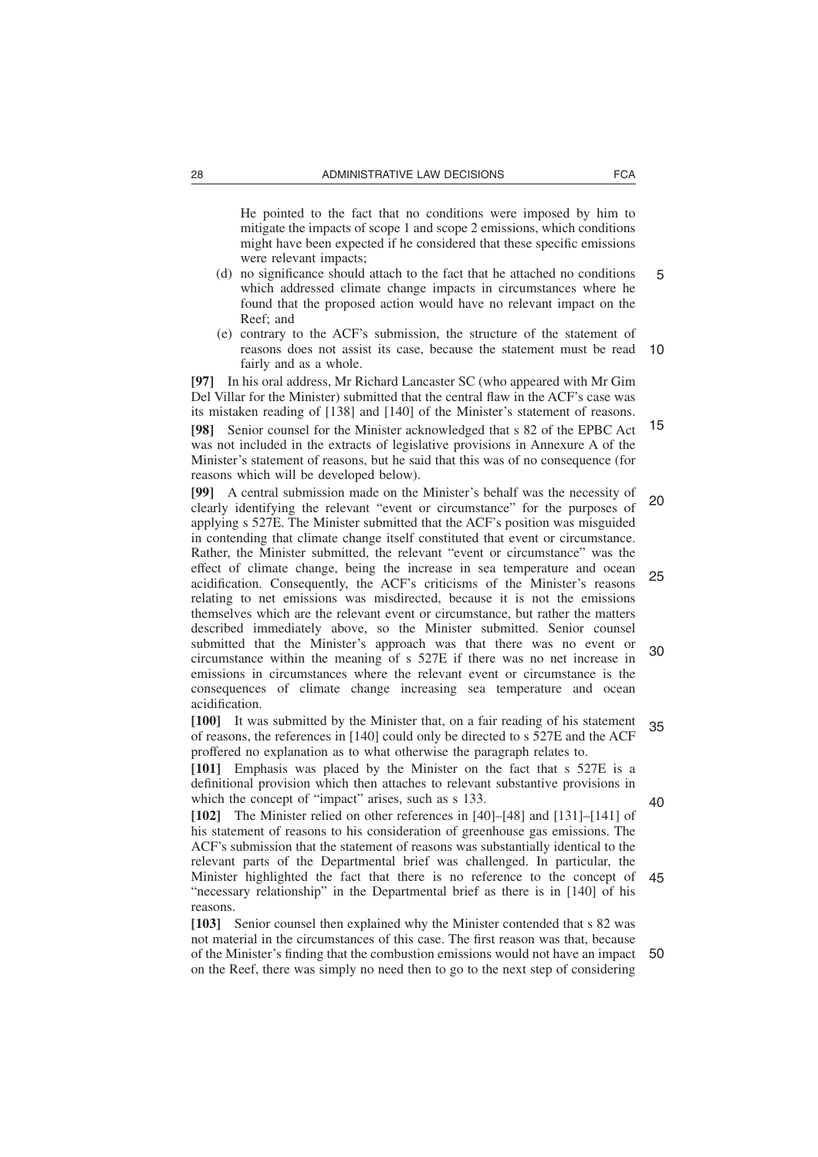He pointed to the fact that no conditions were imposed by him to mitigate the impacts of scope 1 and scope 2 emissions, which conditions might have been expected if he considered that these specific emissions were relevant impacts;

- (d) no significance should attach to the fact that he attached no conditions which addressed climate change impacts in circumstances where he found that the proposed action would have no relevant impact on the Reef; and 5
- (e) contrary to the ACF's submission, the structure of the statement of reasons does not assist its case, because the statement must be read 10 fairly and as a whole.

**[97]** In his oral address, Mr Richard Lancaster SC (who appeared with Mr Gim Del Villar for the Minister) submitted that the central flaw in the ACF's case was its mistaken reading of [138] and [140] of the Minister's statement of reasons.

**[98]** Senior counsel for the Minister acknowledged that s 82 of the EPBC Act was not included in the extracts of legislative provisions in Annexure A of the Minister's statement of reasons, but he said that this was of no consequence (for reasons which will be developed below). 15

**[99]** A central submission made on the Minister's behalf was the necessity of clearly identifying the relevant "event or circumstance" for the purposes of applying s 527E. The Minister submitted that the ACF's position was misguided in contending that climate change itself constituted that event or circumstance. Rather, the Minister submitted, the relevant "event or circumstance" was the effect of climate change, being the increase in sea temperature and ocean acidification. Consequently, the ACF's criticisms of the Minister's reasons relating to net emissions was misdirected, because it is not the emissions themselves which are the relevant event or circumstance, but rather the matters described immediately above, so the Minister submitted. Senior counsel submitted that the Minister's approach was that there was no event or circumstance within the meaning of s 527E if there was no net increase in emissions in circumstances where the relevant event or circumstance is the consequences of climate change increasing sea temperature and ocean acidification. 20 25 30

**[100]** It was submitted by the Minister that, on a fair reading of his statement of reasons, the references in [140] could only be directed to s 527E and the ACF proffered no explanation as to what otherwise the paragraph relates to. 35

**[101]** Emphasis was placed by the Minister on the fact that s 527E is a definitional provision which then attaches to relevant substantive provisions in which the concept of "impact" arises, such as s 133.

40

**[102]** The Minister relied on other references in [40]–[48] and [131]–[141] of his statement of reasons to his consideration of greenhouse gas emissions. The ACF's submission that the statement of reasons was substantially identical to the relevant parts of the Departmental brief was challenged. In particular, the Minister highlighted the fact that there is no reference to the concept of "necessary relationship" in the Departmental brief as there is in [140] of his reasons. 45

**[103]** Senior counsel then explained why the Minister contended that s 82 was not material in the circumstances of this case. The first reason was that, because of the Minister's finding that the combustion emissions would not have an impact 50on the Reef, there was simply no need then to go to the next step of considering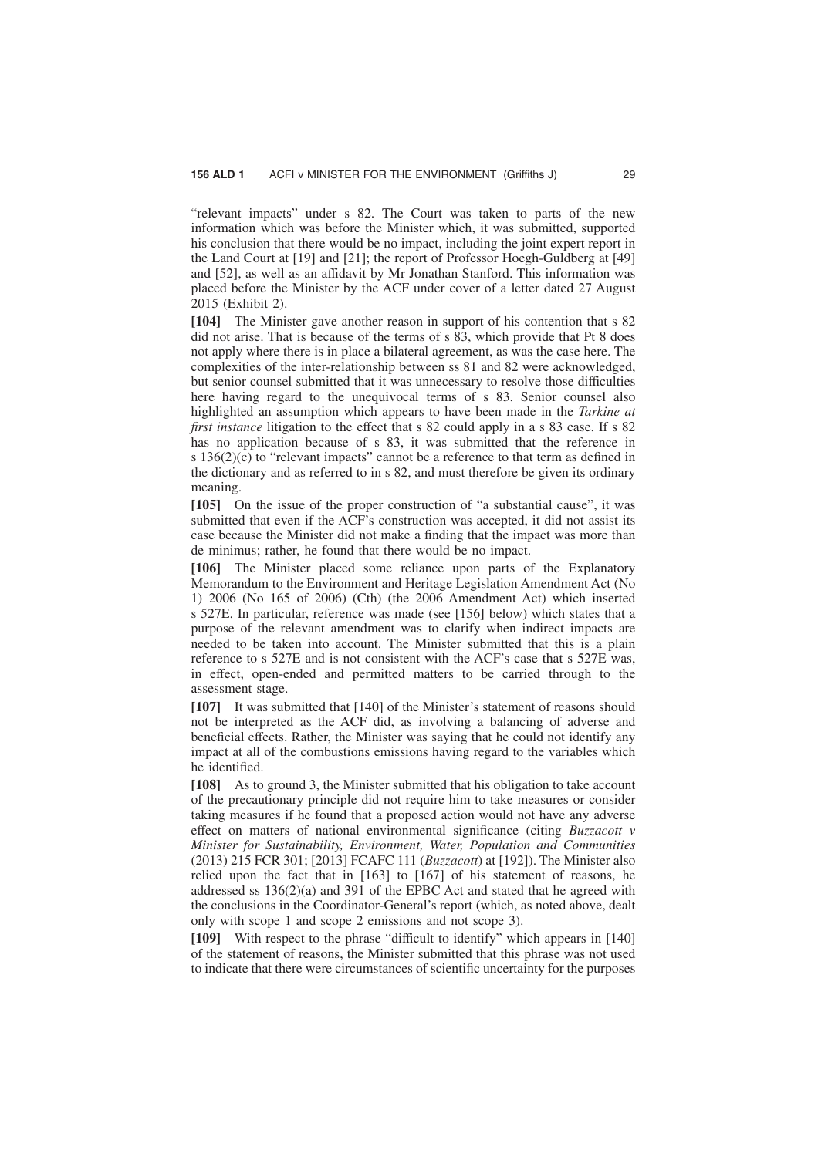"relevant impacts" under s 82. The Court was taken to parts of the new information which was before the Minister which, it was submitted, supported his conclusion that there would be no impact, including the joint expert report in the Land Court at [19] and [21]; the report of Professor Hoegh-Guldberg at [49] and [52], as well as an affidavit by Mr Jonathan Stanford. This information was placed before the Minister by the ACF under cover of a letter dated 27 August 2015 (Exhibit 2).

**[104]** The Minister gave another reason in support of his contention that s 82 did not arise. That is because of the terms of s  $\overline{83}$ , which provide that Pt 8 does not apply where there is in place a bilateral agreement, as was the case here. The complexities of the inter-relationship between ss 81 and 82 were acknowledged, but senior counsel submitted that it was unnecessary to resolve those difficulties here having regard to the unequivocal terms of s 83. Senior counsel also highlighted an assumption which appears to have been made in the *Tarkine at first instance* litigation to the effect that s 82 could apply in a s 83 case. If s 82 has no application because of s 83, it was submitted that the reference in s 136(2)(c) to "relevant impacts" cannot be a reference to that term as defined in the dictionary and as referred to in s 82, and must therefore be given its ordinary meaning.

**[105]** On the issue of the proper construction of "a substantial cause", it was submitted that even if the ACF's construction was accepted, it did not assist its case because the Minister did not make a finding that the impact was more than de minimus; rather, he found that there would be no impact.

**[106]** The Minister placed some reliance upon parts of the Explanatory Memorandum to the Environment and Heritage Legislation Amendment Act (No 1) 2006 (No 165 of 2006) (Cth) (the 2006 Amendment Act) which inserted s 527E. In particular, reference was made (see [156] below) which states that a purpose of the relevant amendment was to clarify when indirect impacts are needed to be taken into account. The Minister submitted that this is a plain reference to s 527E and is not consistent with the ACF's case that s 527E was, in effect, open-ended and permitted matters to be carried through to the assessment stage.

**[107]** It was submitted that [140] of the Minister's statement of reasons should not be interpreted as the ACF did, as involving a balancing of adverse and beneficial effects. Rather, the Minister was saying that he could not identify any impact at all of the combustions emissions having regard to the variables which he identified.

**[108]** As to ground 3, the Minister submitted that his obligation to take account of the precautionary principle did not require him to take measures or consider taking measures if he found that a proposed action would not have any adverse effect on matters of national environmental significance (citing *Buzzacott v Minister for Sustainability, Environment, Water, Population and Communities* (2013) 215 FCR 301; [2013] FCAFC 111 (*Buzzacott*) at [192]). The Minister also relied upon the fact that in [163] to [167] of his statement of reasons, he addressed ss  $136(2)(a)$  and 391 of the EPBC Act and stated that he agreed with the conclusions in the Coordinator-General's report (which, as noted above, dealt only with scope 1 and scope 2 emissions and not scope 3).

**[109]** With respect to the phrase "difficult to identify" which appears in [140] of the statement of reasons, the Minister submitted that this phrase was not used to indicate that there were circumstances of scientific uncertainty for the purposes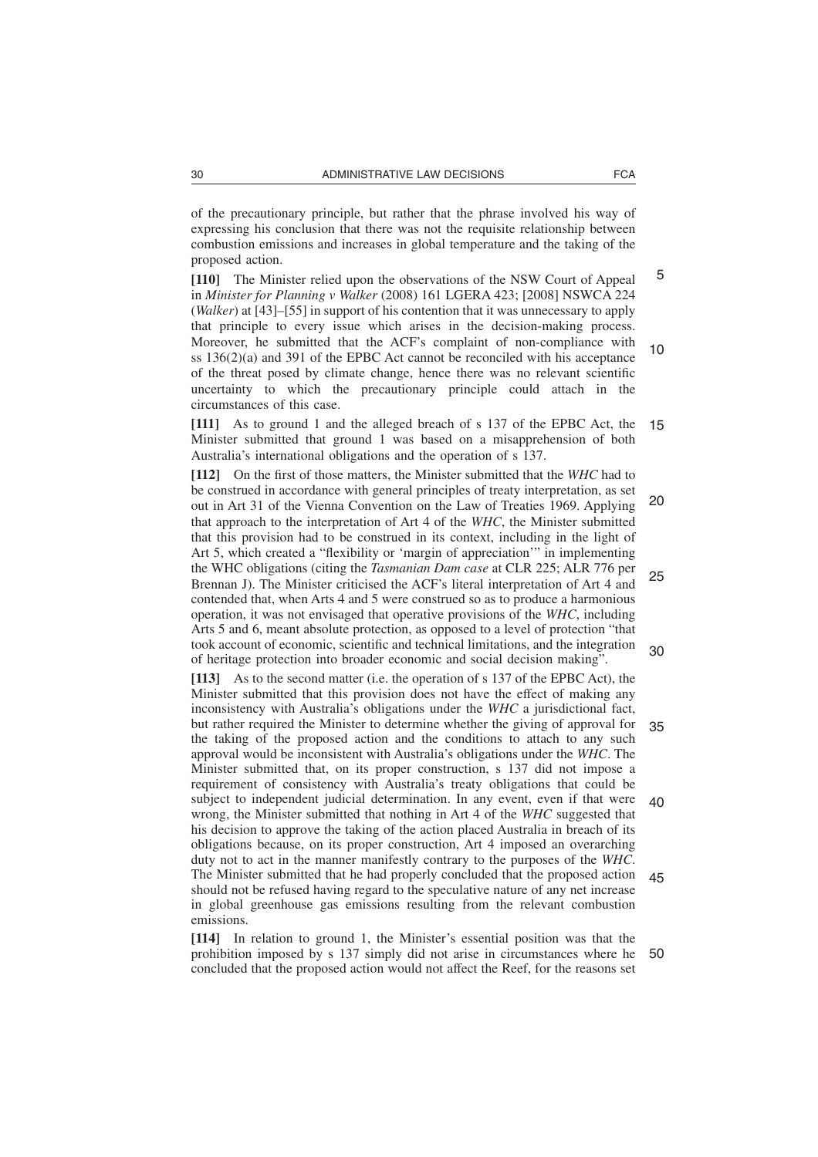of the precautionary principle, but rather that the phrase involved his way of expressing his conclusion that there was not the requisite relationship between combustion emissions and increases in global temperature and the taking of the proposed action.

**[110]** The Minister relied upon the observations of the NSW Court of Appeal in *Minister for Planning v Walker* (2008) 161 LGERA 423; [2008] NSWCA 224 (*Walker*) at [43]–[55] in support of his contention that it was unnecessary to apply that principle to every issue which arises in the decision-making process. Moreover, he submitted that the ACF's complaint of non-compliance with ss 136(2)(a) and 391 of the EPBC Act cannot be reconciled with his acceptance of the threat posed by climate change, hence there was no relevant scientific uncertainty to which the precautionary principle could attach in the circumstances of this case. 5 10

**[111]** As to ground 1 and the alleged breach of s 137 of the EPBC Act, the Minister submitted that ground 1 was based on a misapprehension of both Australia's international obligations and the operation of s 137. 15

**[112]** On the first of those matters, the Minister submitted that the *WHC* had to be construed in accordance with general principles of treaty interpretation, as set out in Art 31 of the Vienna Convention on the Law of Treaties 1969. Applying that approach to the interpretation of Art 4 of the *WHC*, the Minister submitted that this provision had to be construed in its context, including in the light of Art 5, which created a "flexibility or 'margin of appreciation'" in implementing the WHC obligations (citing the *Tasmanian Dam case* at CLR 225; ALR 776 per Brennan J). The Minister criticised the ACF's literal interpretation of Art 4 and contended that, when Arts 4 and 5 were construed so as to produce a harmonious operation, it was not envisaged that operative provisions of the *WHC*, including Arts 5 and 6, meant absolute protection, as opposed to a level of protection "that took account of economic, scientific and technical limitations, and the integration of heritage protection into broader economic and social decision making". 20 25 30

**[113]** As to the second matter (i.e. the operation of s 137 of the EPBC Act), the Minister submitted that this provision does not have the effect of making any inconsistency with Australia's obligations under the *WHC* a jurisdictional fact, but rather required the Minister to determine whether the giving of approval for the taking of the proposed action and the conditions to attach to any such approval would be inconsistent with Australia's obligations under the *WHC*. The Minister submitted that, on its proper construction, s 137 did not impose a requirement of consistency with Australia's treaty obligations that could be subject to independent judicial determination. In any event, even if that were wrong, the Minister submitted that nothing in Art 4 of the *WHC* suggested that his decision to approve the taking of the action placed Australia in breach of its obligations because, on its proper construction, Art 4 imposed an overarching duty not to act in the manner manifestly contrary to the purposes of the *WHC*. The Minister submitted that he had properly concluded that the proposed action should not be refused having regard to the speculative nature of any net increase in global greenhouse gas emissions resulting from the relevant combustion emissions. 35 40 45

**[114]** In relation to ground 1, the Minister's essential position was that the prohibition imposed by s 137 simply did not arise in circumstances where he concluded that the proposed action would not affect the Reef, for the reasons set 50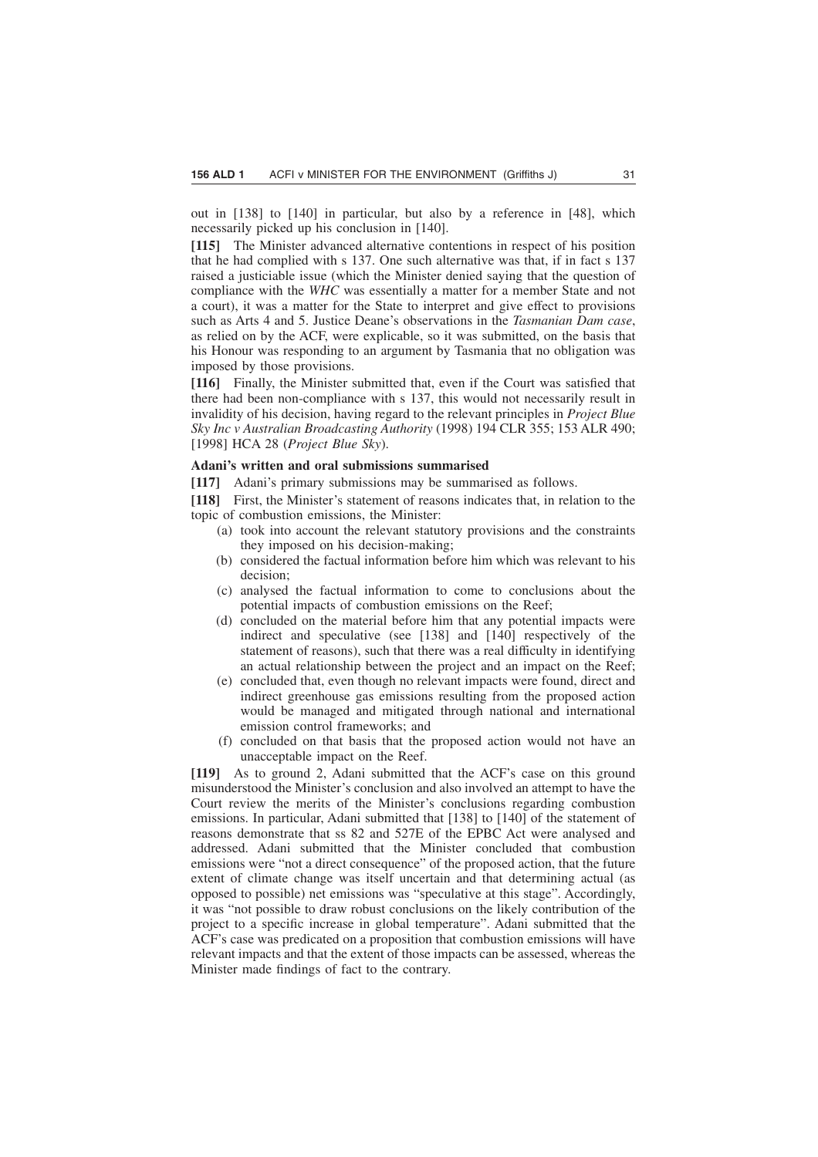out in [138] to [140] in particular, but also by a reference in [48], which necessarily picked up his conclusion in [140].

**[115]** The Minister advanced alternative contentions in respect of his position that he had complied with s 137. One such alternative was that, if in fact s 137 raised a justiciable issue (which the Minister denied saying that the question of compliance with the *WHC* was essentially a matter for a member State and not a court), it was a matter for the State to interpret and give effect to provisions such as Arts 4 and 5. Justice Deane's observations in the *Tasmanian Dam case*, as relied on by the ACF, were explicable, so it was submitted, on the basis that his Honour was responding to an argument by Tasmania that no obligation was imposed by those provisions.

**[116]** Finally, the Minister submitted that, even if the Court was satisfied that there had been non-compliance with s 137, this would not necessarily result in invalidity of his decision, having regard to the relevant principles in *Project Blue Sky Inc v Australian Broadcasting Authority* (1998) 194 CLR 355; 153 ALR 490; [1998] HCA 28 (*Project Blue Sky*).

# **Adani's written and oral submissions summarised**

**[117]** Adani's primary submissions may be summarised as follows.

**[118]** First, the Minister's statement of reasons indicates that, in relation to the topic of combustion emissions, the Minister:

- (a) took into account the relevant statutory provisions and the constraints they imposed on his decision-making;
- (b) considered the factual information before him which was relevant to his decision;
- (c) analysed the factual information to come to conclusions about the potential impacts of combustion emissions on the Reef;
- (d) concluded on the material before him that any potential impacts were indirect and speculative (see [138] and [140] respectively of the statement of reasons), such that there was a real difficulty in identifying an actual relationship between the project and an impact on the Reef;
- (e) concluded that, even though no relevant impacts were found, direct and indirect greenhouse gas emissions resulting from the proposed action would be managed and mitigated through national and international emission control frameworks; and
- (f) concluded on that basis that the proposed action would not have an unacceptable impact on the Reef.

**[119]** As to ground 2, Adani submitted that the ACF's case on this ground misunderstood the Minister's conclusion and also involved an attempt to have the Court review the merits of the Minister's conclusions regarding combustion emissions. In particular, Adani submitted that [138] to [140] of the statement of reasons demonstrate that ss 82 and 527E of the EPBC Act were analysed and addressed. Adani submitted that the Minister concluded that combustion emissions were "not a direct consequence" of the proposed action, that the future extent of climate change was itself uncertain and that determining actual (as opposed to possible) net emissions was "speculative at this stage". Accordingly, it was "not possible to draw robust conclusions on the likely contribution of the project to a specific increase in global temperature". Adani submitted that the ACF's case was predicated on a proposition that combustion emissions will have relevant impacts and that the extent of those impacts can be assessed, whereas the Minister made findings of fact to the contrary.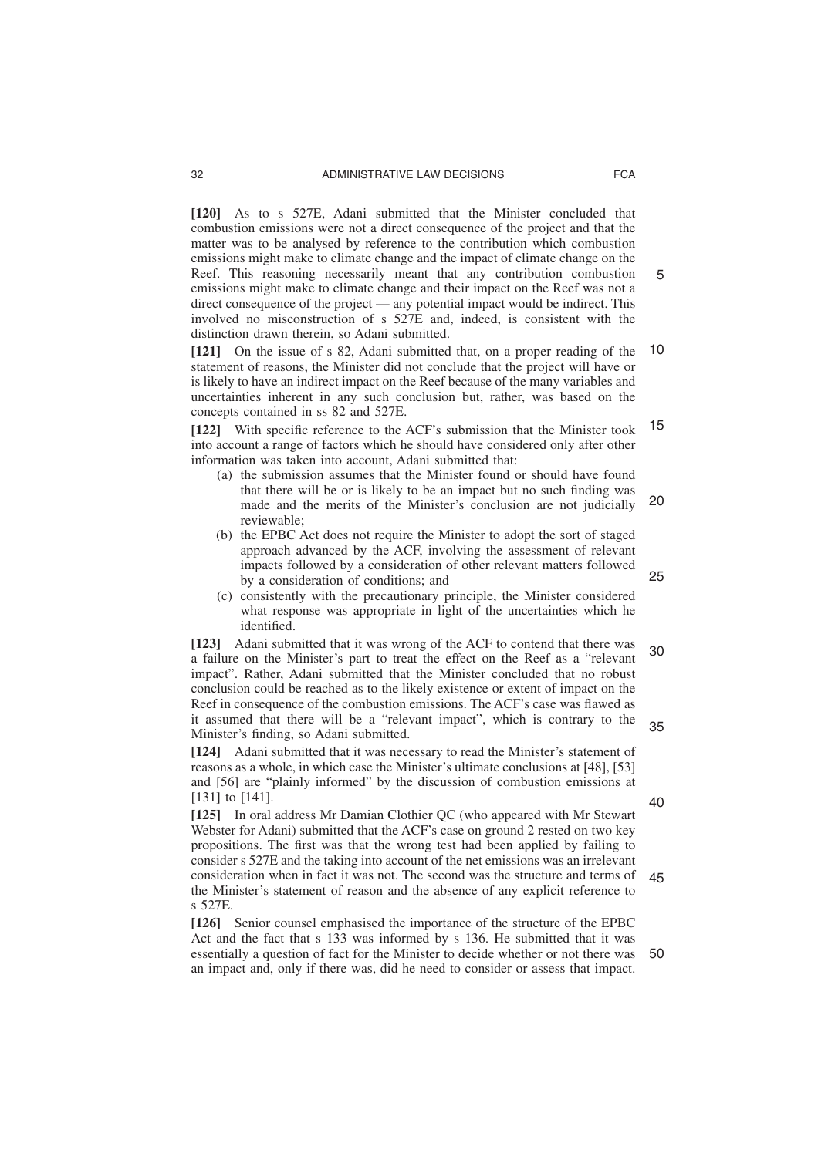**[120]** As to s 527E, Adani submitted that the Minister concluded that combustion emissions were not a direct consequence of the project and that the matter was to be analysed by reference to the contribution which combustion emissions might make to climate change and the impact of climate change on the Reef. This reasoning necessarily meant that any contribution combustion emissions might make to climate change and their impact on the Reef was not a direct consequence of the project — any potential impact would be indirect. This involved no misconstruction of s 527E and, indeed, is consistent with the distinction drawn therein, so Adani submitted.

**[121]** On the issue of s 82, Adani submitted that, on a proper reading of the statement of reasons, the Minister did not conclude that the project will have or is likely to have an indirect impact on the Reef because of the many variables and uncertainties inherent in any such conclusion but, rather, was based on the concepts contained in ss 82 and 527E. 10

**[122]** With specific reference to the ACF's submission that the Minister took into account a range of factors which he should have considered only after other information was taken into account, Adani submitted that: 15

- (a) the submission assumes that the Minister found or should have found that there will be or is likely to be an impact but no such finding was made and the merits of the Minister's conclusion are not judicially reviewable; 20
- (b) the EPBC Act does not require the Minister to adopt the sort of staged approach advanced by the ACF, involving the assessment of relevant impacts followed by a consideration of other relevant matters followed by a consideration of conditions; and
- (c) consistently with the precautionary principle, the Minister considered what response was appropriate in light of the uncertainties which he identified.

**[123]** Adani submitted that it was wrong of the ACF to contend that there was a failure on the Minister's part to treat the effect on the Reef as a "relevant impact". Rather, Adani submitted that the Minister concluded that no robust conclusion could be reached as to the likely existence or extent of impact on the Reef in consequence of the combustion emissions. The ACF's case was flawed as it assumed that there will be a "relevant impact", which is contrary to the Minister's finding, so Adani submitted. 30 35

**[124]** Adani submitted that it was necessary to read the Minister's statement of reasons as a whole, in which case the Minister's ultimate conclusions at [48], [53] and [56] are "plainly informed" by the discussion of combustion emissions at [131] to [141].

**[125]** In oral address Mr Damian Clothier QC (who appeared with Mr Stewart Webster for Adani) submitted that the ACF's case on ground 2 rested on two key propositions. The first was that the wrong test had been applied by failing to consider s 527E and the taking into account of the net emissions was an irrelevant consideration when in fact it was not. The second was the structure and terms of the Minister's statement of reason and the absence of any explicit reference to s 527E. 45

**[126]** Senior counsel emphasised the importance of the structure of the EPBC Act and the fact that s 133 was informed by s 136. He submitted that it was essentially a question of fact for the Minister to decide whether or not there was an impact and, only if there was, did he need to consider or assess that impact. 50

40

25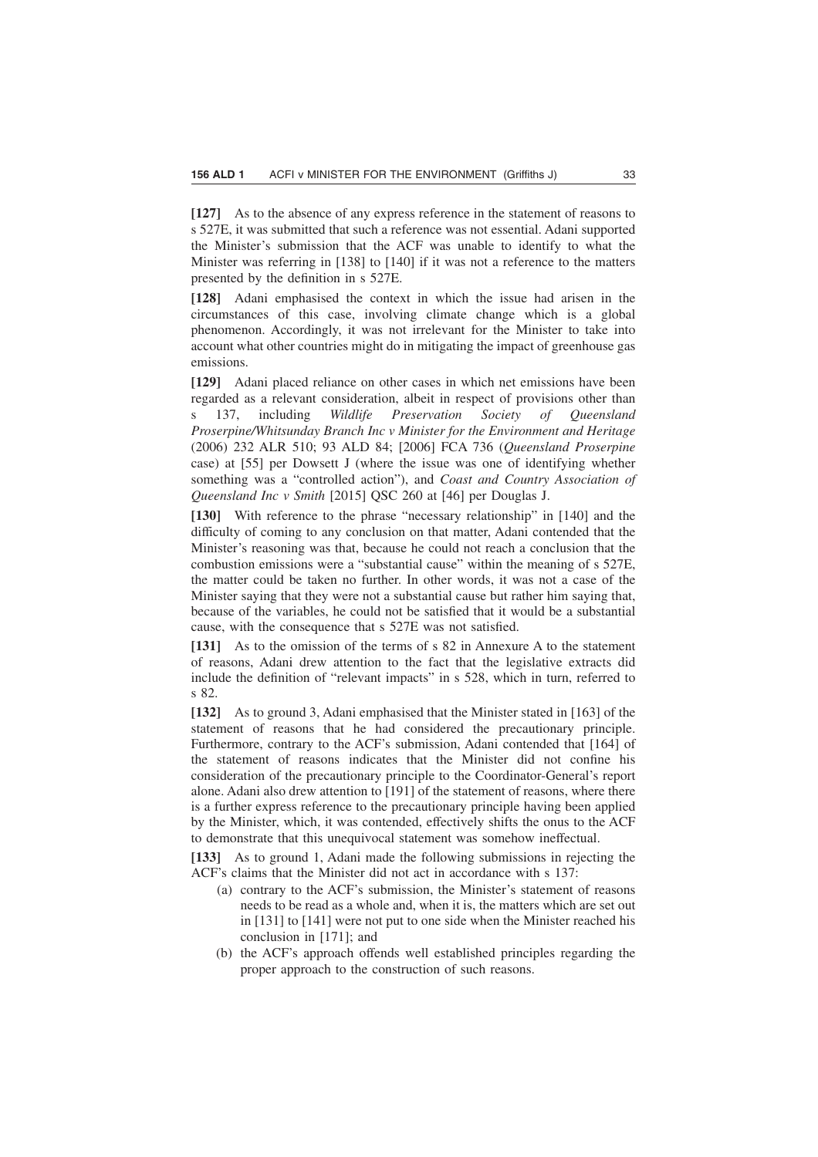**[127]** As to the absence of any express reference in the statement of reasons to s 527E, it was submitted that such a reference was not essential. Adani supported the Minister's submission that the ACF was unable to identify to what the Minister was referring in [138] to [140] if it was not a reference to the matters presented by the definition in s 527E.

**[128]** Adani emphasised the context in which the issue had arisen in the circumstances of this case, involving climate change which is a global phenomenon. Accordingly, it was not irrelevant for the Minister to take into account what other countries might do in mitigating the impact of greenhouse gas emissions.

**[129]** Adani placed reliance on other cases in which net emissions have been regarded as a relevant consideration, albeit in respect of provisions other than s 137, including *Wildlife Preservation Society of Queensland Proserpine/Whitsunday Branch Inc v Minister for the Environment and Heritage* (2006) 232 ALR 510; 93 ALD 84; [2006] FCA 736 (*Queensland Proserpine* case) at [55] per Dowsett J (where the issue was one of identifying whether something was a "controlled action"), and *Coast and Country Association of Queensland Inc v Smith* [2015] QSC 260 at [46] per Douglas J.

**[130]** With reference to the phrase "necessary relationship" in [140] and the difficulty of coming to any conclusion on that matter, Adani contended that the Minister's reasoning was that, because he could not reach a conclusion that the combustion emissions were a "substantial cause" within the meaning of s 527E, the matter could be taken no further. In other words, it was not a case of the Minister saying that they were not a substantial cause but rather him saying that, because of the variables, he could not be satisfied that it would be a substantial cause, with the consequence that s 527E was not satisfied.

**[131]** As to the omission of the terms of s 82 in Annexure A to the statement of reasons, Adani drew attention to the fact that the legislative extracts did include the definition of "relevant impacts" in s 528, which in turn, referred to s 82.

**[132]** As to ground 3, Adani emphasised that the Minister stated in [163] of the statement of reasons that he had considered the precautionary principle. Furthermore, contrary to the ACF's submission, Adani contended that [164] of the statement of reasons indicates that the Minister did not confine his consideration of the precautionary principle to the Coordinator-General's report alone. Adani also drew attention to [191] of the statement of reasons, where there is a further express reference to the precautionary principle having been applied by the Minister, which, it was contended, effectively shifts the onus to the ACF to demonstrate that this unequivocal statement was somehow ineffectual.

**[133]** As to ground 1, Adani made the following submissions in rejecting the ACF's claims that the Minister did not act in accordance with s 137:

- (a) contrary to the ACF's submission, the Minister's statement of reasons needs to be read as a whole and, when it is, the matters which are set out in [131] to [141] were not put to one side when the Minister reached his conclusion in [171]; and
- (b) the ACF's approach offends well established principles regarding the proper approach to the construction of such reasons.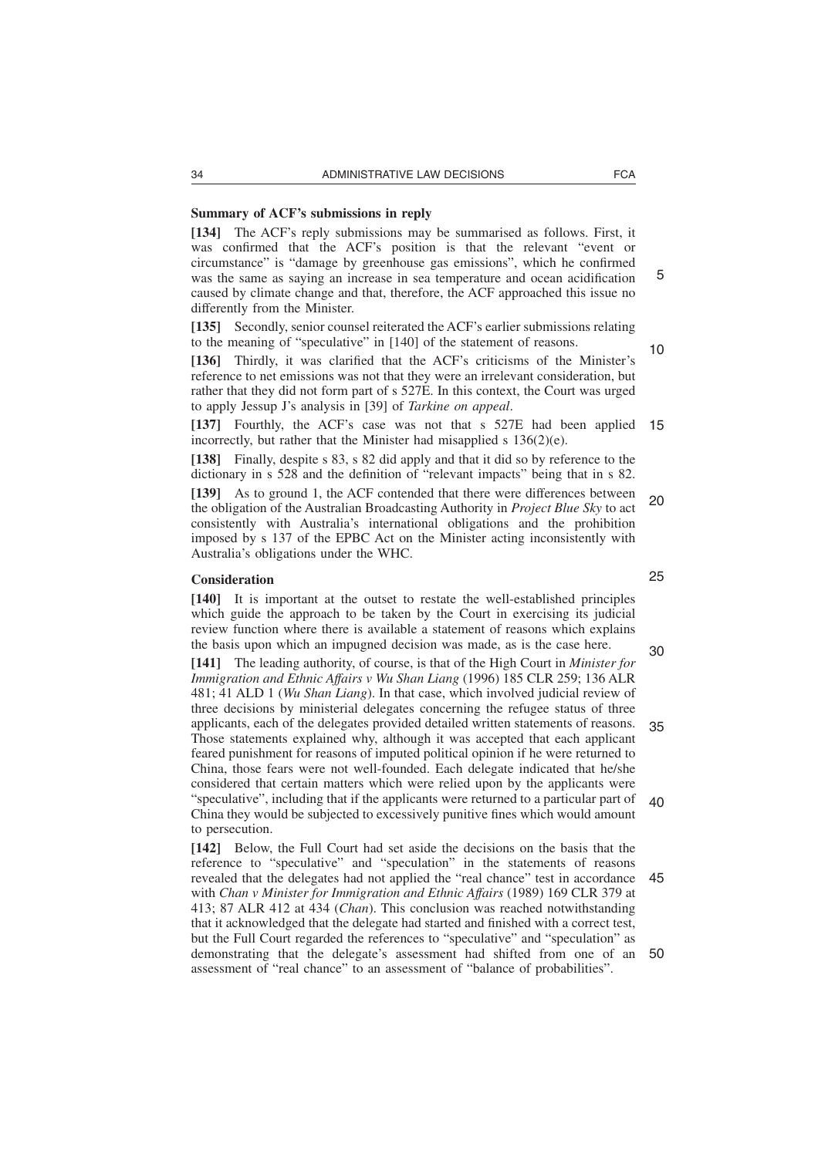#### **Summary of ACF's submissions in reply**

**[134]** The ACF's reply submissions may be summarised as follows. First, it was confirmed that the ACF's position is that the relevant "event or circumstance" is "damage by greenhouse gas emissions", which he confirmed was the same as saying an increase in sea temperature and ocean acidification caused by climate change and that, therefore, the ACF approached this issue no differently from the Minister.

**[135]** Secondly, senior counsel reiterated the ACF's earlier submissions relating to the meaning of "speculative" in [140] of the statement of reasons.

**[136]** Thirdly, it was clarified that the ACF's criticisms of the Minister's reference to net emissions was not that they were an irrelevant consideration, but rather that they did not form part of s 527E. In this context, the Court was urged to apply Jessup J's analysis in [39] of *Tarkine on appeal*.

**[137]** Fourthly, the ACF's case was not that s 527E had been applied 15 incorrectly, but rather that the Minister had misapplied s 136(2)(e).

**[138]** Finally, despite s 83, s 82 did apply and that it did so by reference to the dictionary in s 528 and the definition of "relevant impacts" being that in s 82.

**[139]** As to ground 1, the ACF contended that there were differences between the obligation of the Australian Broadcasting Authority in *Project Blue Sky* to act consistently with Australia's international obligations and the prohibition imposed by s 137 of the EPBC Act on the Minister acting inconsistently with Australia's obligations under the WHC. 20

# **Consideration**

**[140]** It is important at the outset to restate the well-established principles which guide the approach to be taken by the Court in exercising its judicial review function where there is available a statement of reasons which explains the basis upon which an impugned decision was made, as is the case here.

**[141]** The leading authority, of course, is that of the High Court in *Minister for Immigration and Ethnic Affairs v Wu Shan Liang* (1996) 185 CLR 259; 136 ALR 481; 41 ALD 1 (*Wu Shan Liang*). In that case, which involved judicial review of three decisions by ministerial delegates concerning the refugee status of three applicants, each of the delegates provided detailed written statements of reasons. Those statements explained why, although it was accepted that each applicant feared punishment for reasons of imputed political opinion if he were returned to China, those fears were not well-founded. Each delegate indicated that he/she considered that certain matters which were relied upon by the applicants were "speculative", including that if the applicants were returned to a particular part of China they would be subjected to excessively punitive fines which would amount to persecution. 30 35 40

**[142]** Below, the Full Court had set aside the decisions on the basis that the reference to "speculative" and "speculation" in the statements of reasons revealed that the delegates had not applied the "real chance" test in accordance with *Chan v Minister for Immigration and Ethnic Affairs* (1989) 169 CLR 379 at 413; 87 ALR 412 at 434 (*Chan*). This conclusion was reached notwithstanding that it acknowledged that the delegate had started and finished with a correct test, but the Full Court regarded the references to "speculative" and "speculation" as demonstrating that the delegate's assessment had shifted from one of an 50assessment of "real chance" to an assessment of "balance of probabilities". 45

25

5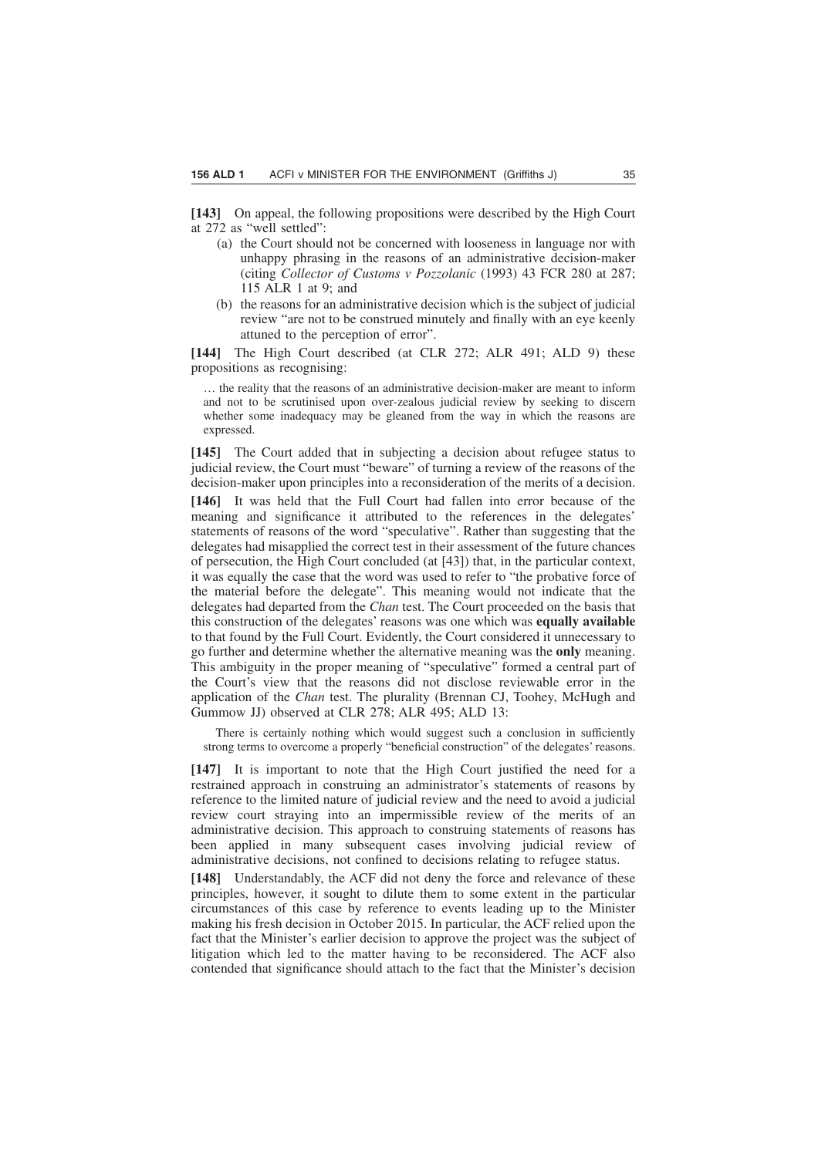**[143]** On appeal, the following propositions were described by the High Court at 272 as "well settled":

- (a) the Court should not be concerned with looseness in language nor with unhappy phrasing in the reasons of an administrative decision-maker (citing *Collector of Customs v Pozzolanic* (1993) 43 FCR 280 at 287; 115 ALR 1 at 9; and
- (b) the reasons for an administrative decision which is the subject of judicial review "are not to be construed minutely and finally with an eye keenly attuned to the perception of error".

**[144]** The High Court described (at CLR 272; ALR 491; ALD 9) these propositions as recognising:

… the reality that the reasons of an administrative decision-maker are meant to inform and not to be scrutinised upon over-zealous judicial review by seeking to discern whether some inadequacy may be gleaned from the way in which the reasons are expressed.

**[145]** The Court added that in subjecting a decision about refugee status to judicial review, the Court must "beware" of turning a review of the reasons of the decision-maker upon principles into a reconsideration of the merits of a decision.

**[146]** It was held that the Full Court had fallen into error because of the meaning and significance it attributed to the references in the delegates' statements of reasons of the word "speculative". Rather than suggesting that the delegates had misapplied the correct test in their assessment of the future chances of persecution, the High Court concluded (at [43]) that, in the particular context, it was equally the case that the word was used to refer to "the probative force of the material before the delegate". This meaning would not indicate that the delegates had departed from the *Chan* test. The Court proceeded on the basis that this construction of the delegates' reasons was one which was **equally available** to that found by the Full Court. Evidently, the Court considered it unnecessary to go further and determine whether the alternative meaning was the **only** meaning. This ambiguity in the proper meaning of "speculative" formed a central part of the Court's view that the reasons did not disclose reviewable error in the application of the *Chan* test. The plurality (Brennan CJ, Toohey, McHugh and Gummow JJ) observed at CLR 278; ALR 495; ALD 13:

There is certainly nothing which would suggest such a conclusion in sufficiently strong terms to overcome a properly "beneficial construction" of the delegates' reasons.

**[147]** It is important to note that the High Court justified the need for a restrained approach in construing an administrator's statements of reasons by reference to the limited nature of judicial review and the need to avoid a judicial review court straying into an impermissible review of the merits of an administrative decision. This approach to construing statements of reasons has been applied in many subsequent cases involving judicial review of administrative decisions, not confined to decisions relating to refugee status.

**[148]** Understandably, the ACF did not deny the force and relevance of these principles, however, it sought to dilute them to some extent in the particular circumstances of this case by reference to events leading up to the Minister making his fresh decision in October 2015. In particular, the ACF relied upon the fact that the Minister's earlier decision to approve the project was the subject of litigation which led to the matter having to be reconsidered. The ACF also contended that significance should attach to the fact that the Minister's decision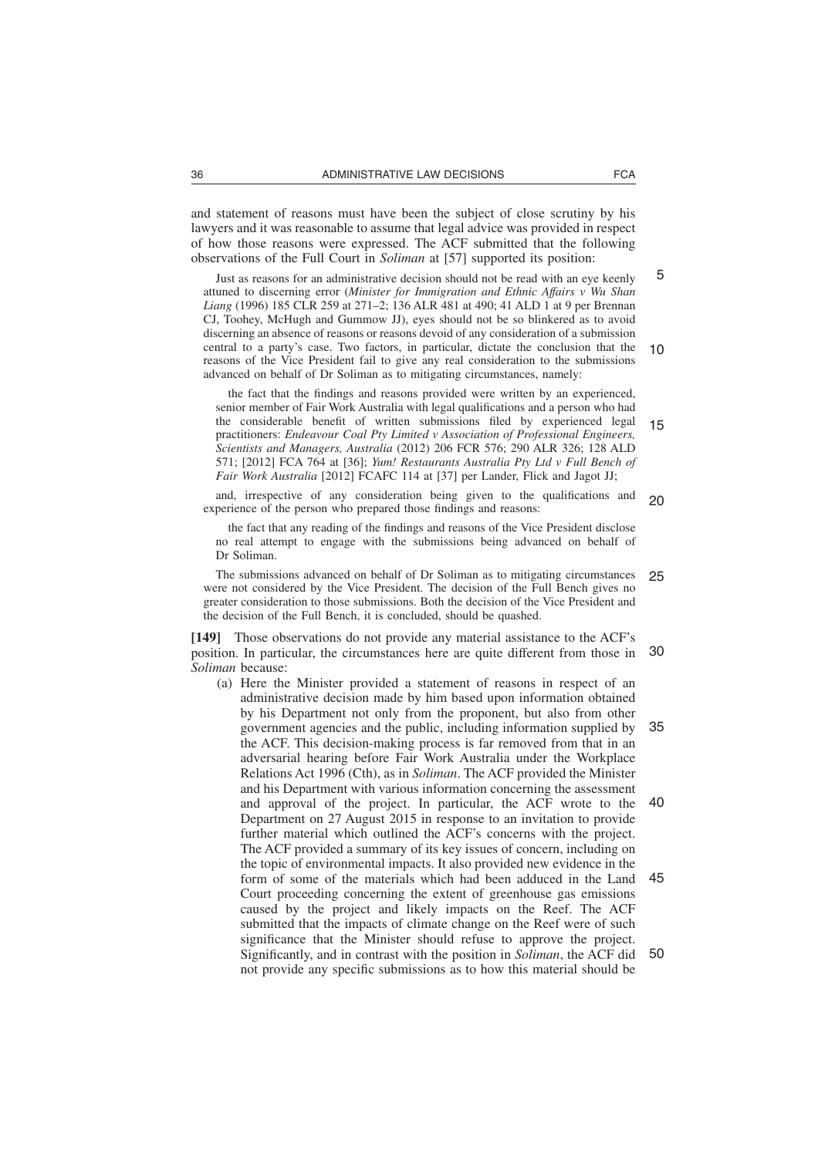and statement of reasons must have been the subject of close scrutiny by his lawyers and it was reasonable to assume that legal advice was provided in respect of how those reasons were expressed. The ACF submitted that the following observations of the Full Court in *Soliman* at [57] supported its position:

Just as reasons for an administrative decision should not be read with an eye keenly attuned to discerning error (*Minister for Immigration and Ethnic Affairs v Wu Shan Liang* (1996) 185 CLR 259 at 271–2; 136 ALR 481 at 490; 41 ALD 1 at 9 per Brennan CJ, Toohey, McHugh and Gummow JJ), eyes should not be so blinkered as to avoid discerning an absence of reasons or reasons devoid of any consideration of a submission central to a party's case. Two factors, in particular, dictate the conclusion that the reasons of the Vice President fail to give any real consideration to the submissions advanced on behalf of Dr Soliman as to mitigating circumstances, namely: 10

the fact that the findings and reasons provided were written by an experienced, senior member of Fair Work Australia with legal qualifications and a person who had the considerable benefit of written submissions filed by experienced legal practitioners: *Endeavour Coal Pty Limited v Association of Professional Engineers, Scientists and Managers, Australia* (2012) 206 FCR 576; 290 ALR 326; 128 ALD 571; [2012] FCA 764 at [36]; *Yum! Restaurants Australia Pty Ltd v Full Bench of Fair Work Australia* [2012] FCAFC 114 at [37] per Lander, Flick and Jagot JJ; 15

and, irrespective of any consideration being given to the qualifications and experience of the person who prepared those findings and reasons: 20

the fact that any reading of the findings and reasons of the Vice President disclose no real attempt to engage with the submissions being advanced on behalf of Dr Soliman.

The submissions advanced on behalf of Dr Soliman as to mitigating circumstances were not considered by the Vice President. The decision of the Full Bench gives no greater consideration to those submissions. Both the decision of the Vice President and the decision of the Full Bench, it is concluded, should be quashed. 25

**[149]** Those observations do not provide any material assistance to the ACF's position. In particular, the circumstances here are quite different from those in *Soliman* because: 30

(a) Here the Minister provided a statement of reasons in respect of an administrative decision made by him based upon information obtained by his Department not only from the proponent, but also from other government agencies and the public, including information supplied by the ACF. This decision-making process is far removed from that in an adversarial hearing before Fair Work Australia under the Workplace Relations Act 1996 (Cth), as in *Soliman*. The ACF provided the Minister and his Department with various information concerning the assessment and approval of the project. In particular, the ACF wrote to the Department on 27 August 2015 in response to an invitation to provide further material which outlined the ACF's concerns with the project. The ACF provided a summary of its key issues of concern, including on the topic of environmental impacts. It also provided new evidence in the form of some of the materials which had been adduced in the Land Court proceeding concerning the extent of greenhouse gas emissions caused by the project and likely impacts on the Reef. The ACF submitted that the impacts of climate change on the Reef were of such significance that the Minister should refuse to approve the project. Significantly, and in contrast with the position in *Soliman*, the ACF did not provide any specific submissions as to how this material should be 35 40 45 50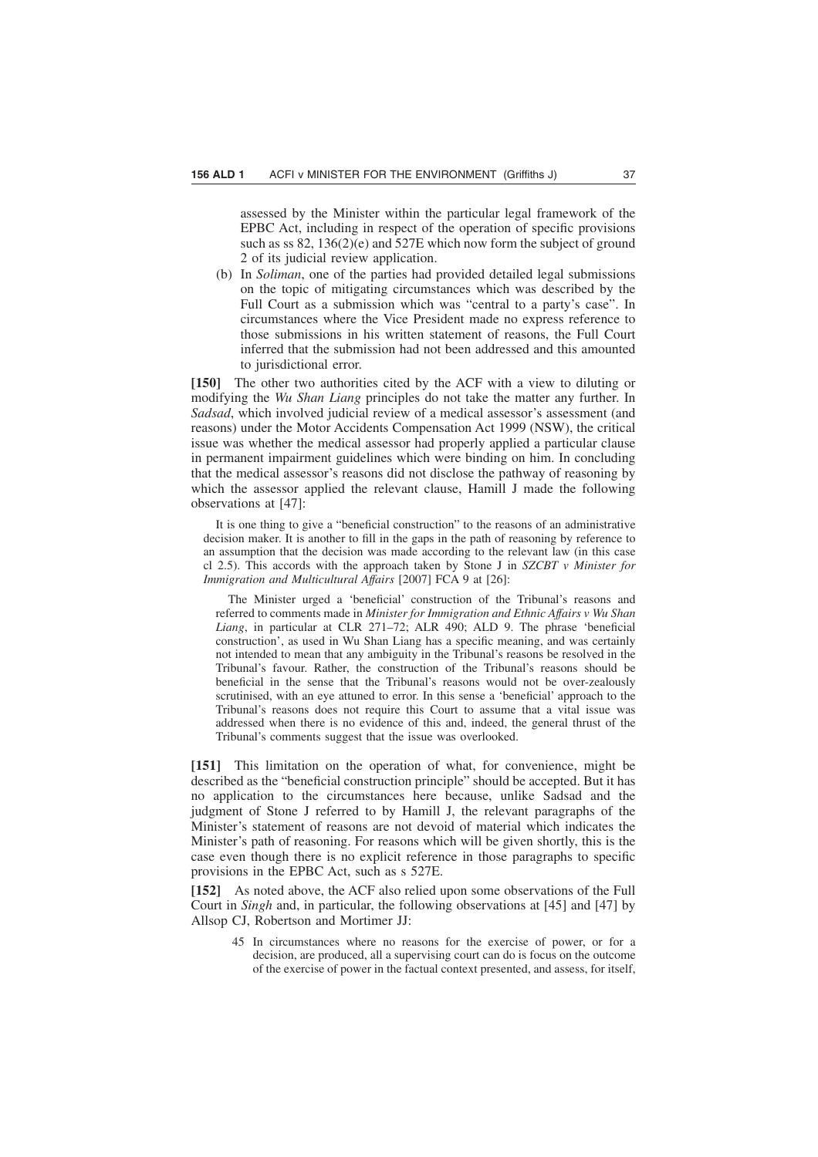assessed by the Minister within the particular legal framework of the EPBC Act, including in respect of the operation of specific provisions such as ss 82, 136(2)(e) and 527E which now form the subject of ground 2 of its judicial review application.

(b) In *Soliman*, one of the parties had provided detailed legal submissions on the topic of mitigating circumstances which was described by the Full Court as a submission which was "central to a party's case". In circumstances where the Vice President made no express reference to those submissions in his written statement of reasons, the Full Court inferred that the submission had not been addressed and this amounted to jurisdictional error.

**[150]** The other two authorities cited by the ACF with a view to diluting or modifying the *Wu Shan Liang* principles do not take the matter any further. In *Sadsad*, which involved judicial review of a medical assessor's assessment (and reasons) under the Motor Accidents Compensation Act 1999 (NSW), the critical issue was whether the medical assessor had properly applied a particular clause in permanent impairment guidelines which were binding on him. In concluding that the medical assessor's reasons did not disclose the pathway of reasoning by which the assessor applied the relevant clause, Hamill J made the following observations at [47]:

It is one thing to give a "beneficial construction" to the reasons of an administrative decision maker. It is another to fill in the gaps in the path of reasoning by reference to an assumption that the decision was made according to the relevant law (in this case cl 2.5). This accords with the approach taken by Stone J in *SZCBT v Minister for Immigration and Multicultural Affairs* [2007] FCA 9 at [26]:

The Minister urged a 'beneficial' construction of the Tribunal's reasons and referred to comments made in *Minister for Immigration and Ethnic Affairs v Wu Shan Liang*, in particular at CLR 271–72; ALR 490; ALD 9. The phrase 'beneficial construction', as used in Wu Shan Liang has a specific meaning, and was certainly not intended to mean that any ambiguity in the Tribunal's reasons be resolved in the Tribunal's favour. Rather, the construction of the Tribunal's reasons should be beneficial in the sense that the Tribunal's reasons would not be over-zealously scrutinised, with an eye attuned to error. In this sense a 'beneficial' approach to the Tribunal's reasons does not require this Court to assume that a vital issue was addressed when there is no evidence of this and, indeed, the general thrust of the Tribunal's comments suggest that the issue was overlooked.

**[151]** This limitation on the operation of what, for convenience, might be described as the "beneficial construction principle" should be accepted. But it has no application to the circumstances here because, unlike Sadsad and the judgment of Stone J referred to by Hamill J, the relevant paragraphs of the Minister's statement of reasons are not devoid of material which indicates the Minister's path of reasoning. For reasons which will be given shortly, this is the case even though there is no explicit reference in those paragraphs to specific provisions in the EPBC Act, such as s 527E.

**[152]** As noted above, the ACF also relied upon some observations of the Full Court in *Singh* and, in particular, the following observations at [45] and [47] by Allsop CJ, Robertson and Mortimer JJ:

45 In circumstances where no reasons for the exercise of power, or for a decision, are produced, all a supervising court can do is focus on the outcome of the exercise of power in the factual context presented, and assess, for itself,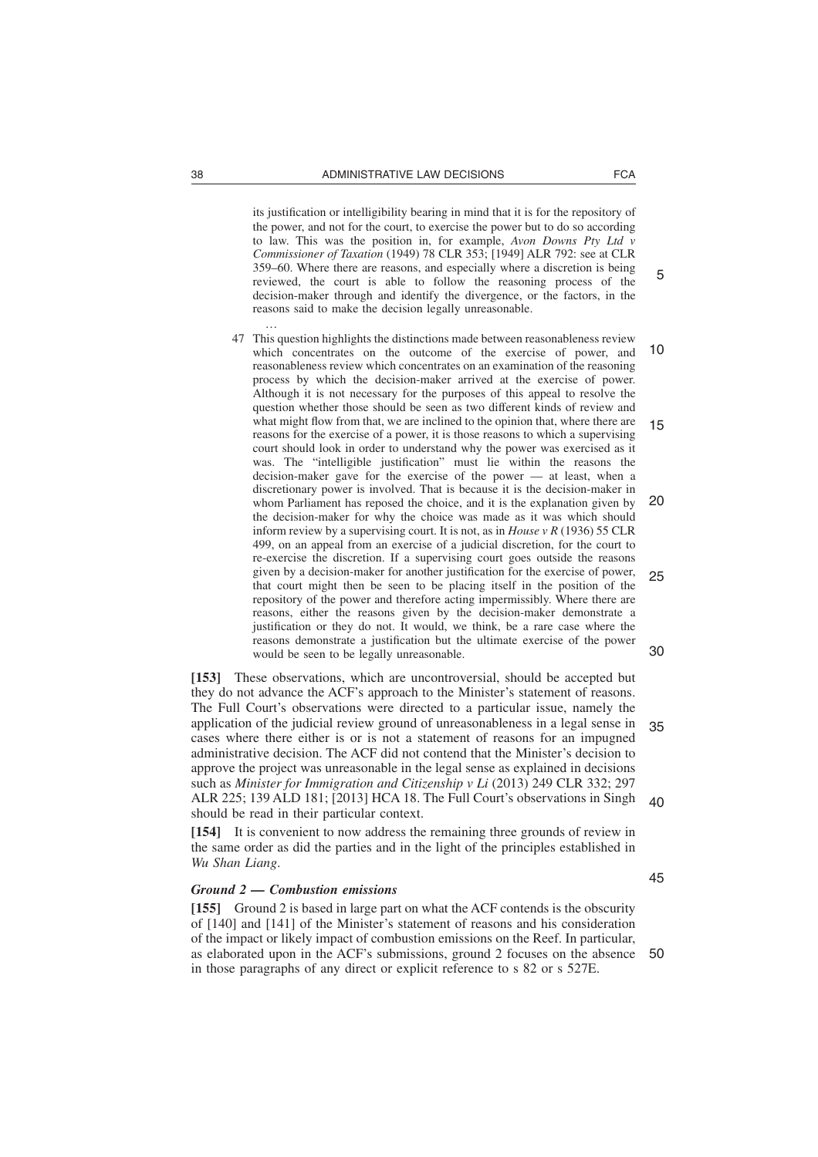its justification or intelligibility bearing in mind that it is for the repository of the power, and not for the court, to exercise the power but to do so according to law. This was the position in, for example, *Avon Downs Pty Ltd v Commissioner of Taxation* (1949) 78 CLR 353; [1949] ALR 792: see at CLR 359–60. Where there are reasons, and especially where a discretion is being reviewed, the court is able to follow the reasoning process of the decision-maker through and identify the divergence, or the factors, in the reasons said to make the decision legally unreasonable. …

47 This question highlights the distinctions made between reasonableness review which concentrates on the outcome of the exercise of power, and reasonableness review which concentrates on an examination of the reasoning process by which the decision-maker arrived at the exercise of power. Although it is not necessary for the purposes of this appeal to resolve the question whether those should be seen as two different kinds of review and what might flow from that, we are inclined to the opinion that, where there are reasons for the exercise of a power, it is those reasons to which a supervising court should look in order to understand why the power was exercised as it was. The "intelligible justification" must lie within the reasons the decision-maker gave for the exercise of the power — at least, when a discretionary power is involved. That is because it is the decision-maker in whom Parliament has reposed the choice, and it is the explanation given by the decision-maker for why the choice was made as it was which should inform review by a supervising court. It is not, as in *House v R* (1936) 55 CLR 499, on an appeal from an exercise of a judicial discretion, for the court to re-exercise the discretion. If a supervising court goes outside the reasons given by a decision-maker for another justification for the exercise of power, that court might then be seen to be placing itself in the position of the repository of the power and therefore acting impermissibly. Where there are reasons, either the reasons given by the decision-maker demonstrate a justification or they do not. It would, we think, be a rare case where the reasons demonstrate a justification but the ultimate exercise of the power would be seen to be legally unreasonable. 10 15 20 25 30

**[153]** These observations, which are uncontroversial, should be accepted but they do not advance the ACF's approach to the Minister's statement of reasons. The Full Court's observations were directed to a particular issue, namely the application of the judicial review ground of unreasonableness in a legal sense in cases where there either is or is not a statement of reasons for an impugned administrative decision. The ACF did not contend that the Minister's decision to approve the project was unreasonable in the legal sense as explained in decisions such as *Minister for Immigration and Citizenship v Li* (2013) 249 CLR 332; 297 ALR 225; 139 ALD 181; [2013] HCA 18. The Full Court's observations in Singh should be read in their particular context. 35  $40$ 

**[154]** It is convenient to now address the remaining three grounds of review in the same order as did the parties and in the light of the principles established in *Wu Shan Liang*.

#### *Ground 2 — Combustion emissions*

**[155]** Ground 2 is based in large part on what the ACF contends is the obscurity of [140] and [141] of the Minister's statement of reasons and his consideration of the impact or likely impact of combustion emissions on the Reef. In particular, as elaborated upon in the ACF's submissions, ground 2 focuses on the absence in those paragraphs of any direct or explicit reference to s 82 or s 527E. 50

5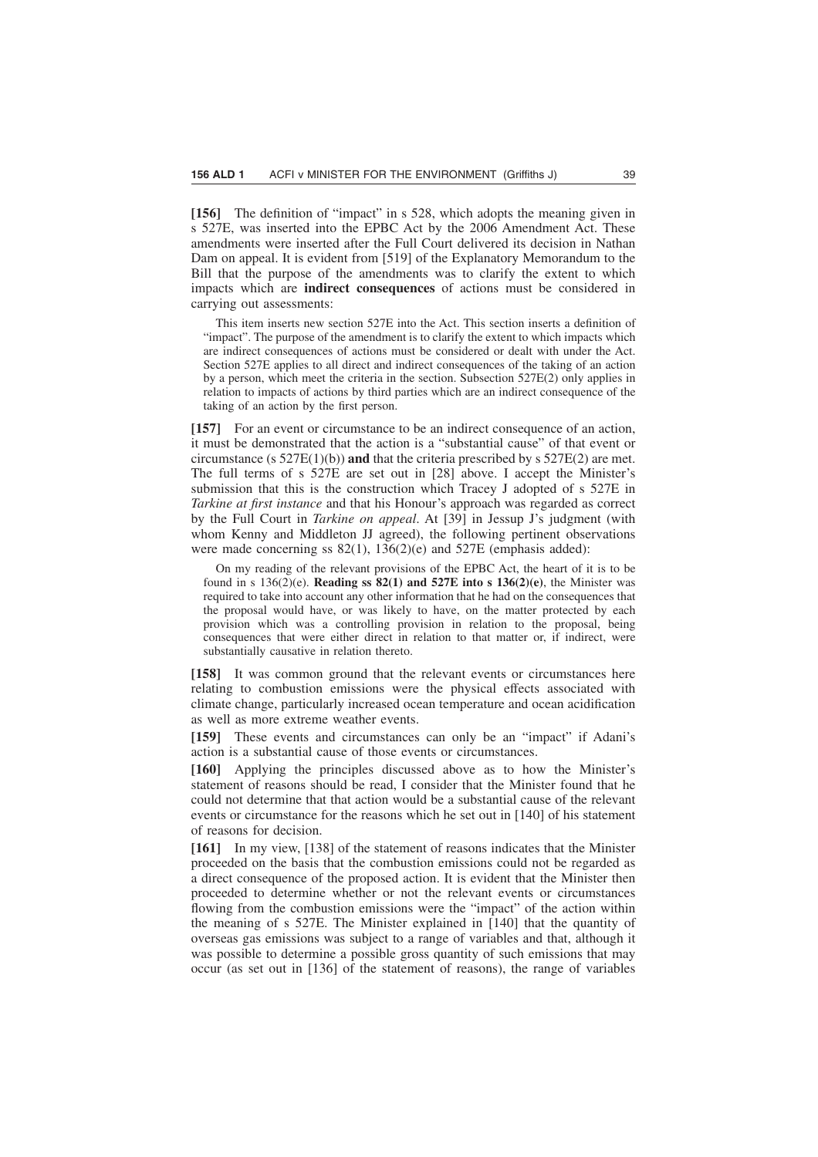**[156]** The definition of "impact" in s 528, which adopts the meaning given in s 527E, was inserted into the EPBC Act by the 2006 Amendment Act. These amendments were inserted after the Full Court delivered its decision in Nathan Dam on appeal. It is evident from [519] of the Explanatory Memorandum to the Bill that the purpose of the amendments was to clarify the extent to which impacts which are **indirect consequences** of actions must be considered in carrying out assessments:

This item inserts new section 527E into the Act. This section inserts a definition of "impact". The purpose of the amendment is to clarify the extent to which impacts which are indirect consequences of actions must be considered or dealt with under the Act. Section 527E applies to all direct and indirect consequences of the taking of an action by a person, which meet the criteria in the section. Subsection 527E(2) only applies in relation to impacts of actions by third parties which are an indirect consequence of the taking of an action by the first person.

**[157]** For an event or circumstance to be an indirect consequence of an action, it must be demonstrated that the action is a "substantial cause" of that event or circumstance (s 527E(1)(b)) **and** that the criteria prescribed by s 527E(2) are met. The full terms of s 527E are set out in [28] above. I accept the Minister's submission that this is the construction which Tracey J adopted of s 527E in *Tarkine at first instance* and that his Honour's approach was regarded as correct by the Full Court in *Tarkine on appeal*. At [39] in Jessup J's judgment (with whom Kenny and Middleton JJ agreed), the following pertinent observations were made concerning ss 82(1), 136(2)(e) and 527E (emphasis added):

On my reading of the relevant provisions of the EPBC Act, the heart of it is to be found in s  $136(2)(e)$ . **Reading ss 82(1) and 527E into s 136(2)(e)**, the Minister was required to take into account any other information that he had on the consequences that the proposal would have, or was likely to have, on the matter protected by each provision which was a controlling provision in relation to the proposal, being consequences that were either direct in relation to that matter or, if indirect, were substantially causative in relation thereto.

**[158]** It was common ground that the relevant events or circumstances here relating to combustion emissions were the physical effects associated with climate change, particularly increased ocean temperature and ocean acidification as well as more extreme weather events.

**[159]** These events and circumstances can only be an "impact" if Adani's action is a substantial cause of those events or circumstances.

**[160]** Applying the principles discussed above as to how the Minister's statement of reasons should be read, I consider that the Minister found that he could not determine that that action would be a substantial cause of the relevant events or circumstance for the reasons which he set out in [140] of his statement of reasons for decision.

**[161]** In my view, [138] of the statement of reasons indicates that the Minister proceeded on the basis that the combustion emissions could not be regarded as a direct consequence of the proposed action. It is evident that the Minister then proceeded to determine whether or not the relevant events or circumstances flowing from the combustion emissions were the "impact" of the action within the meaning of s 527E. The Minister explained in [140] that the quantity of overseas gas emissions was subject to a range of variables and that, although it was possible to determine a possible gross quantity of such emissions that may occur (as set out in [136] of the statement of reasons), the range of variables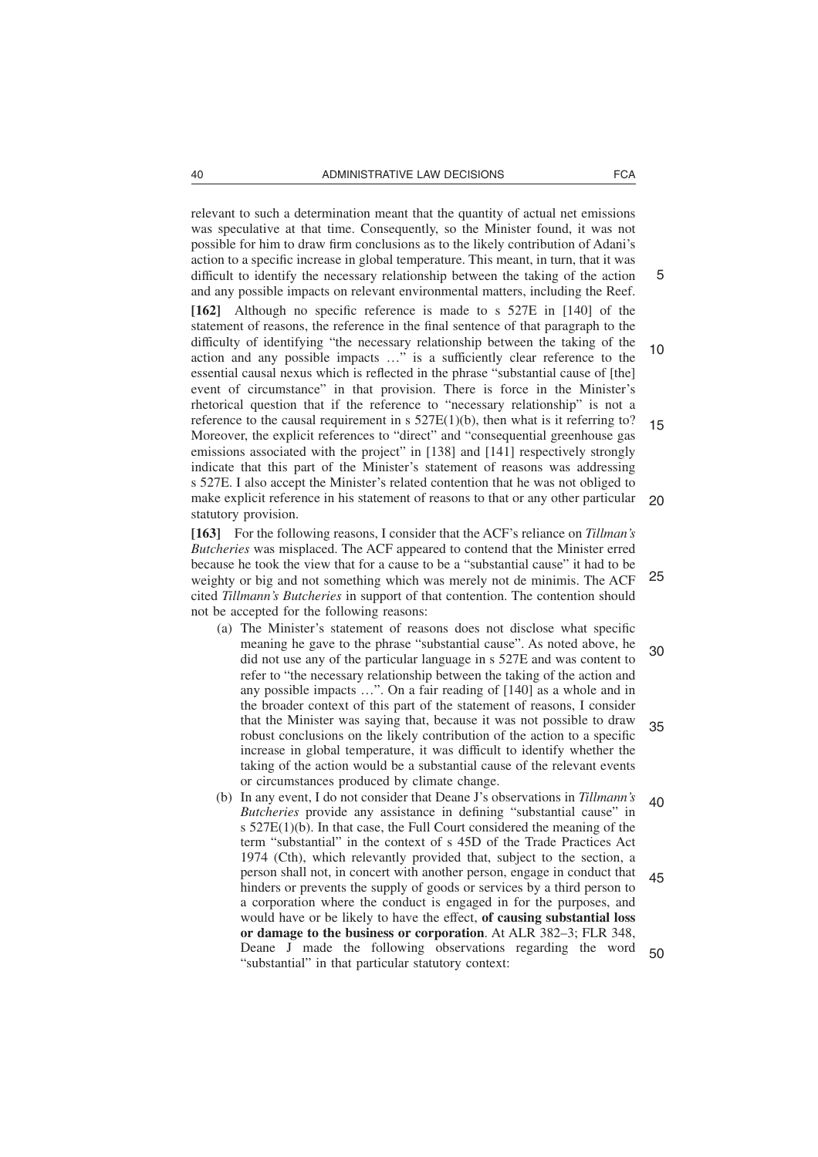relevant to such a determination meant that the quantity of actual net emissions was speculative at that time. Consequently, so the Minister found, it was not possible for him to draw firm conclusions as to the likely contribution of Adani's action to a specific increase in global temperature. This meant, in turn, that it was difficult to identify the necessary relationship between the taking of the action and any possible impacts on relevant environmental matters, including the Reef.

**[162]** Although no specific reference is made to s 527E in [140] of the statement of reasons, the reference in the final sentence of that paragraph to the difficulty of identifying "the necessary relationship between the taking of the action and any possible impacts …" is a sufficiently clear reference to the essential causal nexus which is reflected in the phrase "substantial cause of [the] event of circumstance" in that provision. There is force in the Minister's rhetorical question that if the reference to "necessary relationship" is not a reference to the causal requirement in  $s$  527E(1)(b), then what is it referring to? Moreover, the explicit references to "direct" and "consequential greenhouse gas emissions associated with the project" in [138] and [141] respectively strongly indicate that this part of the Minister's statement of reasons was addressing s 527E. I also accept the Minister's related contention that he was not obliged to make explicit reference in his statement of reasons to that or any other particular statutory provision. 10 15 20

**[163]** For the following reasons, I consider that the ACF's reliance on *Tillman's Butcheries* was misplaced. The ACF appeared to contend that the Minister erred because he took the view that for a cause to be a "substantial cause" it had to be weighty or big and not something which was merely not de minimis. The ACF cited *Tillmann's Butcheries* in support of that contention. The contention should not be accepted for the following reasons: 25

- (a) The Minister's statement of reasons does not disclose what specific meaning he gave to the phrase "substantial cause". As noted above, he did not use any of the particular language in s 527E and was content to refer to "the necessary relationship between the taking of the action and any possible impacts …". On a fair reading of [140] as a whole and in the broader context of this part of the statement of reasons, I consider that the Minister was saying that, because it was not possible to draw robust conclusions on the likely contribution of the action to a specific increase in global temperature, it was difficult to identify whether the taking of the action would be a substantial cause of the relevant events or circumstances produced by climate change. 30 35
- (b) In any event, I do not consider that Deane J's observations in *Tillmann's Butcheries* provide any assistance in defining "substantial cause" in s 527E(1)(b). In that case, the Full Court considered the meaning of the term "substantial" in the context of s 45D of the Trade Practices Act 1974 (Cth), which relevantly provided that, subject to the section, a person shall not, in concert with another person, engage in conduct that hinders or prevents the supply of goods or services by a third person to a corporation where the conduct is engaged in for the purposes, and would have or be likely to have the effect, **of causing substantial loss or damage to the business or corporation**. At ALR 382–3; FLR 348, Deane J made the following observations regarding the word "substantial" in that particular statutory context: 40 45 50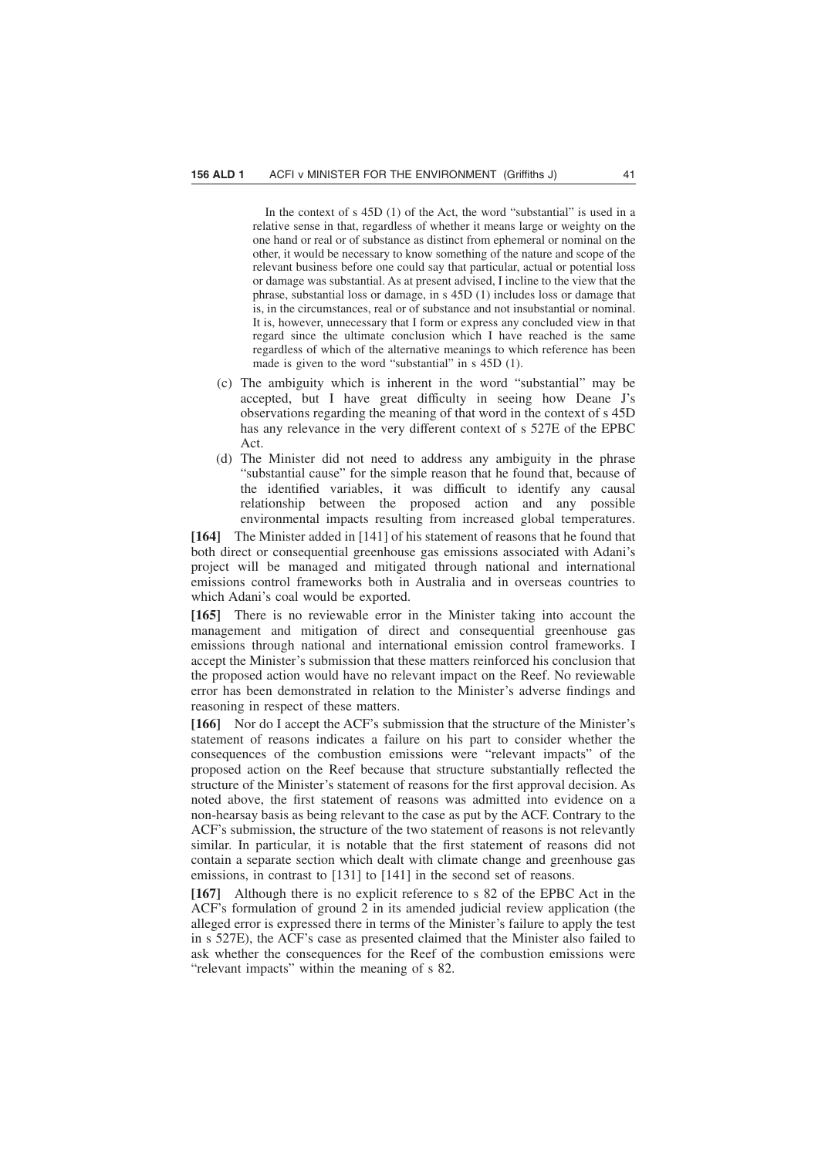In the context of s 45D (1) of the Act, the word "substantial" is used in a relative sense in that, regardless of whether it means large or weighty on the one hand or real or of substance as distinct from ephemeral or nominal on the other, it would be necessary to know something of the nature and scope of the relevant business before one could say that particular, actual or potential loss or damage was substantial. As at present advised, I incline to the view that the phrase, substantial loss or damage, in s 45D (1) includes loss or damage that is, in the circumstances, real or of substance and not insubstantial or nominal. It is, however, unnecessary that I form or express any concluded view in that regard since the ultimate conclusion which I have reached is the same regardless of which of the alternative meanings to which reference has been made is given to the word "substantial" in s 45D (1).

- (c) The ambiguity which is inherent in the word "substantial" may be accepted, but I have great difficulty in seeing how Deane J's observations regarding the meaning of that word in the context of s 45D has any relevance in the very different context of s 527E of the EPBC Act.
- (d) The Minister did not need to address any ambiguity in the phrase "substantial cause" for the simple reason that he found that, because of the identified variables, it was difficult to identify any causal relationship between the proposed action and any possible environmental impacts resulting from increased global temperatures.

**[164]** The Minister added in [141] of his statement of reasons that he found that both direct or consequential greenhouse gas emissions associated with Adani's project will be managed and mitigated through national and international emissions control frameworks both in Australia and in overseas countries to which Adani's coal would be exported.

**[165]** There is no reviewable error in the Minister taking into account the management and mitigation of direct and consequential greenhouse gas emissions through national and international emission control frameworks. I accept the Minister's submission that these matters reinforced his conclusion that the proposed action would have no relevant impact on the Reef. No reviewable error has been demonstrated in relation to the Minister's adverse findings and reasoning in respect of these matters.

**[166]** Nor do I accept the ACF's submission that the structure of the Minister's statement of reasons indicates a failure on his part to consider whether the consequences of the combustion emissions were "relevant impacts" of the proposed action on the Reef because that structure substantially reflected the structure of the Minister's statement of reasons for the first approval decision. As noted above, the first statement of reasons was admitted into evidence on a non-hearsay basis as being relevant to the case as put by the ACF. Contrary to the ACF's submission, the structure of the two statement of reasons is not relevantly similar. In particular, it is notable that the first statement of reasons did not contain a separate section which dealt with climate change and greenhouse gas emissions, in contrast to [131] to [141] in the second set of reasons.

**[167]** Although there is no explicit reference to s 82 of the EPBC Act in the ACF's formulation of ground 2 in its amended judicial review application (the alleged error is expressed there in terms of the Minister's failure to apply the test in s 527E), the ACF's case as presented claimed that the Minister also failed to ask whether the consequences for the Reef of the combustion emissions were "relevant impacts" within the meaning of s 82.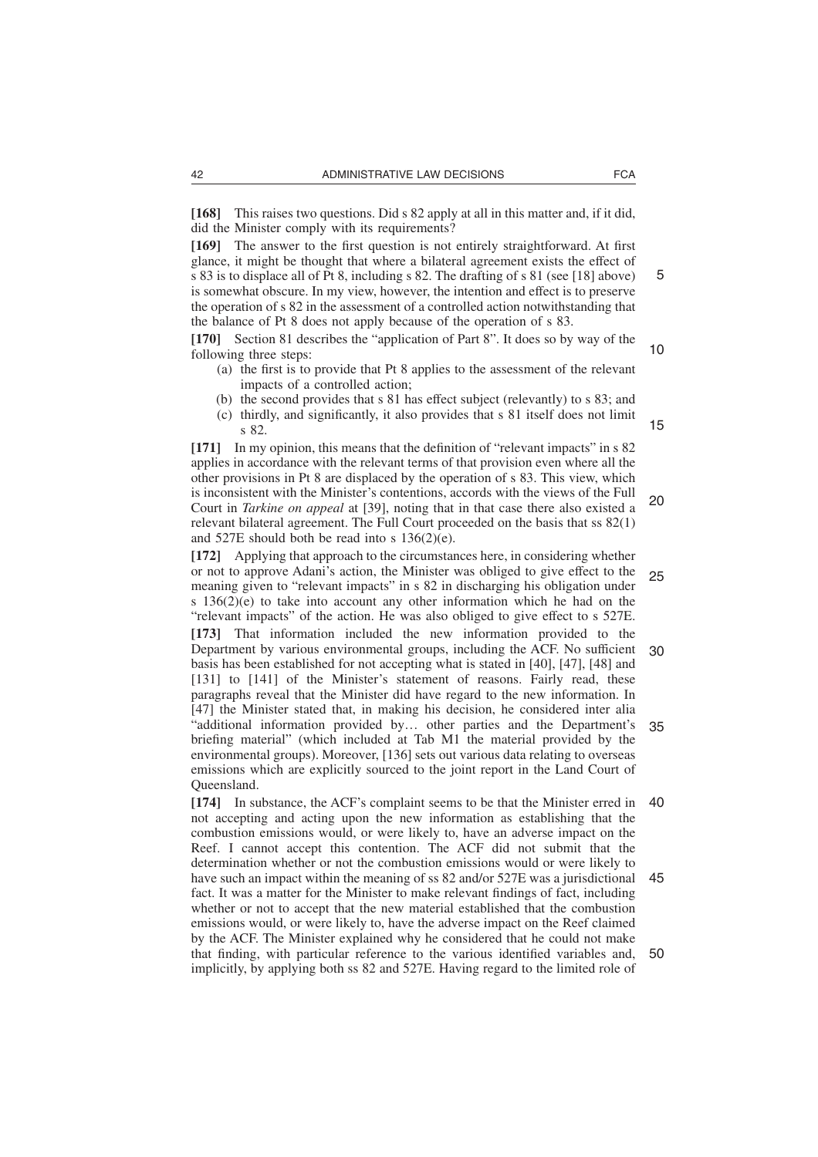**[168]** This raises two questions. Did s 82 apply at all in this matter and, if it did, did the Minister comply with its requirements?

**[169]** The answer to the first question is not entirely straightforward. At first glance, it might be thought that where a bilateral agreement exists the effect of s 83 is to displace all of Pt 8, including s 82. The drafting of s 81 (see [18] above) is somewhat obscure. In my view, however, the intention and effect is to preserve the operation of s 82 in the assessment of a controlled action notwithstanding that the balance of Pt 8 does not apply because of the operation of s 83.

**[170]** Section 81 describes the "application of Part 8". It does so by way of the following three steps: 10

- (a) the first is to provide that Pt 8 applies to the assessment of the relevant impacts of a controlled action;
- (b) the second provides that s 81 has effect subject (relevantly) to s 83; and
- (c) thirdly, and significantly, it also provides that s 81 itself does not limit s 82.

**[171]** In my opinion, this means that the definition of "relevant impacts" in s 82 applies in accordance with the relevant terms of that provision even where all the other provisions in Pt 8 are displaced by the operation of s 83. This view, which is inconsistent with the Minister's contentions, accords with the views of the Full Court in *Tarkine on appeal* at [39], noting that in that case there also existed a relevant bilateral agreement. The Full Court proceeded on the basis that ss 82(1) and 527E should both be read into s 136(2)(e). 20

**[172]** Applying that approach to the circumstances here, in considering whether or not to approve Adani's action, the Minister was obliged to give effect to the meaning given to "relevant impacts" in s 82 in discharging his obligation under s  $136(2)(e)$  to take into account any other information which he had on the "relevant impacts" of the action. He was also obliged to give effect to s 527E. 25

**[173]** That information included the new information provided to the Department by various environmental groups, including the ACF. No sufficient basis has been established for not accepting what is stated in [40], [47], [48] and [131] to [141] of the Minister's statement of reasons. Fairly read, these paragraphs reveal that the Minister did have regard to the new information. In [47] the Minister stated that, in making his decision, he considered inter alia "additional information provided by… other parties and the Department's briefing material" (which included at Tab M1 the material provided by the environmental groups). Moreover, [136] sets out various data relating to overseas emissions which are explicitly sourced to the joint report in the Land Court of Queensland. 30 35

**[174]** In substance, the ACF's complaint seems to be that the Minister erred in not accepting and acting upon the new information as establishing that the combustion emissions would, or were likely to, have an adverse impact on the Reef. I cannot accept this contention. The ACF did not submit that the determination whether or not the combustion emissions would or were likely to have such an impact within the meaning of ss 82 and/or 527E was a jurisdictional fact. It was a matter for the Minister to make relevant findings of fact, including whether or not to accept that the new material established that the combustion emissions would, or were likely to, have the adverse impact on the Reef claimed by the ACF. The Minister explained why he considered that he could not make that finding, with particular reference to the various identified variables and, implicitly, by applying both ss 82 and 527E. Having regard to the limited role of 40 45 50

15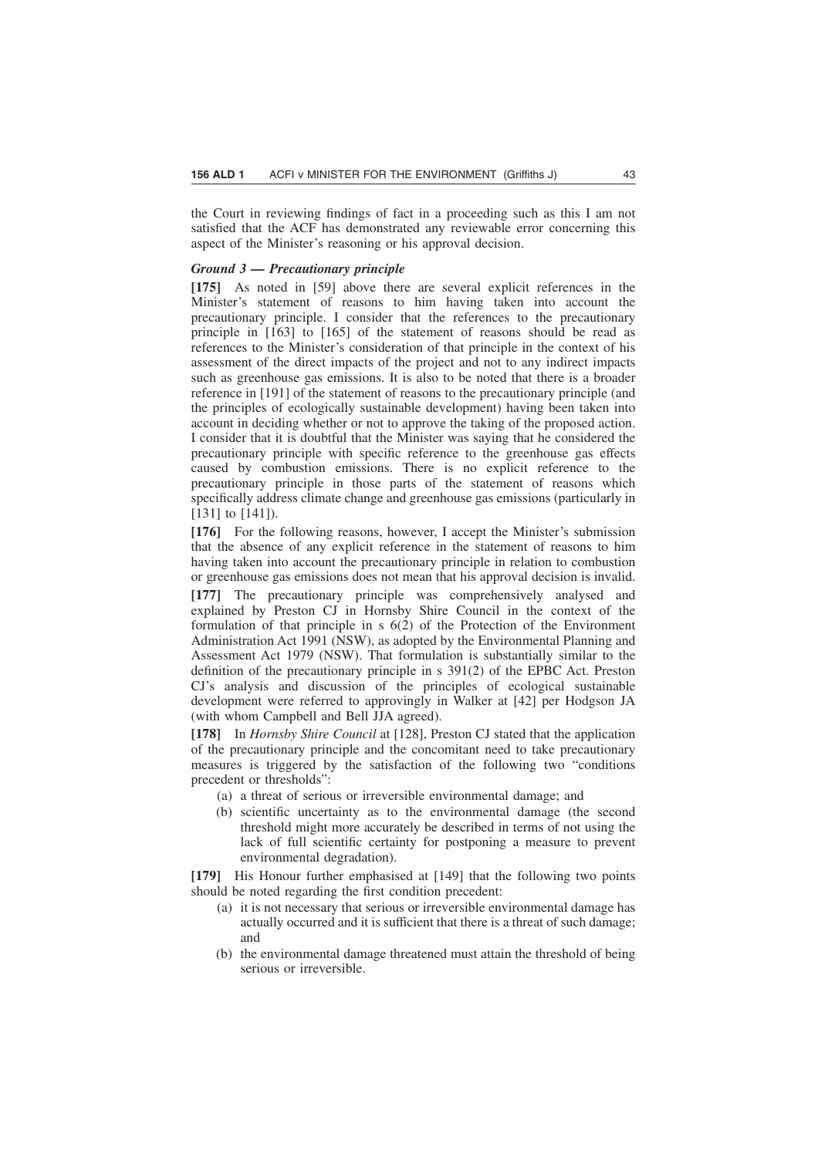the Court in reviewing findings of fact in a proceeding such as this I am not satisfied that the ACF has demonstrated any reviewable error concerning this aspect of the Minister's reasoning or his approval decision.

### *Ground 3 — Precautionary principle*

**[175]** As noted in [59] above there are several explicit references in the Minister's statement of reasons to him having taken into account the precautionary principle. I consider that the references to the precautionary principle in [163] to [165] of the statement of reasons should be read as references to the Minister's consideration of that principle in the context of his assessment of the direct impacts of the project and not to any indirect impacts such as greenhouse gas emissions. It is also to be noted that there is a broader reference in [191] of the statement of reasons to the precautionary principle (and the principles of ecologically sustainable development) having been taken into account in deciding whether or not to approve the taking of the proposed action. I consider that it is doubtful that the Minister was saying that he considered the precautionary principle with specific reference to the greenhouse gas effects caused by combustion emissions. There is no explicit reference to the precautionary principle in those parts of the statement of reasons which specifically address climate change and greenhouse gas emissions (particularly in [131] to [141]).

**[176]** For the following reasons, however, I accept the Minister's submission that the absence of any explicit reference in the statement of reasons to him having taken into account the precautionary principle in relation to combustion or greenhouse gas emissions does not mean that his approval decision is invalid.

**[177]** The precautionary principle was comprehensively analysed and explained by Preston CJ in Hornsby Shire Council in the context of the formulation of that principle in  $s$   $6(2)$  of the Protection of the Environment Administration Act 1991 (NSW), as adopted by the Environmental Planning and Assessment Act 1979 (NSW). That formulation is substantially similar to the definition of the precautionary principle in s 391(2) of the EPBC Act. Preston CJ's analysis and discussion of the principles of ecological sustainable development were referred to approvingly in Walker at [42] per Hodgson JA (with whom Campbell and Bell JJA agreed).

**[178]** In *Hornsby Shire Council* at [128], Preston CJ stated that the application of the precautionary principle and the concomitant need to take precautionary measures is triggered by the satisfaction of the following two "conditions precedent or thresholds":

- (a) a threat of serious or irreversible environmental damage; and
- (b) scientific uncertainty as to the environmental damage (the second threshold might more accurately be described in terms of not using the lack of full scientific certainty for postponing a measure to prevent environmental degradation).

**[179]** His Honour further emphasised at [149] that the following two points should be noted regarding the first condition precedent:

- (a) it is not necessary that serious or irreversible environmental damage has actually occurred and it is sufficient that there is a threat of such damage; and
- (b) the environmental damage threatened must attain the threshold of being serious or irreversible.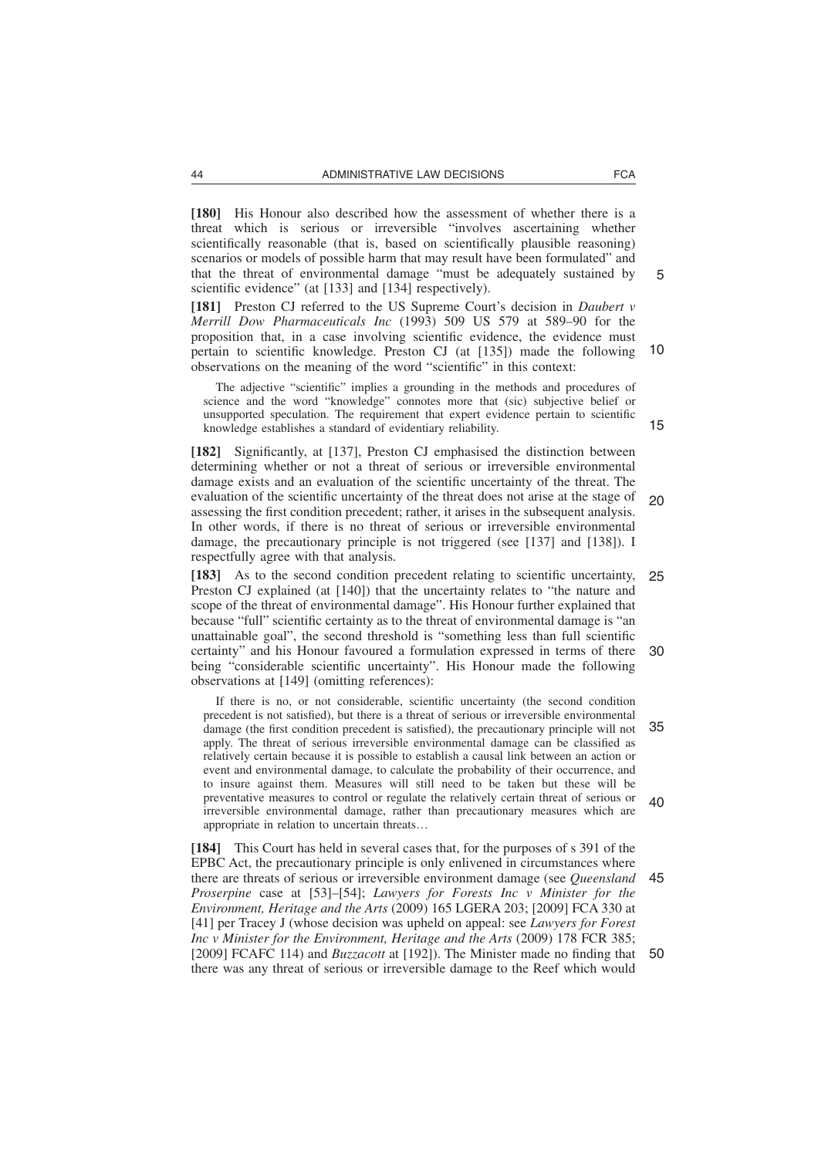**[180]** His Honour also described how the assessment of whether there is a threat which is serious or irreversible "involves ascertaining whether scientifically reasonable (that is, based on scientifically plausible reasoning) scenarios or models of possible harm that may result have been formulated" and that the threat of environmental damage "must be adequately sustained by scientific evidence" (at [133] and [134] respectively).

**[181]** Preston CJ referred to the US Supreme Court's decision in *Daubert v Merrill Dow Pharmaceuticals Inc* (1993) 509 US 579 at 589–90 for the proposition that, in a case involving scientific evidence, the evidence must pertain to scientific knowledge. Preston CJ (at [135]) made the following observations on the meaning of the word "scientific" in this context: 10

The adjective "scientific" implies a grounding in the methods and procedures of science and the word "knowledge" connotes more that (sic) subjective belief or unsupported speculation. The requirement that expert evidence pertain to scientific knowledge establishes a standard of evidentiary reliability.

**[182]** Significantly, at [137], Preston CJ emphasised the distinction between determining whether or not a threat of serious or irreversible environmental damage exists and an evaluation of the scientific uncertainty of the threat. The evaluation of the scientific uncertainty of the threat does not arise at the stage of assessing the first condition precedent; rather, it arises in the subsequent analysis. In other words, if there is no threat of serious or irreversible environmental damage, the precautionary principle is not triggered (see [137] and [138]). I respectfully agree with that analysis. 20

**[183]** As to the second condition precedent relating to scientific uncertainty, Preston CJ explained (at [140]) that the uncertainty relates to "the nature and scope of the threat of environmental damage". His Honour further explained that because "full" scientific certainty as to the threat of environmental damage is "an unattainable goal", the second threshold is "something less than full scientific certainty" and his Honour favoured a formulation expressed in terms of there being "considerable scientific uncertainty". His Honour made the following observations at [149] (omitting references): 25 30

If there is no, or not considerable, scientific uncertainty (the second condition precedent is not satisfied), but there is a threat of serious or irreversible environmental damage (the first condition precedent is satisfied), the precautionary principle will not apply. The threat of serious irreversible environmental damage can be classified as relatively certain because it is possible to establish a causal link between an action or event and environmental damage, to calculate the probability of their occurrence, and to insure against them. Measures will still need to be taken but these will be preventative measures to control or regulate the relatively certain threat of serious or irreversible environmental damage, rather than precautionary measures which are appropriate in relation to uncertain threats… 35  $40$ 

**[184]** This Court has held in several cases that, for the purposes of s 391 of the EPBC Act, the precautionary principle is only enlivened in circumstances where there are threats of serious or irreversible environment damage (see *Queensland Proserpine* case at [53]–[54]; *Lawyers for Forests Inc v Minister for the Environment, Heritage and the Arts* (2009) 165 LGERA 203; [2009] FCA 330 at [41] per Tracey J (whose decision was upheld on appeal: see *Lawyers for Forest Inc v Minister for the Environment, Heritage and the Arts* (2009) 178 FCR 385; [2009] FCAFC 114) and *Buzzacott* at [192]). The Minister made no finding that there was any threat of serious or irreversible damage to the Reef which would 45 50

15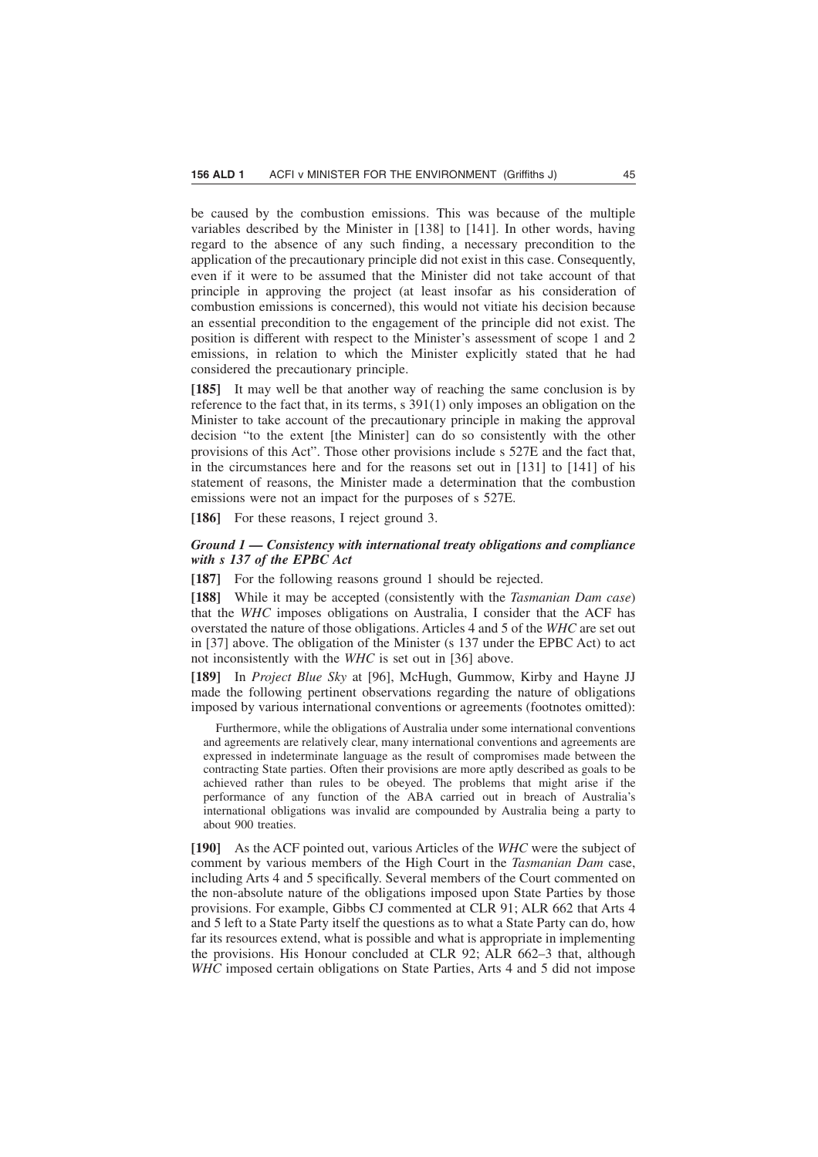be caused by the combustion emissions. This was because of the multiple variables described by the Minister in [138] to [141]. In other words, having regard to the absence of any such finding, a necessary precondition to the application of the precautionary principle did not exist in this case. Consequently, even if it were to be assumed that the Minister did not take account of that principle in approving the project (at least insofar as his consideration of combustion emissions is concerned), this would not vitiate his decision because an essential precondition to the engagement of the principle did not exist. The position is different with respect to the Minister's assessment of scope 1 and 2 emissions, in relation to which the Minister explicitly stated that he had considered the precautionary principle.

**[185]** It may well be that another way of reaching the same conclusion is by reference to the fact that, in its terms, s 391(1) only imposes an obligation on the Minister to take account of the precautionary principle in making the approval decision "to the extent [the Minister] can do so consistently with the other provisions of this Act". Those other provisions include s 527E and the fact that, in the circumstances here and for the reasons set out in [131] to [141] of his statement of reasons, the Minister made a determination that the combustion emissions were not an impact for the purposes of s 527E.

[186] For these reasons, I reject ground 3.

# *Ground 1 — Consistency with international treaty obligations and compliance with s 137 of the EPBC Act*

**[187]** For the following reasons ground 1 should be rejected.

**[188]** While it may be accepted (consistently with the *Tasmanian Dam case*) that the *WHC* imposes obligations on Australia, I consider that the ACF has overstated the nature of those obligations. Articles 4 and 5 of the *WHC* are set out in [37] above. The obligation of the Minister (s 137 under the EPBC Act) to act not inconsistently with the *WHC* is set out in [36] above.

**[189]** In *Project Blue Sky* at [96], McHugh, Gummow, Kirby and Hayne JJ made the following pertinent observations regarding the nature of obligations imposed by various international conventions or agreements (footnotes omitted):

Furthermore, while the obligations of Australia under some international conventions and agreements are relatively clear, many international conventions and agreements are expressed in indeterminate language as the result of compromises made between the contracting State parties. Often their provisions are more aptly described as goals to be achieved rather than rules to be obeyed. The problems that might arise if the performance of any function of the ABA carried out in breach of Australia's international obligations was invalid are compounded by Australia being a party to about 900 treaties.

**[190]** As the ACF pointed out, various Articles of the *WHC* were the subject of comment by various members of the High Court in the *Tasmanian Dam* case, including Arts 4 and 5 specifically. Several members of the Court commented on the non-absolute nature of the obligations imposed upon State Parties by those provisions. For example, Gibbs CJ commented at CLR 91; ALR 662 that Arts 4 and 5 left to a State Party itself the questions as to what a State Party can do, how far its resources extend, what is possible and what is appropriate in implementing the provisions. His Honour concluded at CLR 92; ALR 662–3 that, although *WHC* imposed certain obligations on State Parties, Arts 4 and 5 did not impose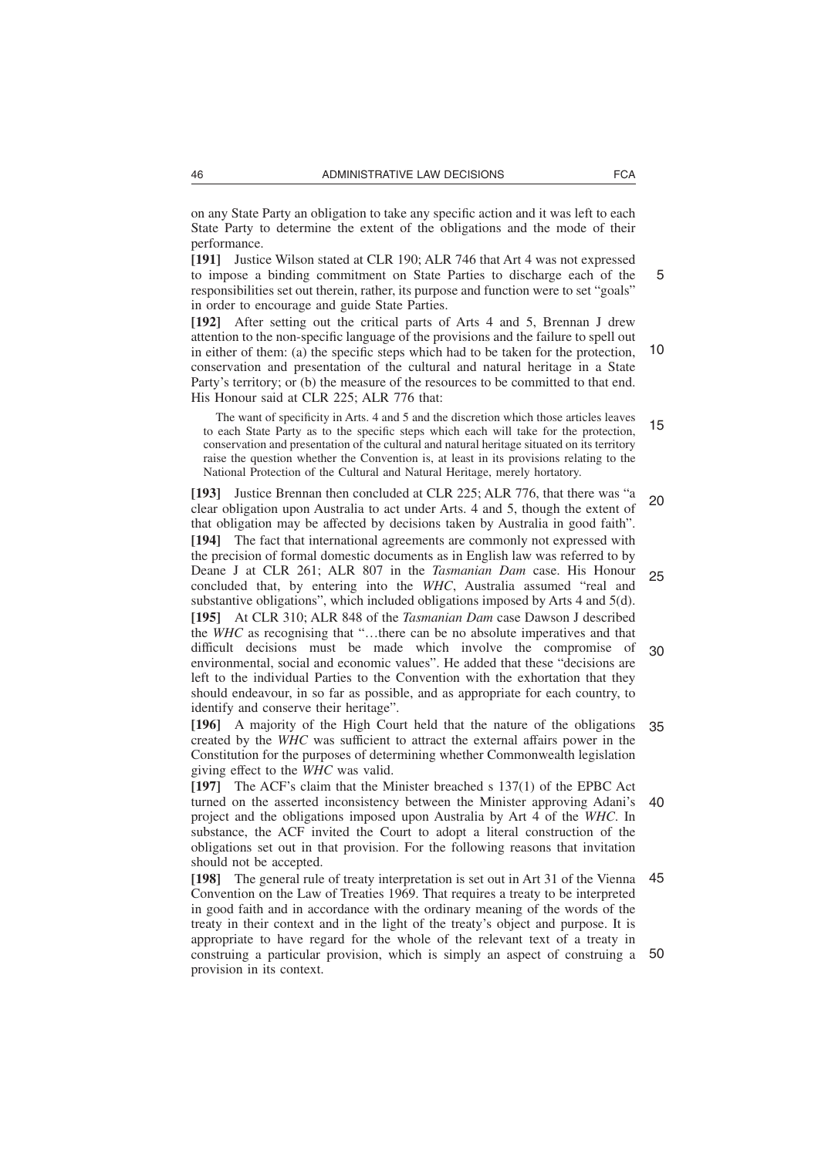on any State Party an obligation to take any specific action and it was left to each State Party to determine the extent of the obligations and the mode of their performance.

**[191]** Justice Wilson stated at CLR 190; ALR 746 that Art 4 was not expressed to impose a binding commitment on State Parties to discharge each of the responsibilities set out therein, rather, its purpose and function were to set "goals" in order to encourage and guide State Parties.

**[192]** After setting out the critical parts of Arts 4 and 5, Brennan J drew attention to the non-specific language of the provisions and the failure to spell out in either of them: (a) the specific steps which had to be taken for the protection, conservation and presentation of the cultural and natural heritage in a State Party's territory; or (b) the measure of the resources to be committed to that end. His Honour said at CLR 225; ALR 776 that: 10

The want of specificity in Arts. 4 and 5 and the discretion which those articles leaves to each State Party as to the specific steps which each will take for the protection, conservation and presentation of the cultural and natural heritage situated on its territory raise the question whether the Convention is, at least in its provisions relating to the National Protection of the Cultural and Natural Heritage, merely hortatory. 15

**[193]** Justice Brennan then concluded at CLR 225; ALR 776, that there was "a clear obligation upon Australia to act under Arts. 4 and 5, though the extent of that obligation may be affected by decisions taken by Australia in good faith". **[194]** The fact that international agreements are commonly not expressed with the precision of formal domestic documents as in English law was referred to by Deane J at CLR 261; ALR 807 in the *Tasmanian Dam* case. His Honour concluded that, by entering into the *WHC*, Australia assumed "real and substantive obligations", which included obligations imposed by Arts 4 and 5(d). **[195]** At CLR 310; ALR 848 of the *Tasmanian Dam* case Dawson J described the *WHC* as recognising that "…there can be no absolute imperatives and that difficult decisions must be made which involve the compromise of environmental, social and economic values". He added that these "decisions are left to the individual Parties to the Convention with the exhortation that they should endeavour, in so far as possible, and as appropriate for each country, to identify and conserve their heritage". 20 25 30

**[196]** A majority of the High Court held that the nature of the obligations created by the *WHC* was sufficient to attract the external affairs power in the Constitution for the purposes of determining whether Commonwealth legislation giving effect to the *WHC* was valid. 35

**[197]** The ACF's claim that the Minister breached s 137(1) of the EPBC Act turned on the asserted inconsistency between the Minister approving Adani's project and the obligations imposed upon Australia by Art 4 of the *WHC*. In substance, the ACF invited the Court to adopt a literal construction of the obligations set out in that provision. For the following reasons that invitation should not be accepted. 40

**[198]** The general rule of treaty interpretation is set out in Art 31 of the Vienna Convention on the Law of Treaties 1969. That requires a treaty to be interpreted in good faith and in accordance with the ordinary meaning of the words of the treaty in their context and in the light of the treaty's object and purpose. It is appropriate to have regard for the whole of the relevant text of a treaty in construing a particular provision, which is simply an aspect of construing a provision in its context. 45 50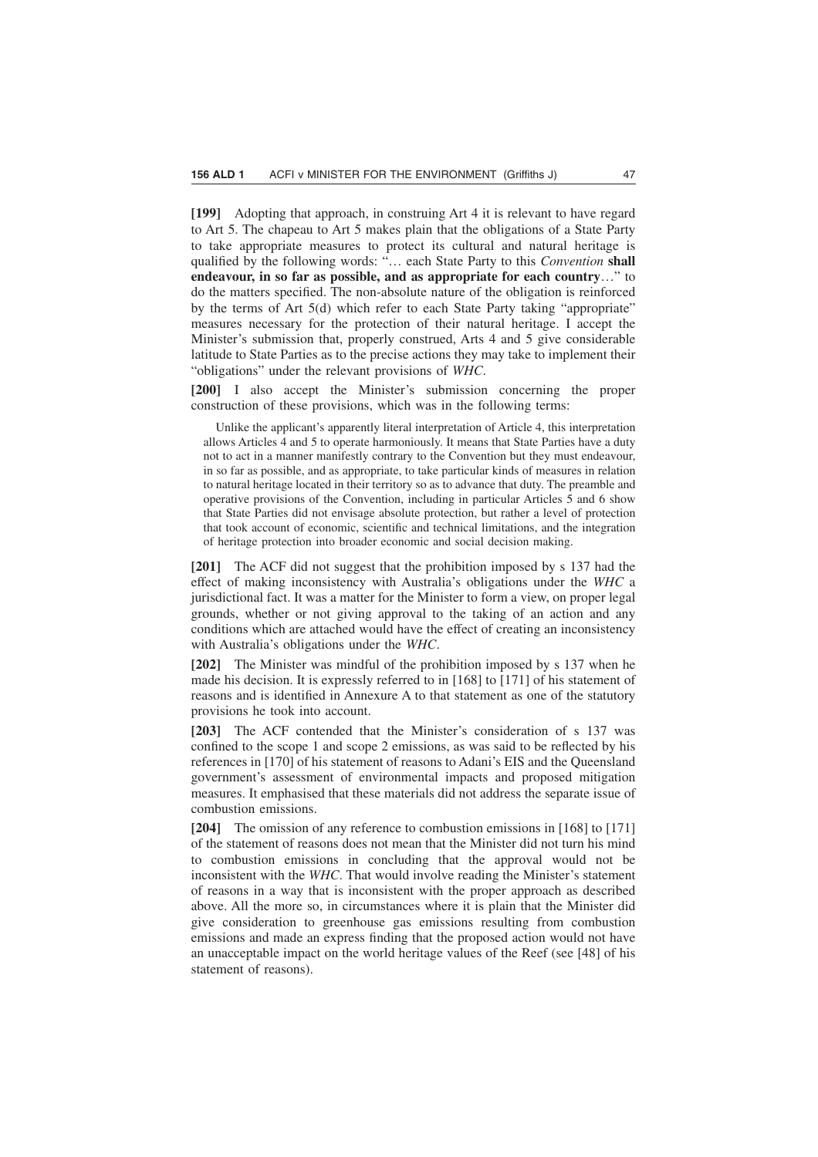**[199]** Adopting that approach, in construing Art 4 it is relevant to have regard to Art 5. The chapeau to Art 5 makes plain that the obligations of a State Party to take appropriate measures to protect its cultural and natural heritage is qualified by the following words: "… each State Party to this *Convention* **shall endeavour, in so far as possible, and as appropriate for each country**…" to do the matters specified. The non-absolute nature of the obligation is reinforced by the terms of Art 5(d) which refer to each State Party taking "appropriate" measures necessary for the protection of their natural heritage. I accept the Minister's submission that, properly construed, Arts 4 and 5 give considerable latitude to State Parties as to the precise actions they may take to implement their "obligations" under the relevant provisions of *WHC*.

**[200]** I also accept the Minister's submission concerning the proper construction of these provisions, which was in the following terms:

Unlike the applicant's apparently literal interpretation of Article 4, this interpretation allows Articles 4 and 5 to operate harmoniously. It means that State Parties have a duty not to act in a manner manifestly contrary to the Convention but they must endeavour, in so far as possible, and as appropriate, to take particular kinds of measures in relation to natural heritage located in their territory so as to advance that duty. The preamble and operative provisions of the Convention, including in particular Articles 5 and 6 show that State Parties did not envisage absolute protection, but rather a level of protection that took account of economic, scientific and technical limitations, and the integration of heritage protection into broader economic and social decision making.

**[201]** The ACF did not suggest that the prohibition imposed by s 137 had the effect of making inconsistency with Australia's obligations under the *WHC* a jurisdictional fact. It was a matter for the Minister to form a view, on proper legal grounds, whether or not giving approval to the taking of an action and any conditions which are attached would have the effect of creating an inconsistency with Australia's obligations under the *WHC*.

**[202]** The Minister was mindful of the prohibition imposed by s 137 when he made his decision. It is expressly referred to in [168] to [171] of his statement of reasons and is identified in Annexure A to that statement as one of the statutory provisions he took into account.

**[203]** The ACF contended that the Minister's consideration of s 137 was confined to the scope 1 and scope 2 emissions, as was said to be reflected by his references in [170] of his statement of reasons to Adani's EIS and the Queensland government's assessment of environmental impacts and proposed mitigation measures. It emphasised that these materials did not address the separate issue of combustion emissions.

**[204]** The omission of any reference to combustion emissions in [168] to [171] of the statement of reasons does not mean that the Minister did not turn his mind to combustion emissions in concluding that the approval would not be inconsistent with the *WHC*. That would involve reading the Minister's statement of reasons in a way that is inconsistent with the proper approach as described above. All the more so, in circumstances where it is plain that the Minister did give consideration to greenhouse gas emissions resulting from combustion emissions and made an express finding that the proposed action would not have an unacceptable impact on the world heritage values of the Reef (see [48] of his statement of reasons).